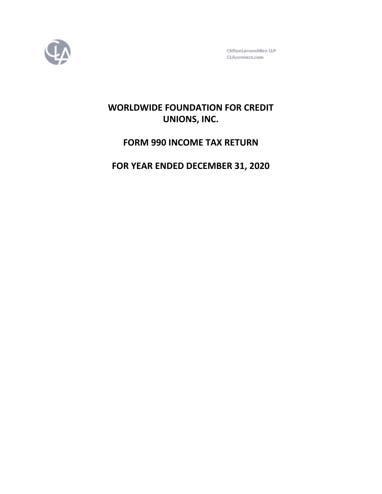

CliftonLarsonAllen LLP CLAconnect.com

# **WORLDWIDE FOUNDATION FOR CREDIT UNIONS, INC.**

# **FORM 990 INCOME TAX RETURN**

# **FOR YEAR ENDED DECEMBER 31, 2020**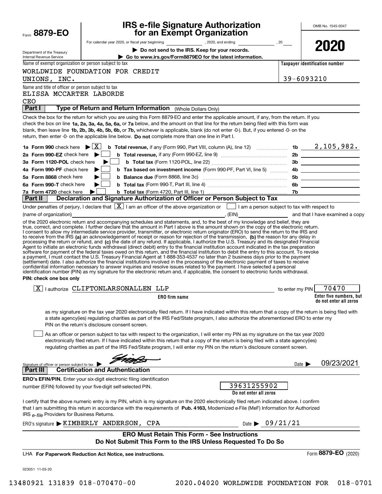|                                                        |                                                                              | <b>IRS e-file Signature Authorization</b>                                                                                                                                                                                                                                            |                                |                                | OMB No. 1545-0047                                 |
|--------------------------------------------------------|------------------------------------------------------------------------------|--------------------------------------------------------------------------------------------------------------------------------------------------------------------------------------------------------------------------------------------------------------------------------------|--------------------------------|--------------------------------|---------------------------------------------------|
| Form 8879-EO                                           |                                                                              | for an Exempt Organization                                                                                                                                                                                                                                                           |                                |                                |                                                   |
|                                                        |                                                                              |                                                                                                                                                                                                                                                                                      |                                |                                | 2020                                              |
| Department of the Treasury<br>Internal Revenue Service |                                                                              | Do not send to the IRS. Keep for your records.<br>Go to www.irs.gov/Form8879EO for the latest information.                                                                                                                                                                           |                                |                                |                                                   |
| Name of exempt organization or person subject to tax   |                                                                              |                                                                                                                                                                                                                                                                                      |                                | Taxpayer identification number |                                                   |
|                                                        | WORLDWIDE FOUNDATION FOR CREDIT                                              |                                                                                                                                                                                                                                                                                      |                                |                                |                                                   |
| UNIONS, INC.                                           |                                                                              |                                                                                                                                                                                                                                                                                      |                                | 39-6093210                     |                                                   |
| Name and title of officer or person subject to tax     |                                                                              |                                                                                                                                                                                                                                                                                      |                                |                                |                                                   |
| ELISSA MCCARTER LABORDE                                |                                                                              |                                                                                                                                                                                                                                                                                      |                                |                                |                                                   |
| <b>CEO</b>                                             | <b>Part I</b> Type of Return and Return Information (Whole Dollars Only)     |                                                                                                                                                                                                                                                                                      |                                |                                |                                                   |
|                                                        |                                                                              |                                                                                                                                                                                                                                                                                      |                                |                                |                                                   |
|                                                        |                                                                              | Check the box for the return for which you are using this Form 8879-EO and enter the applicable amount, if any, from the return. If you<br>check the box on line 1a, 2a, 3a, 4a, 5a, 6a, or 7a below, and the amount on that line for the return being filed with this form was      |                                |                                |                                                   |
|                                                        |                                                                              | blank, then leave line 1b, 2b, 3b, 4b, 5b, 6b, or 7b, whichever is applicable, blank (do not enter -0-). But, if you entered -0- on the                                                                                                                                              |                                |                                |                                                   |
|                                                        |                                                                              | return, then enter -0- on the applicable line below. Do not complete more than one line in Part I.                                                                                                                                                                                   |                                |                                |                                                   |
|                                                        |                                                                              |                                                                                                                                                                                                                                                                                      |                                |                                |                                                   |
| 2a Form 990-EZ check here $\blacktriangleright$        |                                                                              |                                                                                                                                                                                                                                                                                      |                                |                                |                                                   |
| 3a Form 1120-POL check here                            | $\blacktriangleright$ l $\blacksquare$                                       |                                                                                                                                                                                                                                                                                      |                                |                                |                                                   |
| 4a Form 990-PF check here                              | ▶∣                                                                           |                                                                                                                                                                                                                                                                                      |                                |                                |                                                   |
| 5a Form 8868 check here                                |                                                                              |                                                                                                                                                                                                                                                                                      |                                |                                |                                                   |
| 6a Form 990-T check here                               | $\blacktriangleright$ lextra de la $\blacktriangleright$                     |                                                                                                                                                                                                                                                                                      |                                |                                |                                                   |
| 7a Form 4720 check here                                | ▶∣                                                                           |                                                                                                                                                                                                                                                                                      |                                |                                |                                                   |
| Part II                                                |                                                                              | Declaration and Signature Authorization of Officer or Person Subject to Tax                                                                                                                                                                                                          |                                |                                |                                                   |
|                                                        |                                                                              | Under penalties of perjury, I declare that $\boxed{\mathbf{X}}$ I am an officer of the above organization or $\boxed{\phantom{\mathbf{X}}}$ I am a person subject to tax with respect to                                                                                             |                                |                                |                                                   |
| (name of organization)                                 |                                                                              |                                                                                                                                                                                                                                                                                      |                                |                                |                                                   |
|                                                        |                                                                              | of the 2020 electronic return and accompanying schedules and statements, and, to the best of my knowledge and belief, they are<br>true, correct, and complete. I further declare that the amount in Part I above is the amount shown on the copy of the electronic return.           |                                |                                |                                                   |
|                                                        |                                                                              | I consent to allow my intermediate service provider, transmitter, or electronic return originator (ERO) to send the return to the IRS and                                                                                                                                            |                                |                                |                                                   |
|                                                        |                                                                              | to receive from the IRS (a) an acknowledgement of receipt or reason for rejection of the transmission, (b) the reason for any delay in<br>processing the return or refund, and (c) the date of any refund. If applicable, I authorize the U.S. Treasury and its designated Financial |                                |                                |                                                   |
|                                                        |                                                                              | Agent to initiate an electronic funds withdrawal (direct debit) entry to the financial institution account indicated in the tax preparation                                                                                                                                          |                                |                                |                                                   |
|                                                        |                                                                              | software for payment of the federal taxes owed on this return, and the financial institution to debit the entry to this account. To revoke<br>a payment, I must contact the U.S. Treasury Financial Agent at 1-888-353-4537 no later than 2 business days prior to the payment       |                                |                                |                                                   |
|                                                        |                                                                              | (settlement) date. I also authorize the financial institutions involved in the processing of the electronic payment of taxes to receive                                                                                                                                              |                                |                                |                                                   |
|                                                        |                                                                              | confidential information necessary to answer inquiries and resolve issues related to the payment. I have selected a personal<br>identification number (PIN) as my signature for the electronic return and, if applicable, the consent to electronic funds withdrawal.                |                                |                                |                                                   |
| PIN: check one box only                                |                                                                              |                                                                                                                                                                                                                                                                                      |                                |                                |                                                   |
|                                                        | $\boxed{X}$   authorize CLIFTONLARSONALLEN LLP                               |                                                                                                                                                                                                                                                                                      |                                | to enter my PIN                | 70470                                             |
|                                                        |                                                                              | <b>ERO</b> firm name                                                                                                                                                                                                                                                                 |                                |                                | Enter five numbers, but<br>do not enter all zeros |
|                                                        |                                                                              |                                                                                                                                                                                                                                                                                      |                                |                                |                                                   |
|                                                        |                                                                              | as my signature on the tax year 2020 electronically filed return. If I have indicated within this return that a copy of the return is being filed with                                                                                                                               |                                |                                |                                                   |
|                                                        | PIN on the return's disclosure consent screen.                               | a state agency(ies) regulating charities as part of the IRS Fed/State program, I also authorize the aforementioned ERO to enter my                                                                                                                                                   |                                |                                |                                                   |
|                                                        |                                                                              |                                                                                                                                                                                                                                                                                      |                                |                                |                                                   |
|                                                        |                                                                              | As an officer or person subject to tax with respect to the organization, I will enter my PIN as my signature on the tax year 2020<br>electronically filed return. If I have indicated within this return that a copy of the return is being filed with a state agency(ies)           |                                |                                |                                                   |
|                                                        |                                                                              | regulating charities as part of the IRS Fed/State program, I will enter my PIN on the return's disclosure consent screen.                                                                                                                                                            |                                |                                |                                                   |
|                                                        |                                                                              |                                                                                                                                                                                                                                                                                      |                                |                                |                                                   |
| Signature of officer or person subject to tax          |                                                                              |                                                                                                                                                                                                                                                                                      |                                | Date $\blacktriangleright$     | 09/23/2021                                        |
| Part III                                               | <b>Certification and Authentication</b>                                      |                                                                                                                                                                                                                                                                                      |                                |                                |                                                   |
|                                                        | <b>ERO's EFIN/PIN.</b> Enter your six-digit electronic filing identification |                                                                                                                                                                                                                                                                                      |                                |                                |                                                   |
|                                                        | number (EFIN) followed by your five-digit self-selected PIN.                 |                                                                                                                                                                                                                                                                                      | 39631255902                    |                                |                                                   |
|                                                        |                                                                              |                                                                                                                                                                                                                                                                                      | Do not enter all zeros         |                                |                                                   |
|                                                        |                                                                              | I certify that the above numeric entry is my PIN, which is my signature on the 2020 electronically filed return indicated above. I confirm                                                                                                                                           |                                |                                |                                                   |
|                                                        |                                                                              | that I am submitting this return in accordance with the requirements of Pub. 4163, Modernized e-File (MeF) Information for Authorized                                                                                                                                                |                                |                                |                                                   |
| IRS e-file Providers for Business Returns.             |                                                                              |                                                                                                                                                                                                                                                                                      |                                |                                |                                                   |
|                                                        | ERO's signature KIMBERLY ANDERSON, CPA                                       |                                                                                                                                                                                                                                                                                      | Date $\triangleright$ 09/21/21 |                                |                                                   |
|                                                        |                                                                              | <b>ERO Must Retain This Form - See Instructions</b>                                                                                                                                                                                                                                  |                                |                                |                                                   |
|                                                        |                                                                              | Do Not Submit This Form to the IRS Unless Requested To Do So                                                                                                                                                                                                                         |                                |                                |                                                   |
|                                                        | LHA For Paperwork Reduction Act Notice, see instructions.                    |                                                                                                                                                                                                                                                                                      |                                |                                | Form 8879-EO (2020)                               |
|                                                        |                                                                              |                                                                                                                                                                                                                                                                                      |                                |                                |                                                   |
| 023051 11-03-20                                        |                                                                              |                                                                                                                                                                                                                                                                                      |                                |                                |                                                   |
|                                                        |                                                                              |                                                                                                                                                                                                                                                                                      |                                |                                |                                                   |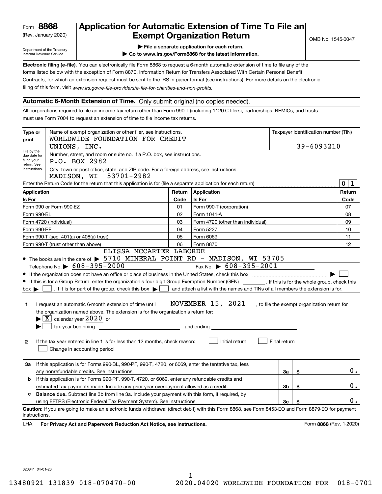(Rev. January 2020)

## **Application for Automatic Extension of Time To File an Exempt Organization Return**

Department of the Treasury Internal Revenue Service

**| File a separate application for each return.**

**| Go to www.irs.gov/Form8868 for the latest information.**

**Electronic filing (e-file).**  You can electronically file Form 8868 to request a 6-month automatic extension of time to file any of the filing of this form, visit www.irs.gov/e-file-providers/e-file-for-charities-and-non-profits. forms listed below with the exception of Form 8870, Information Return for Transfers Associated With Certain Personal Benefit Contracts, for which an extension request must be sent to the IRS in paper format (see instructions). For more details on the electronic

#### **Automatic 6-Month Extension of Time.** Only submit original (no copies needed).

All corporations required to file an income tax return other than Form 990-T (including 1120-C filers), partnerships, REMICs, and trusts must use Form 7004 to request an extension of time to file income tax returns.

| Type or<br>print                                          | Name of exempt organization or other filer, see instructions.<br>WORLDWIDE FOUNDATION FOR CREDIT                                                   |        |                                                                                |              | Taxpayer identification number (TIN) |                                              |  |
|-----------------------------------------------------------|----------------------------------------------------------------------------------------------------------------------------------------------------|--------|--------------------------------------------------------------------------------|--------------|--------------------------------------|----------------------------------------------|--|
|                                                           | UNIONS, INC.                                                                                                                                       |        |                                                                                |              | 39-6093210                           |                                              |  |
| File by the<br>due date for<br>filing your<br>return. See | Number, street, and room or suite no. If a P.O. box, see instructions.<br>P.O. BOX 2982                                                            |        |                                                                                |              |                                      |                                              |  |
| instructions.                                             | City, town or post office, state, and ZIP code. For a foreign address, see instructions.<br>53701-2982<br>MADISON, WI                              |        |                                                                                |              |                                      |                                              |  |
|                                                           | Enter the Return Code for the return that this application is for (file a separate application for each return)                                    |        |                                                                                |              |                                      | $\mathbf 0$<br>1                             |  |
| <b>Application</b>                                        |                                                                                                                                                    | Return | Application                                                                    |              |                                      | Return                                       |  |
| Is For                                                    |                                                                                                                                                    | Code   | <b>Is For</b>                                                                  |              |                                      | Code                                         |  |
|                                                           | Form 990 or Form 990-EZ                                                                                                                            | 01     | Form 990-T (corporation)                                                       |              |                                      | 07                                           |  |
| Form 990-BL                                               |                                                                                                                                                    | 02     | Form 1041-A                                                                    |              |                                      | 08                                           |  |
|                                                           | Form 4720 (individual)                                                                                                                             | 03     | Form 4720 (other than individual)                                              |              |                                      | 09                                           |  |
| Form 990-PF                                               |                                                                                                                                                    | 04     | Form 5227                                                                      |              |                                      | 10                                           |  |
|                                                           | Form 990-T (sec. 401(a) or 408(a) trust)                                                                                                           | 05     | Form 6069                                                                      |              |                                      | 11                                           |  |
|                                                           | Form 990-T (trust other than above)                                                                                                                | 06     | Form 8870                                                                      |              |                                      | 12                                           |  |
|                                                           | ELISSA MCCARTER LABORDE                                                                                                                            |        |                                                                                |              |                                      |                                              |  |
|                                                           | • The books are in the care of $\triangleright$ 5710 MINERAL POINT RD - MADISON, WI 53705                                                          |        |                                                                                |              |                                      |                                              |  |
|                                                           | Telephone No. $\triangleright$ 608-395-2000                                                                                                        |        | Fax No. $\triangleright$ 608-395-2001                                          |              |                                      |                                              |  |
|                                                           |                                                                                                                                                    |        |                                                                                |              |                                      |                                              |  |
|                                                           | If this is for a Group Return, enter the organization's four digit Group Exemption Number (GEN) [f this is for the whole group, check this         |        |                                                                                |              |                                      |                                              |  |
| $box \blacktriangleright$                                 | . If it is for part of the group, check this box $\blacktriangleright$                                                                             |        | and attach a list with the names and TINs of all members the extension is for. |              |                                      |                                              |  |
|                                                           |                                                                                                                                                    |        |                                                                                |              |                                      |                                              |  |
| 1                                                         | I request an automatic 6-month extension of time until                                                                                             |        | NOVEMBER 15, 2021                                                              |              |                                      | , to file the exempt organization return for |  |
|                                                           | the organization named above. The extension is for the organization's return for:                                                                  |        |                                                                                |              |                                      |                                              |  |
|                                                           | $\blacktriangleright$ $\boxed{\text{X}}$ calendar year 2020 or                                                                                     |        |                                                                                |              |                                      |                                              |  |
|                                                           |                                                                                                                                                    |        |                                                                                |              |                                      |                                              |  |
|                                                           |                                                                                                                                                    |        |                                                                                |              |                                      |                                              |  |
| 2                                                         | If the tax year entered in line 1 is for less than 12 months, check reason:<br>Change in accounting period                                         |        | Initial return                                                                 | Final return |                                      |                                              |  |
|                                                           |                                                                                                                                                    |        |                                                                                |              |                                      |                                              |  |
| За                                                        | If this application is for Forms 990-BL, 990-PF, 990-T, 4720, or 6069, enter the tentative tax, less                                               |        |                                                                                |              |                                      |                                              |  |
|                                                           | any nonrefundable credits. See instructions.                                                                                                       |        |                                                                                | За           | \$                                   | $0$ .                                        |  |
| b                                                         | If this application is for Forms 990-PF, 990-T, 4720, or 6069, enter any refundable credits and                                                    |        |                                                                                |              |                                      |                                              |  |
|                                                           | estimated tax payments made. Include any prior year overpayment allowed as a credit.                                                               |        |                                                                                | 3b           | \$                                   | $0$ .                                        |  |
| c                                                         | Balance due. Subtract line 3b from line 3a. Include your payment with this form, if required, by                                                   |        |                                                                                |              |                                      |                                              |  |
|                                                           | using EFTPS (Electronic Federal Tax Payment System). See instructions.                                                                             |        |                                                                                | 3c           | \$                                   | 0.                                           |  |
| instructions.                                             | Caution: If you are going to make an electronic funds withdrawal (direct debit) with this Form 8868, see Form 8453-EO and Form 8879-EO for payment |        |                                                                                |              |                                      |                                              |  |
| LHA                                                       | For Privacy Act and Paperwork Reduction Act Notice, see instructions.                                                                              |        |                                                                                |              |                                      | Form 8868 (Rev. 1-2020)                      |  |

023841 04-01-20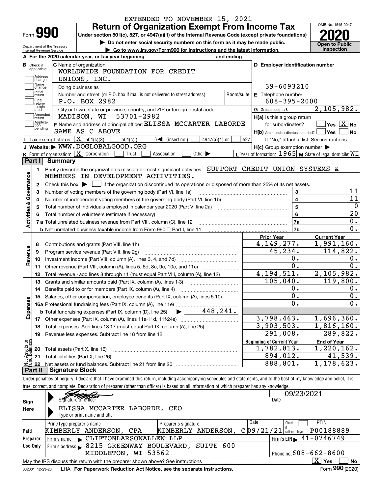|                                |                        | EXTENDED TO NOVEMBER 15, 2021                                                                                                                                              |                                                             |                                                      |
|--------------------------------|------------------------|----------------------------------------------------------------------------------------------------------------------------------------------------------------------------|-------------------------------------------------------------|------------------------------------------------------|
| Form <b>990</b>                |                        | <b>Return of Organization Exempt From Income Tax</b>                                                                                                                       |                                                             | OMB No. 1545-0047                                    |
|                                |                        | Under section 501(c), 527, or 4947(a)(1) of the Internal Revenue Code (except private foundations)                                                                         |                                                             |                                                      |
| Department of the Treasury     |                        | Do not enter social security numbers on this form as it may be made public.                                                                                                |                                                             | <b>Open to Public</b><br>Inspection                  |
| Internal Revenue Service       |                        | Go to www.irs.gov/Form990 for instructions and the latest information.<br>A For the 2020 calendar year, or tax year beginning<br>and ending                                |                                                             |                                                      |
| <b>B</b> Check if              |                        | C Name of organization                                                                                                                                                     | D Employer identification number                            |                                                      |
| applicable:                    |                        | WORLDWIDE FOUNDATION FOR CREDIT                                                                                                                                            |                                                             |                                                      |
| Address<br>change              |                        | UNIONS, INC.                                                                                                                                                               |                                                             |                                                      |
| Name<br>change                 |                        | Doing business as                                                                                                                                                          | 39-6093210                                                  |                                                      |
| Initial<br>return              |                        | Number and street (or P.O. box if mail is not delivered to street address)<br>Room/suite                                                                                   | E Telephone number                                          |                                                      |
| Final<br>return/               |                        | P.O. BOX 2982                                                                                                                                                              | $608 - 395 - 2000$                                          |                                                      |
| termin-<br>ated                |                        | City or town, state or province, country, and ZIP or foreign postal code                                                                                                   | G Gross receipts \$                                         | 2,105,982.                                           |
| Amended<br> return             |                        | MADISON, WI 53701-2982                                                                                                                                                     | H(a) Is this a group return                                 |                                                      |
| Applica-<br>tion<br>pending    |                        | F Name and address of principal officer: ELISSA MCCARTER LABORDE                                                                                                           | for subordinates? $\Box$                                    | $\overline{\mathsf{Yes}}$ $\overline{\mathsf{X}}$ No |
|                                |                        | SAME AS C ABOVE                                                                                                                                                            | H(b) Are all subordinates included?   Yes                   | No                                                   |
|                                |                        | <b>I</b> Tax-exempt status: $\boxed{\mathbf{X}}$ 501(c)(3)<br>$\Box$ 501(c) (<br>$\blacktriangleleft$ (insert no.)<br>$4947(a)(1)$ or                                      | 527                                                         | If "No," attach a list. See instructions             |
|                                |                        | J Website: WWW.DOGLOBALGOOD.ORG                                                                                                                                            | $H(c)$ Group exemption number $\blacktriangleright$         |                                                      |
|                                |                        | K Form of organization: $\boxed{\mathbf{X}}$ Corporation<br>Trust<br>Other $\blacktriangleright$<br>Association                                                            | L Year of formation: $1965$ M State of legal domicile: $WT$ |                                                      |
|                                | Part I Summary         |                                                                                                                                                                            |                                                             |                                                      |
| 1.                             |                        | Briefly describe the organization's mission or most significant activities: SUPPORT CREDIT UNION SYSTEMS &<br>MEMBERS IN DEVELOPMENT ACTIVITIES.                           |                                                             |                                                      |
| Activities & Governance        |                        |                                                                                                                                                                            |                                                             |                                                      |
| 2                              |                        | Check this box $\blacktriangleright$ $\blacksquare$ if the organization discontinued its operations or disposed of more than 25% of its net assets.                        | 3                                                           | 11                                                   |
|                                |                        | Number of voting members of the governing body (Part VI, line 1a)                                                                                                          | $\overline{4}$                                              | $\overline{11}$                                      |
|                                |                        | Total number of individuals employed in calendar year 2020 (Part V, line 2a) manufacture of individuals employed in calendar year 2020 (Part V, line 2a)                   | $\overline{5}$                                              | $\mathbf 0$                                          |
|                                |                        |                                                                                                                                                                            | $6\phantom{a}$                                              | $\overline{20}$                                      |
|                                |                        |                                                                                                                                                                            | 7a                                                          | $\overline{0}$ .                                     |
|                                |                        |                                                                                                                                                                            | 7b                                                          | $\overline{0}$ .                                     |
|                                |                        |                                                                                                                                                                            | <b>Prior Year</b>                                           | <b>Current Year</b>                                  |
| 8                              |                        | Contributions and grants (Part VIII, line 1h)                                                                                                                              | 4, 149, 277.                                                | 1,991,160.                                           |
| Revenue<br>9                   |                        | Program service revenue (Part VIII, line 2g)                                                                                                                               | 45,234.                                                     | 114,822.                                             |
| 10                             |                        |                                                                                                                                                                            | 0.                                                          | 0.                                                   |
| 11                             |                        | Other revenue (Part VIII, column (A), lines 5, 6d, 8c, 9c, 10c, and 11e)                                                                                                   | $\overline{0}$ .                                            | $\overline{0}$ .                                     |
| 12                             |                        | Total revenue - add lines 8 through 11 (must equal Part VIII, column (A), line 12)                                                                                         | 4, 194, 511.                                                | 2,105,982.                                           |
| 13                             |                        | Grants and similar amounts paid (Part IX, column (A), lines 1-3)                                                                                                           | 105,040.                                                    | 119,800.                                             |
| 14                             |                        | Benefits paid to or for members (Part IX, column (A), line 4)                                                                                                              | 0.                                                          | 0.                                                   |
|                                |                        | 15 Salaries, other compensation, employee benefits (Part IX, column (A), lines 5-10)                                                                                       | $\overline{0}$ .                                            | $\overline{\mathbf{0}}$ .                            |
| Expenses                       |                        |                                                                                                                                                                            | 0.                                                          | $\overline{0}$ .                                     |
|                                |                        |                                                                                                                                                                            |                                                             |                                                      |
|                                |                        |                                                                                                                                                                            | 3,798,463.                                                  | 1,696,360.                                           |
| 18                             |                        | Total expenses. Add lines 13-17 (must equal Part IX, column (A), line 25)                                                                                                  | 3,903,503.                                                  | 1,816,160.                                           |
| 19                             |                        |                                                                                                                                                                            | 291,008.                                                    | 289,822.                                             |
|                                |                        |                                                                                                                                                                            | <b>Beginning of Current Year</b>                            | <b>End of Year</b>                                   |
| : Assets or<br>dBalances<br>20 |                        | Total assets (Part X, line 16)                                                                                                                                             | 1,782,813.                                                  | 1,220,162.                                           |
| 21                             |                        | Total liabilities (Part X, line 26)                                                                                                                                        | 894,012.                                                    | 41,539.                                              |
| 22                             |                        |                                                                                                                                                                            | 888,801.                                                    | 1,178,623.                                           |
| Part II                        | <b>Signature Block</b> |                                                                                                                                                                            |                                                             |                                                      |
|                                |                        | Under penalties of perjury, I declare that I have examined this return, including accompanying schedules and statements, and to the best of my knowledge and belief, it is |                                                             |                                                      |
|                                |                        | true, correct, and complete. Declaration of preparer (other than officer) is based on all information of which preparer has any knowledge.                                 | 09/23/2021                                                  |                                                      |
|                                |                        | Signature of officer                                                                                                                                                       |                                                             |                                                      |
| Sian                           |                        |                                                                                                                                                                            | Date                                                        |                                                      |

| Sign                                                                                                                 | Signature of officer                                                   |                      | Date                                            |  |  |  |  |  |  |  |
|----------------------------------------------------------------------------------------------------------------------|------------------------------------------------------------------------|----------------------|-------------------------------------------------|--|--|--|--|--|--|--|
| Here                                                                                                                 | ELISSA MCCARTER                                                        | LABORDE, CEO         |                                                 |  |  |  |  |  |  |  |
|                                                                                                                      | Type or print name and title                                           |                      |                                                 |  |  |  |  |  |  |  |
|                                                                                                                      | Print/Type preparer's name                                             | Preparer's signature | <b>PTIN</b><br>Date<br>Check                    |  |  |  |  |  |  |  |
| Paid                                                                                                                 | KIMBERLY ANDERSON, CPA                                                 | KIMBERLY ANDERSON,   | P00188889<br>C 09/21/21<br>self-emploved        |  |  |  |  |  |  |  |
| Preparer                                                                                                             | Firm's name CLIFTONLARSONALLEN LLP                                     |                      | $1$ Firm's EIN $\blacktriangleright$ 41-0746749 |  |  |  |  |  |  |  |
| Use Only                                                                                                             | Firm's address > 8215 GREENWAY BOULEVARD, SUITE 600                    |                      |                                                 |  |  |  |  |  |  |  |
|                                                                                                                      | MIDDLETON, WI 53562                                                    |                      | Phone no. $608 - 662 - 8600$                    |  |  |  |  |  |  |  |
| $\overline{\mathrm{X}}$ Yes<br>No<br>May the IRS discuss this return with the preparer shown above? See instructions |                                                                        |                      |                                                 |  |  |  |  |  |  |  |
| 032001 12-23-20                                                                                                      | LHA For Paperwork Reduction Act Notice, see the separate instructions. |                      | Form 990 (2020)                                 |  |  |  |  |  |  |  |
|                                                                                                                      |                                                                        |                      |                                                 |  |  |  |  |  |  |  |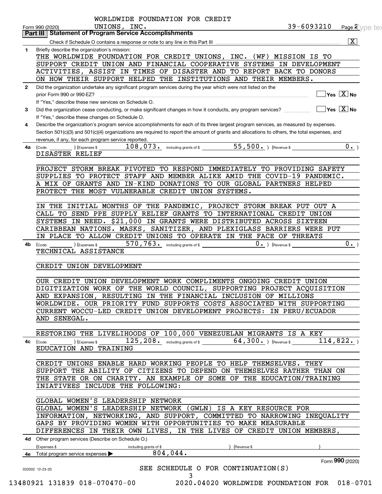|              | 39-6093210<br>UNIONS, INC.<br>Form 990 (2020)<br><b>Part III   Statement of Program Service Accomplishments</b>                              | Page 2 ype te:              |
|--------------|----------------------------------------------------------------------------------------------------------------------------------------------|-----------------------------|
|              |                                                                                                                                              | $\overline{\mathbf{x}}$     |
| 1.           | Briefly describe the organization's mission:                                                                                                 |                             |
|              | THE WORLDWIDE FOUNDATION FOR CREDIT UNIONS, INC. (WF) MISSION IS TO                                                                          |                             |
|              | SUPPORT CREDIT UNION AND FINANCIAL COOPERATIVE SYSTEMS IN DEVELOPMENT                                                                        |                             |
|              | ACTIVITIES, ASSIST IN TIMES OF DISASTER AND TO REPORT BACK TO DONORS                                                                         |                             |
|              | ON HOW THEIR SUPPORT HELPED THE INSTITUTIONS AND THEIR MEMBERS.                                                                              |                             |
| $\mathbf{2}$ | Did the organization undertake any significant program services during the year which were not listed on the                                 |                             |
|              | prior Form 990 or 990-EZ?                                                                                                                    | $\sqrt{}$ Yes $\sqrt{X}$ No |
|              | If "Yes," describe these new services on Schedule O.                                                                                         |                             |
| 3            | $\Box$ Yes $\boxed{\text{X}}$ No                                                                                                             |                             |
|              | If "Yes," describe these changes on Schedule O.                                                                                              |                             |
| 4            | Describe the organization's program service accomplishments for each of its three largest program services, as measured by expenses.         |                             |
|              | Section 501(c)(3) and 501(c)(4) organizations are required to report the amount of grants and allocations to others, the total expenses, and |                             |
|              | revenue, if any, for each program service reported.                                                                                          |                             |
|              | 108,073. including grants of \$ 55,500. [Revenue \$                                                                                          | 0.                          |
| 4a l         | (Code:<br>) (Expenses \$<br>DISASTER RELIEF                                                                                                  |                             |
|              |                                                                                                                                              |                             |
|              | PROJECT STORM BREAK PIVOTED TO RESPOND IMMEDIATELY TO PROVIDING SAFETY                                                                       |                             |
|              | SUPPLIES TO PROTECT STAFF AND MEMBER ALIKE AMID THE COVID-19 PANDEMIC.                                                                       |                             |
|              | A MIX OF GRANTS AND IN-KIND DONATIONS TO OUR GLOBAL PARTNERS HELPED                                                                          |                             |
|              | PROTECT THE MOST VULNERABLE CREDIT UNION SYSTEMS.                                                                                            |                             |
|              |                                                                                                                                              |                             |
|              | IN THE INITIAL MONTHS OF THE PANDEMIC, PROJECT STORM BREAK PUT OUT A                                                                         |                             |
|              | CALL TO SEND PPE SUPPLY RELIEF GRANTS TO INTERNATIONAL CREDIT UNION                                                                          |                             |
|              | SYSTEMS IN NEED. \$21,000 IN GRANTS WERE DISTRIBUTED ACROSS SIXTEEN                                                                          |                             |
|              | CARIBBEAN NATIONS. MASKS, SANITIZER, AND PLEXIGLASS BARRIERS WERE PUT                                                                        |                             |
|              | IN PLACE TO ALLOW CREDIT UNIONS TO OPERATE IN THE FACE OF THREATS                                                                            |                             |
|              | 570, 763. including grants of \$                                                                                                             | 0.                          |
| 4b           | $0 \cdot$ ) (Revenue \$<br>(Expenses \$<br>(Code:<br>TECHNICAL ASSISTANCE                                                                    |                             |
|              |                                                                                                                                              |                             |
|              | CREDIT UNION DEVELOPMENT                                                                                                                     |                             |
|              |                                                                                                                                              |                             |
|              |                                                                                                                                              |                             |
|              |                                                                                                                                              |                             |
|              | OUR CREDIT UNION DEVELOPMENT WORK COMPLIMENTS ONGOING CREDIT UNION                                                                           |                             |
|              | DIGITIZATION WORK OF THE WORLD COUNCIL, SUPPORTING PROJECT ACQUISITION                                                                       |                             |
|              | AND EXPANSION, RESULTING IN THE FINANCIAL INCLUSION OF MILLIONS                                                                              |                             |
|              | WORLDWIDE. OUR PRIORITY FUND SUPPORTS COSTS ASSOCIATED WITH SUPPORTING                                                                       |                             |
|              | CURRENT WOCCU-LED CREDIT UNION DEVELOPMENT PROJECTS: IN PERU/ECUADOR                                                                         |                             |
|              | AND SENEGAL.                                                                                                                                 |                             |
|              |                                                                                                                                              |                             |
|              | RESTORING THE LIVELIHOODS OF 100,000 VENEZUELAN MIGRANTS IS A KEY                                                                            |                             |
| 4с           | $125, 208$ including grants of \$ 64, 300. The evenue \$<br>114,822.<br>$\left(\text{Code:}\right)$ $\left(\text{Expenses $}\right)$         |                             |
|              | EDUCATION AND TRAINING                                                                                                                       |                             |
|              |                                                                                                                                              |                             |
|              | CREDIT UNIONS ENABLE HARD WORKING PEOPLE TO HELP THEMSELVES. THEY                                                                            |                             |
|              | SUPPORT THE ABILITY OF CITIZENS TO DEPEND ON THEMSELVES RATHER THAN ON                                                                       |                             |
|              | THE STATE OR ON CHARITY. AN EXAMPLE OF SOME OF THE EDUCATION/TRAINING                                                                        |                             |
|              | INIATIVEES INCLUDE THE FOLLOWING:                                                                                                            |                             |
|              |                                                                                                                                              |                             |
|              | GLOBAL WOMEN'S LEADERSHIP NETWORK                                                                                                            |                             |
|              | GLOBAL WOMEN'S LEADERSHIP NETWORK (GWLN) IS A KEY RESOURCE FOR                                                                               |                             |
|              | INFORMATION, NETWORKING, AND SUPPORT, COMMITTED TO NARROWING INEQUALITY                                                                      |                             |
|              | GAPS BY PROVIDING WOMEN WITH OPPORTUNITIES TO MAKE MEASURABLE                                                                                |                             |
|              | DIFFERENCES IN THEIR OWN LIVES, IN THE LIVES OF CREDIT UNION MEMBERS,                                                                        |                             |
|              | 4d Other program services (Describe on Schedule O.)                                                                                          |                             |
|              | (Expenses \$<br>including grants of \$<br>(Revenue \$                                                                                        |                             |
|              | 804,044.<br>4e Total program service expenses $\blacktriangleright$                                                                          |                             |
|              | SEE SCHEDULE O FOR CONTINUATION(S)                                                                                                           | Form 990 (2020)             |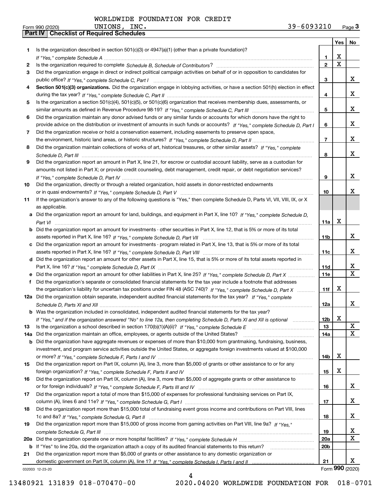|     |                                                                                                                                                    |                 | Yes $ $     | No                      |
|-----|----------------------------------------------------------------------------------------------------------------------------------------------------|-----------------|-------------|-------------------------|
| 1   | Is the organization described in section $501(c)(3)$ or $4947(a)(1)$ (other than a private foundation)?                                            |                 |             |                         |
|     |                                                                                                                                                    | 1               | x           |                         |
| 2   |                                                                                                                                                    | $\overline{2}$  | $\mathbf X$ |                         |
| 3   | Did the organization engage in direct or indirect political campaign activities on behalf of or in opposition to candidates for                    |                 |             |                         |
|     |                                                                                                                                                    | 3               |             | x                       |
| 4   | Section 501(c)(3) organizations. Did the organization engage in lobbying activities, or have a section 501(h) election in effect                   |                 |             |                         |
|     |                                                                                                                                                    | 4               |             | x                       |
| 5   | Is the organization a section 501(c)(4), 501(c)(5), or 501(c)(6) organization that receives membership dues, assessments, or                       |                 |             |                         |
|     |                                                                                                                                                    | 5               |             | x                       |
| 6   | Did the organization maintain any donor advised funds or any similar funds or accounts for which donors have the right to                          |                 |             |                         |
|     | provide advice on the distribution or investment of amounts in such funds or accounts? If "Yes," complete Schedule D, Part I                       | 6               |             | x                       |
| 7   | Did the organization receive or hold a conservation easement, including easements to preserve open space,                                          |                 |             |                         |
|     |                                                                                                                                                    | $\overline{7}$  |             | x                       |
| 8   | Did the organization maintain collections of works of art, historical treasures, or other similar assets? If "Yes," complete                       |                 |             |                         |
|     |                                                                                                                                                    | 8               |             | x                       |
| 9   | Did the organization report an amount in Part X, line 21, for escrow or custodial account liability, serve as a custodian for                      |                 |             |                         |
|     | amounts not listed in Part X; or provide credit counseling, debt management, credit repair, or debt negotiation services?                          |                 |             | x                       |
|     |                                                                                                                                                    | 9               |             |                         |
| 10  | Did the organization, directly or through a related organization, hold assets in donor-restricted endowments                                       |                 |             | x                       |
|     |                                                                                                                                                    | 10              |             |                         |
| 11  | If the organization's answer to any of the following questions is "Yes," then complete Schedule D, Parts VI, VII, VIII, IX, or X<br>as applicable. |                 |             |                         |
|     | a Did the organization report an amount for land, buildings, and equipment in Part X, line 10? If "Yes." complete Schedule D.                      |                 |             |                         |
|     |                                                                                                                                                    | 11a             | х           |                         |
|     | <b>b</b> Did the organization report an amount for investments - other securities in Part X, line 12, that is 5% or more of its total              |                 |             |                         |
|     |                                                                                                                                                    | 11b             |             | X                       |
|     | c Did the organization report an amount for investments - program related in Part X, line 13, that is 5% or more of its total                      |                 |             |                         |
|     |                                                                                                                                                    | 11c             |             | x                       |
|     | d Did the organization report an amount for other assets in Part X, line 15, that is 5% or more of its total assets reported in                    |                 |             |                         |
|     |                                                                                                                                                    | 11d             |             | X.                      |
|     |                                                                                                                                                    | <b>11e</b>      |             | $\overline{\mathtt{x}}$ |
| f   | Did the organization's separate or consolidated financial statements for the tax year include a footnote that addresses                            |                 |             |                         |
|     | the organization's liability for uncertain tax positions under FIN 48 (ASC 740)? If "Yes," complete Schedule D, Part X                             | 11f             | х           |                         |
|     | 12a Did the organization obtain separate, independent audited financial statements for the tax year? If "Yes," complete                            |                 |             |                         |
|     |                                                                                                                                                    | 12a             |             | X.                      |
|     | <b>b</b> Was the organization included in consolidated, independent audited financial statements for the tax year?                                 |                 |             |                         |
|     | If "Yes," and if the organization answered "No" to line 12a, then completing Schedule D, Parts XI and XII is optional                              | 12 <sub>b</sub> | X           |                         |
| 13  | Is the organization a school described in section 170(b)(1)(A)(ii)? If "Yes," complete Schedule E                                                  | 13              |             | X                       |
| 14a | Did the organization maintain an office, employees, or agents outside of the United States?                                                        | 14a             |             | X                       |
| b   | Did the organization have aggregate revenues or expenses of more than \$10,000 from grantmaking, fundraising, business,                            |                 |             |                         |
|     | investment, and program service activities outside the United States, or aggregate foreign investments valued at \$100,000                         |                 |             |                         |
|     |                                                                                                                                                    | 14b             | X           |                         |
| 15  | Did the organization report on Part IX, column (A), line 3, more than \$5,000 of grants or other assistance to or for any                          |                 |             |                         |
|     |                                                                                                                                                    | 15              | х           |                         |
| 16  | Did the organization report on Part IX, column (A), line 3, more than \$5,000 of aggregate grants or other assistance to                           |                 |             |                         |
|     |                                                                                                                                                    | 16              |             | X,                      |
| 17  | Did the organization report a total of more than \$15,000 of expenses for professional fundraising services on Part IX,                            |                 |             |                         |
|     |                                                                                                                                                    | 17              |             | X                       |
| 18  | Did the organization report more than \$15,000 total of fundraising event gross income and contributions on Part VIII, lines                       |                 |             |                         |
|     |                                                                                                                                                    | 18              |             | X                       |
| 19  | Did the organization report more than \$15,000 of gross income from gaming activities on Part VIII, line 9a? If "Yes."                             |                 |             |                         |
|     |                                                                                                                                                    | 19              |             | X,                      |
| 20a |                                                                                                                                                    | <b>20a</b>      |             | $\mathbf{X}$            |
|     | b If "Yes" to line 20a, did the organization attach a copy of its audited financial statements to this return?                                     | 20 <sub>b</sub> |             |                         |
| 21  | Did the organization report more than \$5,000 of grants or other assistance to any domestic organization or                                        |                 |             |                         |
|     |                                                                                                                                                    | 21              |             | x                       |
|     | 032003 12-23-20                                                                                                                                    |                 |             | Form 990 (2020)         |

4

032003 12-23-20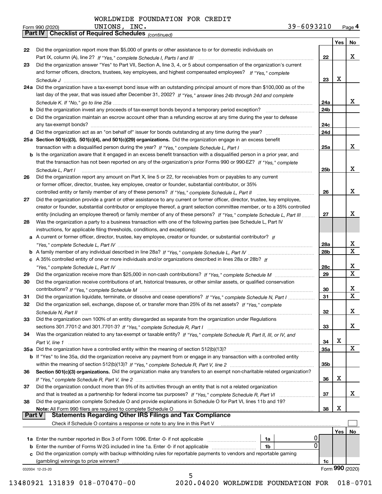*(continued)*

|          |                                                                                                                              |                 | Yes | No              |
|----------|------------------------------------------------------------------------------------------------------------------------------|-----------------|-----|-----------------|
| 22       | Did the organization report more than \$5,000 of grants or other assistance to or for domestic individuals on                |                 |     |                 |
|          |                                                                                                                              | 22              |     | x               |
| 23       | Did the organization answer "Yes" to Part VII, Section A, line 3, 4, or 5 about compensation of the organization's current   |                 |     |                 |
|          | and former officers, directors, trustees, key employees, and highest compensated employees? If "Yes," complete               |                 |     |                 |
|          |                                                                                                                              | 23              | X   |                 |
|          | 24a Did the organization have a tax-exempt bond issue with an outstanding principal amount of more than \$100,000 as of the  |                 |     |                 |
|          | last day of the year, that was issued after December 31, 2002? If "Yes," answer lines 24b through 24d and complete           |                 |     |                 |
|          |                                                                                                                              | 24a             |     | x               |
|          | b Did the organization invest any proceeds of tax-exempt bonds beyond a temporary period exception?                          | 24b             |     |                 |
|          | c Did the organization maintain an escrow account other than a refunding escrow at any time during the year to defease       |                 |     |                 |
|          | any tax-exempt bonds?                                                                                                        | 24c             |     |                 |
|          | d Did the organization act as an "on behalf of" issuer for bonds outstanding at any time during the year?                    | 24d             |     |                 |
|          | 25a Section 501(c)(3), 501(c)(4), and 501(c)(29) organizations. Did the organization engage in an excess benefit             |                 |     |                 |
|          |                                                                                                                              | 25a             |     | x               |
|          | b Is the organization aware that it engaged in an excess benefit transaction with a disqualified person in a prior year, and |                 |     |                 |
|          | that the transaction has not been reported on any of the organization's prior Forms 990 or 990-EZ? If "Yes," complete        |                 |     |                 |
|          | Schedule L, Part I                                                                                                           | 25b             |     | x               |
| 26       | Did the organization report any amount on Part X, line 5 or 22, for receivables from or payables to any current              |                 |     |                 |
|          | or former officer, director, trustee, key employee, creator or founder, substantial contributor, or 35%                      |                 |     |                 |
|          |                                                                                                                              | 26              |     | х               |
| 27       | Did the organization provide a grant or other assistance to any current or former officer, director, trustee, key employee,  |                 |     |                 |
|          | creator or founder, substantial contributor or employee thereof, a grant selection committee member, or to a 35% controlled  |                 |     |                 |
|          | entity (including an employee thereof) or family member of any of these persons? If "Yes," complete Schedule L, Part III     | 27              |     | х               |
| 28       | Was the organization a party to a business transaction with one of the following parties (see Schedule L, Part IV            |                 |     |                 |
|          | instructions, for applicable filing thresholds, conditions, and exceptions):                                                 |                 |     |                 |
|          | a A current or former officer, director, trustee, key employee, creator or founder, or substantial contributor? If           |                 |     |                 |
|          |                                                                                                                              | 28a             |     | x               |
|          |                                                                                                                              | 28 <sub>b</sub> |     | $\mathbf X$     |
|          | c A 35% controlled entity of one or more individuals and/or organizations described in lines 28a or 28b? If                  |                 |     |                 |
|          |                                                                                                                              | 28c             |     | х               |
| 29       |                                                                                                                              | 29              |     | $\mathbf X$     |
| 30       | Did the organization receive contributions of art, historical treasures, or other similar assets, or qualified conservation  |                 |     |                 |
|          |                                                                                                                              | 30              |     | x               |
| 31       | Did the organization liquidate, terminate, or dissolve and cease operations? If "Yes," complete Schedule N, Part I           | 31              |     | $\mathbf x$     |
| 32       | Did the organization sell, exchange, dispose of, or transfer more than 25% of its net assets? If "Yes," complete             |                 |     |                 |
|          |                                                                                                                              | 32              |     | х               |
| 33       | Did the organization own 100% of an entity disregarded as separate from the organization under Regulations                   |                 |     |                 |
|          |                                                                                                                              | 33              |     | х               |
| 34       | Was the organization related to any tax-exempt or taxable entity? If "Yes," complete Schedule R, Part II, III, or IV, and    |                 |     |                 |
|          |                                                                                                                              | 34              | х   |                 |
|          | 35a Did the organization have a controlled entity within the meaning of section 512(b)(13)?                                  | 35a             |     | X               |
|          | b If "Yes" to line 35a, did the organization receive any payment from or engage in any transaction with a controlled entity  |                 |     |                 |
|          |                                                                                                                              | 35b             |     |                 |
| 36       | Section 501(c)(3) organizations. Did the organization make any transfers to an exempt non-charitable related organization?   |                 |     |                 |
|          |                                                                                                                              | 36              | х   |                 |
| 37       | Did the organization conduct more than 5% of its activities through an entity that is not a related organization             |                 |     |                 |
|          | and that is treated as a partnership for federal income tax purposes? If "Yes," complete Schedule R, Part VI                 | 37              |     | X.              |
| 38       | Did the organization complete Schedule O and provide explanations in Schedule O for Part VI, lines 11b and 19?               |                 |     |                 |
|          | Note: All Form 990 filers are required to complete Schedule O                                                                | 38              | X   |                 |
| ∣ Part V | <b>Statements Regarding Other IRS Filings and Tax Compliance</b>                                                             |                 |     |                 |
|          | Check if Schedule O contains a response or note to any line in this Part V                                                   |                 |     |                 |
|          |                                                                                                                              |                 | Yes | No              |
|          | Ü<br>1a Enter the number reported in Box 3 of Form 1096. Enter -0- if not applicable<br>1a                                   |                 |     |                 |
|          | 0<br><b>b</b> Enter the number of Forms W-2G included in line 1a. Enter -0- if not applicable<br>1b                          |                 |     |                 |
|          | Did the organization comply with backup withholding rules for reportable payments to vendors and reportable gaming           |                 |     |                 |
|          | (gambling) winnings to prize winners?                                                                                        | 1c              |     |                 |
|          | 032004 12-23-20                                                                                                              |                 |     | Form 990 (2020) |
|          | 5                                                                                                                            |                 |     |                 |

 <sup>13480921 131839 018-070470-00 2020.04020</sup> WORLDWIDE FOUNDATION FOR 018-0701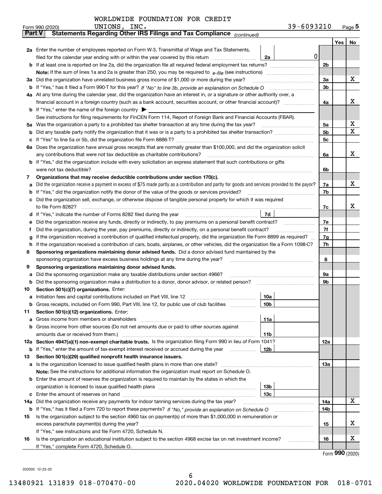|               | 39-6093210<br>UNIONS, INC.<br>Form 990 (2020)                                                                                                                                 |     |     | $_{\text{Page}}$ 5 |
|---------------|-------------------------------------------------------------------------------------------------------------------------------------------------------------------------------|-----|-----|--------------------|
| <b>Part V</b> | Statements Regarding Other IRS Filings and Tax Compliance (continued)                                                                                                         |     |     |                    |
|               |                                                                                                                                                                               |     | Yes | No                 |
|               | 2a Enter the number of employees reported on Form W-3, Transmittal of Wage and Tax Statements,                                                                                |     |     |                    |
|               | 0<br>filed for the calendar year ending with or within the year covered by this return<br>2a                                                                                  |     |     |                    |
|               |                                                                                                                                                                               | 2b  |     |                    |
|               |                                                                                                                                                                               |     |     |                    |
|               | 3a Did the organization have unrelated business gross income of \$1,000 or more during the year?                                                                              | 3a  |     | х                  |
|               |                                                                                                                                                                               | 3b  |     |                    |
|               | 4a At any time during the calendar year, did the organization have an interest in, or a signature or other authority over, a                                                  |     |     |                    |
|               |                                                                                                                                                                               | 4a  |     | х                  |
|               | <b>b</b> If "Yes," enter the name of the foreign country $\blacktriangleright$                                                                                                |     |     |                    |
|               | See instructions for filing requirements for FinCEN Form 114, Report of Foreign Bank and Financial Accounts (FBAR).                                                           |     |     |                    |
|               |                                                                                                                                                                               | 5а  |     | х                  |
| b             |                                                                                                                                                                               | 5b  |     | X                  |
| c             |                                                                                                                                                                               | 5c  |     |                    |
|               | 6a Does the organization have annual gross receipts that are normally greater than \$100,000, and did the organization solicit                                                |     |     |                    |
|               |                                                                                                                                                                               | 6a  |     | х                  |
|               | <b>b</b> If "Yes," did the organization include with every solicitation an express statement that such contributions or gifts                                                 |     |     |                    |
|               | were not tax deductible?                                                                                                                                                      | 6b  |     |                    |
| 7             | Organizations that may receive deductible contributions under section 170(c).                                                                                                 |     |     |                    |
| а             | Did the organization receive a payment in excess of \$75 made partly as a contribution and partly for goods and services provided to the payor?                               | 7a  |     | х                  |
| b             | If "Yes," did the organization notify the donor of the value of the goods or services provided?                                                                               | 7b  |     |                    |
|               | c Did the organization sell, exchange, or otherwise dispose of tangible personal property for which it was required                                                           |     |     |                    |
|               |                                                                                                                                                                               | 7c  |     | х                  |
|               | 7d                                                                                                                                                                            |     |     |                    |
| е             | Did the organization receive any funds, directly or indirectly, to pay premiums on a personal benefit contract?                                                               | 7e  |     |                    |
| f             | Did the organization, during the year, pay premiums, directly or indirectly, on a personal benefit contract?                                                                  | 7f  |     |                    |
| g             | If the organization received a contribution of qualified intellectual property, did the organization file Form 8899 as required?                                              | 7g  |     |                    |
| h.            | If the organization received a contribution of cars, boats, airplanes, or other vehicles, did the organization file a Form 1098-C?                                            | 7h  |     |                    |
| 8             | Sponsoring organizations maintaining donor advised funds. Did a donor advised fund maintained by the                                                                          |     |     |                    |
|               | sponsoring organization have excess business holdings at any time during the year?                                                                                            | 8   |     |                    |
| 9             | Sponsoring organizations maintaining donor advised funds.                                                                                                                     |     |     |                    |
| а             | Did the sponsoring organization make any taxable distributions under section 4966?                                                                                            | 9а  |     |                    |
| b             | Did the sponsoring organization make a distribution to a donor, donor advisor, or related person?                                                                             | 9b  |     |                    |
| 10            | Section 501(c)(7) organizations. Enter:                                                                                                                                       |     |     |                    |
|               | 10a                                                                                                                                                                           |     |     |                    |
|               | 10b <br>Gross receipts, included on Form 990, Part VIII, line 12, for public use of club facilities                                                                           |     |     |                    |
| 11            | Section 501(c)(12) organizations. Enter:                                                                                                                                      |     |     |                    |
| a             | Gross income from members or shareholders<br>11a                                                                                                                              |     |     |                    |
|               | b Gross income from other sources (Do not net amounts due or paid to other sources against                                                                                    |     |     |                    |
|               | 11b                                                                                                                                                                           |     |     |                    |
|               | 12a Section 4947(a)(1) non-exempt charitable trusts. Is the organization filing Form 990 in lieu of Form 1041?                                                                | 12a |     |                    |
|               | 12b<br><b>b</b> If "Yes," enter the amount of tax-exempt interest received or accrued during the year                                                                         |     |     |                    |
| 13            | Section 501(c)(29) qualified nonprofit health insurance issuers.                                                                                                              |     |     |                    |
|               | <b>a</b> Is the organization licensed to issue qualified health plans in more than one state?                                                                                 | 13a |     |                    |
|               | Note: See the instructions for additional information the organization must report on Schedule O.                                                                             |     |     |                    |
|               | <b>b</b> Enter the amount of reserves the organization is required to maintain by the states in which the                                                                     |     |     |                    |
|               | 13b                                                                                                                                                                           |     |     |                    |
|               | 13с                                                                                                                                                                           |     |     | x                  |
| 14a           | Did the organization receive any payments for indoor tanning services during the tax year?                                                                                    | 14a |     |                    |
|               | <b>b</b> If "Yes," has it filed a Form 720 to report these payments? If "No," provide an explanation on Schedule O                                                            | 14b |     |                    |
| 15            | Is the organization subject to the section 4960 tax on payment(s) of more than \$1,000,000 in remuneration or                                                                 |     |     | х                  |
|               |                                                                                                                                                                               | 15  |     |                    |
|               | If "Yes," see instructions and file Form 4720, Schedule N.<br>Is the organization an educational institution subject to the section 4968 excise tax on net investment income? |     |     | х                  |
| 16            | If "Yes," complete Form 4720, Schedule O.                                                                                                                                     | 16  |     |                    |
|               |                                                                                                                                                                               |     |     |                    |

6

Form (2020) **990**

032005 12-23-20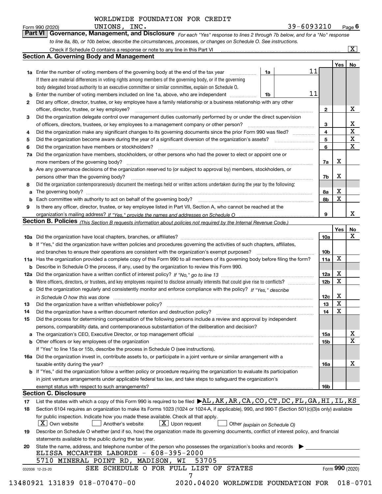*For each "Yes" response to lines 2 through 7b below, and for a "No" response to line 8a, 8b, or 10b below, describe the circumstances, processes, or changes on Schedule O. See instructions.* Form 990 (2020) **CONTIGUAT CONS, INC.**<br>**Part VI Governance, Management, and Disclosure** For each "Yes" response to lines 2 through 7b below, and for a "No" response

|        |                                                                                                                                                                               |    |    |                 | Yes   No    |                 |
|--------|-------------------------------------------------------------------------------------------------------------------------------------------------------------------------------|----|----|-----------------|-------------|-----------------|
|        | <b>1a</b> Enter the number of voting members of the governing body at the end of the tax year                                                                                 | 1a | 11 |                 |             |                 |
|        | If there are material differences in voting rights among members of the governing body, or if the governing                                                                   |    |    |                 |             |                 |
|        | body delegated broad authority to an executive committee or similar committee, explain on Schedule O.                                                                         |    |    |                 |             |                 |
| b      | Enter the number of voting members included on line 1a, above, who are independent                                                                                            | 1b | 11 |                 |             |                 |
| 2      | Did any officer, director, trustee, or key employee have a family relationship or a business relationship with any other                                                      |    |    |                 |             |                 |
|        | officer, director, trustee, or key employee?                                                                                                                                  |    |    | 2               |             | X               |
| 3      | Did the organization delegate control over management duties customarily performed by or under the direct supervision                                                         |    |    |                 |             |                 |
|        |                                                                                                                                                                               |    |    | 3               |             | Х               |
| 4      | Did the organization make any significant changes to its governing documents since the prior Form 990 was filed?                                                              |    |    | 4               |             | $\mathbf X$     |
| 5      |                                                                                                                                                                               |    |    | 5               |             | $\mathbf X$     |
| 6      | Did the organization have members or stockholders?                                                                                                                            |    |    | 6               |             | $\mathbf{x}$    |
| 7a     | Did the organization have members, stockholders, or other persons who had the power to elect or appoint one or                                                                |    |    |                 |             |                 |
|        |                                                                                                                                                                               |    |    | 7a              | х           |                 |
|        | b Are any governance decisions of the organization reserved to (or subject to approval by) members, stockholders, or                                                          |    |    |                 |             |                 |
|        | persons other than the governing body?                                                                                                                                        |    |    | 7b              | X           |                 |
| 8      | Did the organization contemporaneously document the meetings held or written actions undertaken during the vear by the following:                                             |    |    |                 |             |                 |
| a      |                                                                                                                                                                               |    |    | 8a              | х           |                 |
|        |                                                                                                                                                                               |    |    | 8b              | X           |                 |
| b<br>9 | Is there any officer, director, trustee, or key employee listed in Part VII, Section A, who cannot be reached at the                                                          |    |    |                 |             |                 |
|        |                                                                                                                                                                               |    |    | 9               |             | x               |
|        |                                                                                                                                                                               |    |    |                 |             |                 |
|        | Section B. Policies <i>(This Section B requests information about policies not required by the Internal Revenue Code.)</i>                                                    |    |    |                 |             |                 |
|        |                                                                                                                                                                               |    |    |                 | Yes         | No<br>X         |
|        |                                                                                                                                                                               |    |    | 10a             |             |                 |
|        | <b>b</b> If "Yes," did the organization have written policies and procedures governing the activities of such chapters, affiliates,                                           |    |    |                 |             |                 |
|        |                                                                                                                                                                               |    |    | 10 <sub>b</sub> |             |                 |
|        | 11a Has the organization provided a complete copy of this Form 990 to all members of its governing body before filing the form?                                               |    |    | 11a             | X           |                 |
|        | <b>b</b> Describe in Schedule O the process, if any, used by the organization to review this Form 990.                                                                        |    |    |                 |             |                 |
|        |                                                                                                                                                                               |    |    | 12a             | X           |                 |
| b      |                                                                                                                                                                               |    |    | 12 <sub>b</sub> | $\mathbf X$ |                 |
|        | c Did the organization regularly and consistently monitor and enforce compliance with the policy? If "Yes." describe                                                          |    |    |                 |             |                 |
|        | in Schedule O how this was done manufactured and continuum control of the Schedule O how this was done manufactured and continuum control of the Schedule O how this was done |    |    | 12c             | х           |                 |
| 13     |                                                                                                                                                                               |    |    | 13              | X           |                 |
| 14     |                                                                                                                                                                               |    |    | 14              | X           |                 |
| 15     | Did the process for determining compensation of the following persons include a review and approval by independent                                                            |    |    |                 |             |                 |
|        | persons, comparability data, and contemporaneous substantiation of the deliberation and decision?                                                                             |    |    |                 |             |                 |
| а      | The organization's CEO, Executive Director, or top management official manufactured content content of the organization's CEO, Executive Director, or top management official |    |    | <b>15a</b>      |             | X               |
|        |                                                                                                                                                                               |    |    | 15 <sub>b</sub> |             | $\mathbf X$     |
|        | If "Yes" to line 15a or 15b, describe the process in Schedule O (see instructions).                                                                                           |    |    |                 |             |                 |
|        | 16a Did the organization invest in, contribute assets to, or participate in a joint venture or similar arrangement with a                                                     |    |    |                 |             |                 |
|        | taxable entity during the year?                                                                                                                                               |    |    | 16a             |             | х               |
|        | b If "Yes," did the organization follow a written policy or procedure requiring the organization to evaluate its participation                                                |    |    |                 |             |                 |
|        | in joint venture arrangements under applicable federal tax law, and take steps to safeguard the organization's                                                                |    |    |                 |             |                 |
|        |                                                                                                                                                                               |    |    | <b>16b</b>      |             |                 |
|        | <b>Section C. Disclosure</b>                                                                                                                                                  |    |    |                 |             |                 |
| 17     | List the states with which a copy of this Form 990 is required to be filed $\blacktriangleright$ AL, AK, AR, CA, CO, CT, DC, FL, GA, HI, IL, KS                               |    |    |                 |             |                 |
| 18     | Section 6104 requires an organization to make its Forms 1023 (1024 or 1024-A, if applicable), 990, and 990-T (Section 501(c)(3)s only) available                              |    |    |                 |             |                 |
|        | for public inspection. Indicate how you made these available. Check all that apply.                                                                                           |    |    |                 |             |                 |
|        | $\boxed{\text{X}}$ Upon request<br>$\mid$ $\rm X \mid$ Own website<br>  Another's website<br>Other (explain on Schedule O)                                                    |    |    |                 |             |                 |
| 19     | Describe on Schedule O whether (and if so, how) the organization made its governing documents, conflict of interest policy, and financial                                     |    |    |                 |             |                 |
|        | statements available to the public during the tax year.                                                                                                                       |    |    |                 |             |                 |
| 20     | State the name, address, and telephone number of the person who possesses the organization's books and records                                                                |    |    |                 |             |                 |
|        | ELISSA MCCARTER LABORDE - 608-395-2000                                                                                                                                        |    |    |                 |             |                 |
|        | 5710 MINERAL POINT RD, MADISON, WI<br>53705                                                                                                                                   |    |    |                 |             |                 |
|        |                                                                                                                                                                               |    |    |                 |             | Form 990 (2020) |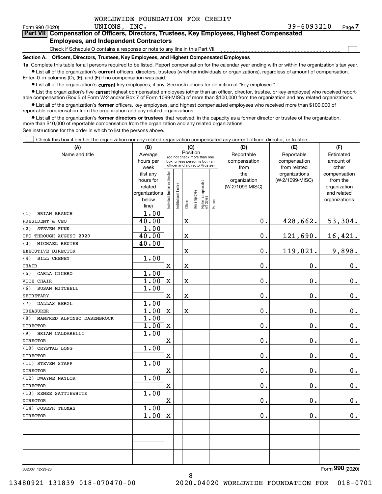|  | WORLDWIDE FOUNDATION FOR CREDIT |  |  |
|--|---------------------------------|--|--|
|--|---------------------------------|--|--|

 $\mathcal{L}^{\text{max}}$ 

| Form 990 (2020) |                                               | UNIONS. | INC. |                                                                                            | 39-6093210 | Page <i>I</i> |
|-----------------|-----------------------------------------------|---------|------|--------------------------------------------------------------------------------------------|------------|---------------|
|                 |                                               |         |      | Part VII Compensation of Officers, Directors, Trustees, Key Employees, Highest Compensated |            |               |
|                 | <b>Employees, and Independent Contractors</b> |         |      |                                                                                            |            |               |

Check if Schedule O contains a response or note to any line in this Part VII

**Section A. Officers, Directors, Trustees, Key Employees, and Highest Compensated Employees**

**1a**  Complete this table for all persons required to be listed. Report compensation for the calendar year ending with or within the organization's tax year. **•** List all of the organization's current officers, directors, trustees (whether individuals or organizations), regardless of amount of compensation.

Enter -0- in columns (D), (E), and (F) if no compensation was paid.

 $\bullet$  List all of the organization's  $\,$ current key employees, if any. See instructions for definition of "key employee."

**•** List the organization's five current highest compensated employees (other than an officer, director, trustee, or key employee) who received reportable compensation (Box 5 of Form W-2 and/or Box 7 of Form 1099-MISC) of more than \$100,000 from the organization and any related organizations.

**•** List all of the organization's former officers, key employees, and highest compensated employees who received more than \$100,000 of reportable compensation from the organization and any related organizations.

**former directors or trustees**  ¥ List all of the organization's that received, in the capacity as a former director or trustee of the organization, more than \$10,000 of reportable compensation from the organization and any related organizations.

See instructions for the order in which to list the persons above.

Check this box if neither the organization nor any related organization compensated any current officer, director, or trustee.  $\mathcal{L}^{\text{max}}$ 

| (A)                               | (B)                    | (C)                           |                                         |             |              |                                                                  |        | (D)                             | (E)             | (F)                      |
|-----------------------------------|------------------------|-------------------------------|-----------------------------------------|-------------|--------------|------------------------------------------------------------------|--------|---------------------------------|-----------------|--------------------------|
| Name and title                    | Average                |                               | Position<br>(do not check more than one |             |              |                                                                  |        | Reportable                      | Reportable      | Estimated                |
|                                   | hours per              |                               |                                         |             |              | box, unless person is both an<br>officer and a director/trustee) |        | compensation                    | compensation    | amount of                |
|                                   | week                   |                               |                                         |             |              |                                                                  |        | from                            | from related    | other                    |
|                                   | (list any<br>hours for |                               |                                         |             |              |                                                                  |        | the                             | organizations   | compensation<br>from the |
|                                   | related                |                               |                                         |             |              |                                                                  |        | organization<br>(W-2/1099-MISC) | (W-2/1099-MISC) | organization             |
|                                   | organizations          |                               |                                         |             |              |                                                                  |        |                                 |                 | and related              |
|                                   | below                  | ndividual trustee or director | nstitutional trustee                    |             | key employee |                                                                  |        |                                 |                 | organizations            |
|                                   | line)                  |                               |                                         | Officer     |              | Highest compensated<br> employee                                 | Former |                                 |                 |                          |
| BRIAN BRANCH<br>(1)               | 1.00                   |                               |                                         |             |              |                                                                  |        |                                 |                 |                          |
| PRESIDENT & CEO                   | 40.00                  |                               |                                         | $\mathbf x$ |              |                                                                  |        | $0$ .                           | 428,662.        | 53,304.                  |
| STEVEN FUNK<br>(2)                | 1.00                   |                               |                                         |             |              |                                                                  |        |                                 |                 |                          |
| CFO THROUGH AUGUST 2020           | 40.00                  |                               |                                         | $\rm X$     |              |                                                                  |        | 0.                              | 121,690.        | 16, 421.                 |
| MICHAEL REUTER<br>(3)             | 40.00                  |                               |                                         |             |              |                                                                  |        |                                 |                 |                          |
| EXECUTIVE DIRECTOR                |                        |                               |                                         | $\mathbf X$ |              |                                                                  |        | $\mathbf{0}$ .                  | 119,021.        | 9,898.                   |
| <b>BILL CHENEY</b><br>(4)         | 1.00                   |                               |                                         |             |              |                                                                  |        |                                 |                 |                          |
| CHAIR                             |                        | $\mathbf X$                   |                                         | $\mathbf X$ |              |                                                                  |        | 0.                              | 0.              | $0_{.}$                  |
| CARLA CICERO<br>(5)               | 1.00                   |                               |                                         |             |              |                                                                  |        |                                 |                 |                          |
| VICE CHAIR                        | 1.00                   | $\mathbf x$                   |                                         | $\mathbf X$ |              |                                                                  |        | 0.                              | $\mathbf 0$ .   | $0_{.}$                  |
| (6)<br>SUSAN MITCHELL             | 1.00                   |                               |                                         |             |              |                                                                  |        |                                 |                 |                          |
| <b>SECRETARY</b>                  |                        | $\overline{\text{X}}$         |                                         | $\mathbf X$ |              |                                                                  |        | 0.                              | $\mathbf 0$ .   | 0.                       |
| <b>DALLAS BERGL</b><br>(7)        | 1.00                   |                               |                                         |             |              |                                                                  |        |                                 |                 |                          |
| <b>TREASURER</b>                  | 1.00                   | $\mathbf x$                   |                                         | $\rm X$     |              |                                                                  |        | $\mathbf{0}$ .                  | $\mathbf 0$ .   | 0.                       |
| MANFRED ALFONSO DASENBROCK<br>(8) | 1.00                   |                               |                                         |             |              |                                                                  |        |                                 |                 |                          |
| <b>DIRECTOR</b>                   | 1.00                   | $\mathbf X$                   |                                         |             |              |                                                                  |        | 0.                              | 0.              | $0_{.}$                  |
| (9)<br>BRIAN CALDARELLI           | 1.00                   |                               |                                         |             |              |                                                                  |        |                                 |                 |                          |
| <b>DIRECTOR</b>                   |                        | $\mathbf x$                   |                                         |             |              |                                                                  |        | 0.                              | $\mathbf 0$ .   | $\mathbf 0$ .            |
| (10) CRYSTAL LONG                 | 1.00                   |                               |                                         |             |              |                                                                  |        |                                 |                 |                          |
| <b>DIRECTOR</b>                   |                        | $\overline{\textbf{X}}$       |                                         |             |              |                                                                  |        | $\mathbf 0$ .                   | $\mathbf 0$ .   | $\mathbf 0$ .            |
| (11) STEVEN STAPP                 | 1.00                   |                               |                                         |             |              |                                                                  |        |                                 |                 |                          |
| <b>DIRECTOR</b>                   |                        | $\rm X$                       |                                         |             |              |                                                                  |        | 0.                              | $\mathbf{0}$ .  | $0_{.}$                  |
| (12) DWAYNE NAYLOR                | 1.00                   |                               |                                         |             |              |                                                                  |        |                                 |                 |                          |
| <b>DIRECTOR</b>                   |                        | $\overline{\mathbf{X}}$       |                                         |             |              |                                                                  |        | 0.                              | $\mathbf 0$ .   | $0_{.}$                  |
| (13) RENEE SATTIEWHITE            | 1.00                   |                               |                                         |             |              |                                                                  |        |                                 |                 |                          |
| <b>DIRECTOR</b>                   |                        | $\mathbf x$                   |                                         |             |              |                                                                  |        | 0.                              | $\mathbf{0}$ .  | 0.                       |
| (14) JOSEPH THOMAS                | 1.00                   |                               |                                         |             |              |                                                                  |        |                                 |                 |                          |
| <b>DIRECTOR</b>                   | 1.00                   | $\mathbf X$                   |                                         |             |              |                                                                  |        | 0.                              | $\mathbf 0$ .   | 0.                       |
|                                   |                        |                               |                                         |             |              |                                                                  |        |                                 |                 |                          |
|                                   |                        |                               |                                         |             |              |                                                                  |        |                                 |                 |                          |
|                                   |                        |                               |                                         |             |              |                                                                  |        |                                 |                 |                          |
|                                   |                        |                               |                                         |             |              |                                                                  |        |                                 |                 |                          |
|                                   |                        |                               |                                         |             |              |                                                                  |        |                                 |                 |                          |
|                                   |                        |                               |                                         |             |              |                                                                  |        |                                 |                 |                          |

8

032007 12-23-20

Form (2020) **990**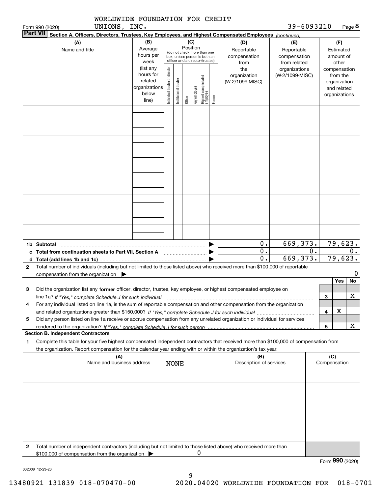|   | WORLDWIDE FOUNDATION FOR CREDIT                                                                                                                                                                                                                                                  |                                                                      |                                |                       |          |              |                                                                                                 |        |                                            | 39-6093210                                        |    |                     |                                                                          |                          |
|---|----------------------------------------------------------------------------------------------------------------------------------------------------------------------------------------------------------------------------------------------------------------------------------|----------------------------------------------------------------------|--------------------------------|-----------------------|----------|--------------|-------------------------------------------------------------------------------------------------|--------|--------------------------------------------|---------------------------------------------------|----|---------------------|--------------------------------------------------------------------------|--------------------------|
|   | UNIONS, INC.<br>Form 990 (2020)<br><b>Part VII</b><br>Section A. Officers, Directors, Trustees, Key Employees, and Highest Compensated Employees (continued)                                                                                                                     |                                                                      |                                |                       |          |              |                                                                                                 |        |                                            |                                                   |    |                     |                                                                          | Page 8                   |
|   | (A)<br>Name and title                                                                                                                                                                                                                                                            | (B)<br>Average<br>hours per<br>week                                  |                                |                       | Position | (C)          | (do not check more than one<br>box, unless person is both an<br>officer and a director/trustee) |        | (D)<br>Reportable<br>compensation<br>from  | (E)<br>Reportable<br>compensation<br>from related |    |                     | (F)<br>Estimated<br>amount of<br>other                                   |                          |
|   |                                                                                                                                                                                                                                                                                  | (list any<br>hours for<br>related<br>organizations<br>below<br>line) | Individual trustee or director | Institutional trustee | Officer  | Key employee | Highest compensated<br>employee                                                                 | Former | the<br>organization<br>(W-2/1099-MISC)     | organizations<br>(W-2/1099-MISC)                  |    |                     | compensation<br>from the<br>organization<br>and related<br>organizations |                          |
|   |                                                                                                                                                                                                                                                                                  |                                                                      |                                |                       |          |              |                                                                                                 |        |                                            |                                                   |    |                     |                                                                          |                          |
|   |                                                                                                                                                                                                                                                                                  |                                                                      |                                |                       |          |              |                                                                                                 |        |                                            |                                                   |    |                     |                                                                          |                          |
|   |                                                                                                                                                                                                                                                                                  |                                                                      |                                |                       |          |              |                                                                                                 |        |                                            |                                                   |    |                     |                                                                          |                          |
|   |                                                                                                                                                                                                                                                                                  |                                                                      |                                |                       |          |              |                                                                                                 |        |                                            |                                                   |    |                     |                                                                          |                          |
|   |                                                                                                                                                                                                                                                                                  |                                                                      |                                |                       |          |              |                                                                                                 |        |                                            |                                                   |    |                     |                                                                          |                          |
|   | 1b Subtotal                                                                                                                                                                                                                                                                      |                                                                      |                                |                       |          |              |                                                                                                 |        | 0.<br>$\overline{0}$ .<br>$\overline{0}$ . | 669, 373.<br>669,373.                             | 0. |                     |                                                                          | 79,623.<br>0.<br>79,623. |
| 2 | Total number of individuals (including but not limited to those listed above) who received more than \$100,000 of reportable<br>compensation from the organization                                                                                                               |                                                                      |                                |                       |          |              |                                                                                                 |        |                                            |                                                   |    |                     |                                                                          | 0                        |
| з | Did the organization list any former officer, director, trustee, key employee, or highest compensated employee on                                                                                                                                                                |                                                                      |                                |                       |          |              |                                                                                                 |        |                                            |                                                   |    |                     | Yes                                                                      | No                       |
| 4 | line 1a? If "Yes," complete Schedule J for such individual manufactured contained and the line 1a? If "Yes," complete Schedule J for such individual<br>For any individual listed on line 1a, is the sum of reportable compensation and other compensation from the organization |                                                                      |                                |                       |          |              |                                                                                                 |        |                                            |                                                   |    | з                   |                                                                          | $\mathbf X$              |
| 5 | Did any person listed on line 1a receive or accrue compensation from any unrelated organization or individual for services                                                                                                                                                       |                                                                      |                                |                       |          |              |                                                                                                 |        |                                            |                                                   |    | 4                   | х                                                                        |                          |
|   | <b>Section B. Independent Contractors</b>                                                                                                                                                                                                                                        |                                                                      |                                |                       |          |              |                                                                                                 |        |                                            |                                                   |    | 5                   |                                                                          | x                        |
| 1 | Complete this table for your five highest compensated independent contractors that received more than \$100,000 of compensation from<br>the organization. Report compensation for the calendar year ending with or within the organization's tax year.                           |                                                                      |                                |                       |          |              |                                                                                                 |        |                                            |                                                   |    |                     |                                                                          |                          |
|   | (A)<br>Name and business address                                                                                                                                                                                                                                                 |                                                                      |                                | <b>NONE</b>           |          |              |                                                                                                 |        | (B)<br>Description of services             |                                                   |    | (C)<br>Compensation |                                                                          |                          |
|   |                                                                                                                                                                                                                                                                                  |                                                                      |                                |                       |          |              |                                                                                                 |        |                                            |                                                   |    |                     |                                                                          |                          |
|   |                                                                                                                                                                                                                                                                                  |                                                                      |                                |                       |          |              |                                                                                                 |        |                                            |                                                   |    |                     |                                                                          |                          |
|   |                                                                                                                                                                                                                                                                                  |                                                                      |                                |                       |          |              |                                                                                                 |        |                                            |                                                   |    |                     |                                                                          |                          |
|   |                                                                                                                                                                                                                                                                                  |                                                                      |                                |                       |          |              |                                                                                                 |        |                                            |                                                   |    |                     |                                                                          |                          |
| 2 | Total number of independent contractors (including but not limited to those listed above) who received more than                                                                                                                                                                 |                                                                      |                                |                       |          |              |                                                                                                 |        |                                            |                                                   |    |                     |                                                                          |                          |
|   | \$100,000 of compensation from the organization                                                                                                                                                                                                                                  |                                                                      |                                |                       |          |              | Ü                                                                                               |        |                                            |                                                   |    |                     |                                                                          |                          |

032008 12-23-20

Form (2020) **990**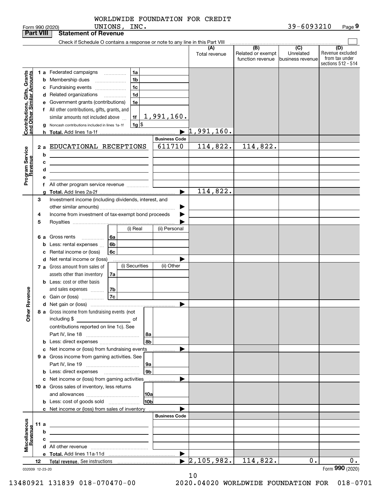|                                                           |    |      | UNIONS, INC.<br>Form 990 (2020)                                                                                       |                       |                                  |                                              | 39-6093210                                        | Page 9                                                          |
|-----------------------------------------------------------|----|------|-----------------------------------------------------------------------------------------------------------------------|-----------------------|----------------------------------|----------------------------------------------|---------------------------------------------------|-----------------------------------------------------------------|
| <b>Part VIII</b>                                          |    |      | <b>Statement of Revenue</b>                                                                                           |                       |                                  |                                              |                                                   |                                                                 |
|                                                           |    |      | Check if Schedule O contains a response or note to any line in this Part VIII                                         |                       |                                  |                                              |                                                   |                                                                 |
|                                                           |    |      |                                                                                                                       |                       | (A)<br>Total revenue             | (B)<br>Related or exempt<br>function revenue | $\overline{(C)}$<br>Unrelated<br>business revenue | (D)<br>Revenue excluded<br>from tax under<br>sections 512 - 514 |
|                                                           |    |      | 1 a Federated campaigns<br>1a                                                                                         |                       |                                  |                                              |                                                   |                                                                 |
| Contributions, Gifts, Grants<br>and Other Similar Amounts |    |      | 1 <sub>b</sub><br><b>b</b> Membership dues                                                                            |                       |                                  |                                              |                                                   |                                                                 |
|                                                           |    |      | 1 <sub>c</sub><br>c Fundraising events                                                                                |                       |                                  |                                              |                                                   |                                                                 |
|                                                           |    |      | 1 <sub>d</sub><br>d Related organizations<br>$\overline{\phantom{a}}$                                                 |                       |                                  |                                              |                                                   |                                                                 |
|                                                           |    |      | e Government grants (contributions)<br>1e                                                                             |                       |                                  |                                              |                                                   |                                                                 |
|                                                           |    |      | f All other contributions, gifts, grants, and                                                                         |                       |                                  |                                              |                                                   |                                                                 |
|                                                           |    |      | 1f<br>similar amounts not included above                                                                              | <u>1,991,160.</u>     |                                  |                                              |                                                   |                                                                 |
|                                                           |    |      | $1g$ \$<br>Noncash contributions included in lines 1a-1f                                                              |                       |                                  |                                              |                                                   |                                                                 |
|                                                           |    |      |                                                                                                                       | $\blacktriangleright$ | 1,991,160.                       |                                              |                                                   |                                                                 |
|                                                           |    |      |                                                                                                                       | <b>Business Code</b>  |                                  |                                              |                                                   |                                                                 |
|                                                           |    | 2a   | EDUCATIONAL RECEPTIONS                                                                                                | 611710                | 114,822.                         | 114,822.                                     |                                                   |                                                                 |
| Program Service<br>Revenue                                |    | b    | <u> 1989 - Johann Barn, mars ann an t-Amhain Aonaich an t-Aonaich an t-Aonaich ann an t-Aonaich ann an t-Aonaich</u>  |                       |                                  |                                              |                                                   |                                                                 |
|                                                           |    | с    | the contract of the contract of the contract of the contract of the contract of                                       |                       |                                  |                                              |                                                   |                                                                 |
|                                                           |    | d    | <u> 1989 - Johann Stein, marwolaethau a bhann an t-Amhainn an t-Amhainn an t-Amhainn an t-Amhainn an t-Amhainn an</u> |                       |                                  |                                              |                                                   |                                                                 |
|                                                           |    | е    |                                                                                                                       |                       |                                  |                                              |                                                   |                                                                 |
|                                                           |    |      | f All other program service revenue                                                                                   |                       |                                  |                                              |                                                   |                                                                 |
|                                                           |    | a    |                                                                                                                       | ▶                     | 114,822.                         |                                              |                                                   |                                                                 |
|                                                           | 3  |      | Investment income (including dividends, interest, and                                                                 |                       |                                  |                                              |                                                   |                                                                 |
|                                                           |    |      |                                                                                                                       | ▶                     |                                  |                                              |                                                   |                                                                 |
|                                                           | 4  |      | Income from investment of tax-exempt bond proceeds                                                                    |                       |                                  |                                              |                                                   |                                                                 |
|                                                           | 5  |      |                                                                                                                       |                       |                                  |                                              |                                                   |                                                                 |
|                                                           |    |      | (i) Real                                                                                                              | (ii) Personal         |                                  |                                              |                                                   |                                                                 |
|                                                           |    | 6а   | Gross rents<br>6a                                                                                                     |                       |                                  |                                              |                                                   |                                                                 |
|                                                           |    | b    | .<br>6b<br>Less: rental expenses                                                                                      |                       |                                  |                                              |                                                   |                                                                 |
|                                                           |    |      | 6c<br>c Rental income or (loss)                                                                                       |                       |                                  |                                              |                                                   |                                                                 |
|                                                           |    |      | d Net rental income or (loss)                                                                                         |                       |                                  |                                              |                                                   |                                                                 |
|                                                           |    |      | (i) Securities<br>7 a Gross amount from sales of                                                                      | (ii) Other            |                                  |                                              |                                                   |                                                                 |
|                                                           |    |      | assets other than inventory<br>7a                                                                                     |                       |                                  |                                              |                                                   |                                                                 |
|                                                           |    |      | <b>b</b> Less: cost or other basis                                                                                    |                       |                                  |                                              |                                                   |                                                                 |
|                                                           |    |      | 7b                                                                                                                    |                       |                                  |                                              |                                                   |                                                                 |
| evenue                                                    |    |      | and sales expenses<br>7c<br>c Gain or (loss)                                                                          |                       |                                  |                                              |                                                   |                                                                 |
|                                                           |    |      |                                                                                                                       |                       |                                  |                                              |                                                   |                                                                 |
| Other R                                                   |    |      | 8 a Gross income from fundraising events (not                                                                         |                       |                                  |                                              |                                                   |                                                                 |
|                                                           |    |      | including \$<br>$\overline{\phantom{a}}$ of                                                                           |                       |                                  |                                              |                                                   |                                                                 |
|                                                           |    |      | contributions reported on line 1c). See                                                                               |                       |                                  |                                              |                                                   |                                                                 |
|                                                           |    |      | 8a                                                                                                                    |                       |                                  |                                              |                                                   |                                                                 |
|                                                           |    |      | 8b<br>b Less: direct expenses                                                                                         |                       |                                  |                                              |                                                   |                                                                 |
|                                                           |    |      | c Net income or (loss) from fundraising events                                                                        |                       |                                  |                                              |                                                   |                                                                 |
|                                                           |    |      | 9 a Gross income from gaming activities. See                                                                          |                       |                                  |                                              |                                                   |                                                                 |
|                                                           |    |      | 9a                                                                                                                    |                       |                                  |                                              |                                                   |                                                                 |
|                                                           |    |      | 9 <sub>b</sub><br><b>b</b> Less: direct expenses <b>manually</b>                                                      |                       |                                  |                                              |                                                   |                                                                 |
|                                                           |    |      | c Net income or (loss) from gaming activities                                                                         |                       |                                  |                                              |                                                   |                                                                 |
|                                                           |    |      | 10 a Gross sales of inventory, less returns                                                                           | .                     |                                  |                                              |                                                   |                                                                 |
|                                                           |    |      | 10a                                                                                                                   |                       |                                  |                                              |                                                   |                                                                 |
|                                                           |    |      | 10 <sub>b</sub>                                                                                                       |                       |                                  |                                              |                                                   |                                                                 |
|                                                           |    |      | c Net income or (loss) from sales of inventory                                                                        |                       |                                  |                                              |                                                   |                                                                 |
|                                                           |    |      |                                                                                                                       | <b>Business Code</b>  |                                  |                                              |                                                   |                                                                 |
| Miscellaneous<br>Revenue                                  |    | 11 a |                                                                                                                       |                       |                                  |                                              |                                                   |                                                                 |
|                                                           |    | b    |                                                                                                                       |                       |                                  |                                              |                                                   |                                                                 |
|                                                           |    | с    | the control of the control of the control of the control of the control of                                            |                       |                                  |                                              |                                                   |                                                                 |
|                                                           |    |      |                                                                                                                       |                       |                                  |                                              |                                                   |                                                                 |
|                                                           |    |      |                                                                                                                       | $\blacktriangleright$ |                                  |                                              |                                                   |                                                                 |
|                                                           | 12 |      |                                                                                                                       |                       | $\blacktriangleright$ 2,105,982. | 114,822.                                     | 0.                                                | 0.                                                              |
| 032009 12-23-20                                           |    |      |                                                                                                                       |                       |                                  |                                              |                                                   | Form 990 (2020)                                                 |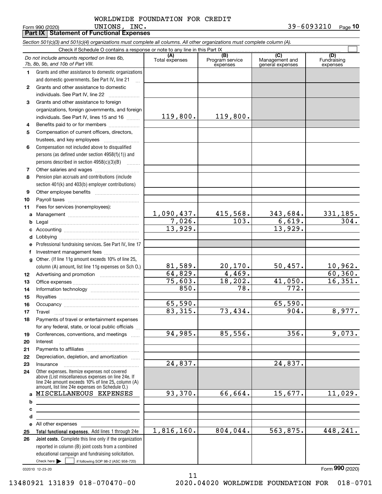Form 990 (2020) Page **Part IX Statement of Functional Expenses 10** UNIONS, INC. 39-6093210

|              | Section 501(c)(3) and 501(c)(4) organizations must complete all columns. All other organizations must complete column (A).                                                                                 |                       |                                    |                                           |                                |
|--------------|------------------------------------------------------------------------------------------------------------------------------------------------------------------------------------------------------------|-----------------------|------------------------------------|-------------------------------------------|--------------------------------|
|              | Check if Schedule O contains a response or note to any line in this Part IX                                                                                                                                |                       |                                    |                                           |                                |
|              | Do not include amounts reported on lines 6b,<br>7b, 8b, 9b, and 10b of Part VIII.                                                                                                                          | (A)<br>Total expenses | (B)<br>Program service<br>expenses | (C)<br>Management and<br>general expenses | (D)<br>Fundraising<br>expenses |
| 1.           | Grants and other assistance to domestic organizations                                                                                                                                                      |                       |                                    |                                           |                                |
|              | and domestic governments. See Part IV, line 21                                                                                                                                                             |                       |                                    |                                           |                                |
| $\mathbf{2}$ | Grants and other assistance to domestic                                                                                                                                                                    |                       |                                    |                                           |                                |
|              | individuals. See Part IV, line 22                                                                                                                                                                          |                       |                                    |                                           |                                |
| 3            | Grants and other assistance to foreign                                                                                                                                                                     |                       |                                    |                                           |                                |
|              | organizations, foreign governments, and foreign                                                                                                                                                            |                       |                                    |                                           |                                |
|              | individuals. See Part IV, lines 15 and 16                                                                                                                                                                  | 119,800.              | 119,800.                           |                                           |                                |
| 4            | Benefits paid to or for members                                                                                                                                                                            |                       |                                    |                                           |                                |
| 5            | Compensation of current officers, directors,                                                                                                                                                               |                       |                                    |                                           |                                |
|              | trustees, and key employees                                                                                                                                                                                |                       |                                    |                                           |                                |
| 6            | Compensation not included above to disqualified                                                                                                                                                            |                       |                                    |                                           |                                |
|              | persons (as defined under section 4958(f)(1)) and                                                                                                                                                          |                       |                                    |                                           |                                |
|              | persons described in section 4958(c)(3)(B)                                                                                                                                                                 |                       |                                    |                                           |                                |
| 7            |                                                                                                                                                                                                            |                       |                                    |                                           |                                |
| 8            | Pension plan accruals and contributions (include                                                                                                                                                           |                       |                                    |                                           |                                |
|              | section 401(k) and 403(b) employer contributions)                                                                                                                                                          |                       |                                    |                                           |                                |
| 9            |                                                                                                                                                                                                            |                       |                                    |                                           |                                |
| 10           |                                                                                                                                                                                                            |                       |                                    |                                           |                                |
| 11           | Fees for services (nonemployees):                                                                                                                                                                          |                       |                                    |                                           |                                |
| a            |                                                                                                                                                                                                            | <u>1,090,437.</u>     | 415,568.                           | 343,684.                                  | 331,185.                       |
| b            |                                                                                                                                                                                                            | 7,026.                | $\overline{103}$ .                 | 6,619.                                    | 304.                           |
| c            |                                                                                                                                                                                                            | 13,929.               |                                    | 13,929.                                   |                                |
| d            |                                                                                                                                                                                                            |                       |                                    |                                           |                                |
| e            | Professional fundraising services. See Part IV, line 17                                                                                                                                                    |                       |                                    |                                           |                                |
| f            | Investment management fees                                                                                                                                                                                 |                       |                                    |                                           |                                |
| $\mathbf{q}$ | Other. (If line 11g amount exceeds 10% of line 25,                                                                                                                                                         |                       |                                    |                                           |                                |
|              | column (A) amount, list line 11g expenses on Sch O.)                                                                                                                                                       | 81,589.               | 20, 170.                           | 50,457.                                   | 10,962.                        |
| 12           |                                                                                                                                                                                                            | 64,829.               | 4,469.                             |                                           | 60, 360.                       |
| 13           |                                                                                                                                                                                                            | 75,603.               | 18, 202.                           | 41,050.                                   | 16,351.                        |
| 14           |                                                                                                                                                                                                            | 850.                  | 78.                                | 772.                                      |                                |
| 15           |                                                                                                                                                                                                            |                       |                                    |                                           |                                |
| 16           |                                                                                                                                                                                                            | 65,590.               |                                    | 65,590.                                   |                                |
| 17           |                                                                                                                                                                                                            | 83,315.               | 73,434.                            | 904.                                      | 8,977.                         |
| 18           | Payments of travel or entertainment expenses                                                                                                                                                               |                       |                                    |                                           |                                |
|              | for any federal, state, or local public officials                                                                                                                                                          |                       |                                    |                                           |                                |
| 19           | Conferences, conventions, and meetings                                                                                                                                                                     | 94,985.               | 85,556.                            | 356.                                      | 9,073.                         |
| 20           | Interest                                                                                                                                                                                                   |                       |                                    |                                           |                                |
| 21           |                                                                                                                                                                                                            |                       |                                    |                                           |                                |
| 22           | Depreciation, depletion, and amortization                                                                                                                                                                  |                       |                                    |                                           |                                |
| 23           | Insurance                                                                                                                                                                                                  | 24,837.               |                                    | 24,837.                                   |                                |
| 24           | Other expenses. Itemize expenses not covered<br>above (List miscellaneous expenses on line 24e. If<br>line 24e amount exceeds 10% of line 25, column (A)<br>amount, list line 24e expenses on Schedule O.) |                       |                                    |                                           |                                |
| $\mathbf{a}$ | MISCELLANEOUS EXPENSES                                                                                                                                                                                     | 93,370.               | 66,664.                            | 15,677.                                   | 11,029.                        |
| b            |                                                                                                                                                                                                            |                       |                                    |                                           |                                |
| с            |                                                                                                                                                                                                            |                       |                                    |                                           |                                |
| d            |                                                                                                                                                                                                            |                       |                                    |                                           |                                |
| е            | All other expenses                                                                                                                                                                                         |                       |                                    |                                           |                                |
| 25           | Total functional expenses. Add lines 1 through 24e                                                                                                                                                         | 1,816,160.            | 804,044.                           | 563,875.                                  | 448,241.                       |
| 26           | <b>Joint costs.</b> Complete this line only if the organization                                                                                                                                            |                       |                                    |                                           |                                |
|              | reported in column (B) joint costs from a combined                                                                                                                                                         |                       |                                    |                                           |                                |
|              | educational campaign and fundraising solicitation.                                                                                                                                                         |                       |                                    |                                           |                                |
|              | Check here $\blacktriangleright$<br>if following SOP 98-2 (ASC 958-720)                                                                                                                                    |                       |                                    |                                           |                                |

11

032010 12-23-20

Form (2020) **990**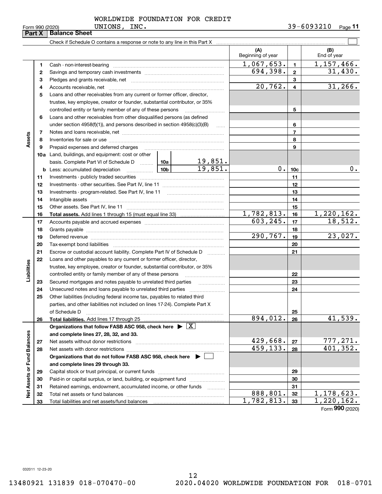| -nrm 990 (2020) |  |  |
|-----------------|--|--|

#### UNIONS, INC. WORLDWIDE FOUNDATION FOR CREDIT

|                             | FORM 990 (2020)<br>Part X | ONTOMO, TMC.<br><b>Balance Sheet</b>                                                                                                                                                                                           |  |            |                          |                 | <b>JJ-00JJ4IU</b><br>Page II |
|-----------------------------|---------------------------|--------------------------------------------------------------------------------------------------------------------------------------------------------------------------------------------------------------------------------|--|------------|--------------------------|-----------------|------------------------------|
|                             |                           |                                                                                                                                                                                                                                |  |            |                          |                 |                              |
|                             |                           |                                                                                                                                                                                                                                |  |            | (A)<br>Beginning of year |                 | (B)<br>End of year           |
|                             | 1                         | Cash - non-interest-bearing                                                                                                                                                                                                    |  |            | 1,067,653.               | $\mathbf{1}$    | 1,157,466.                   |
|                             | 2                         |                                                                                                                                                                                                                                |  |            | $\overline{694,398}$ .   | $\overline{2}$  | 31,430.                      |
|                             | 3                         |                                                                                                                                                                                                                                |  |            |                          | 3               |                              |
|                             | 4                         |                                                                                                                                                                                                                                |  |            | 20,762.                  | $\overline{4}$  | 31, 266.                     |
|                             | 5                         | Loans and other receivables from any current or former officer, director,                                                                                                                                                      |  |            |                          |                 |                              |
|                             |                           | trustee, key employee, creator or founder, substantial contributor, or 35%                                                                                                                                                     |  |            |                          |                 |                              |
|                             |                           | controlled entity or family member of any of these persons                                                                                                                                                                     |  |            |                          | 5               |                              |
|                             | 6                         | Loans and other receivables from other disqualified persons (as defined                                                                                                                                                        |  |            |                          |                 |                              |
|                             |                           | under section 4958(f)(1)), and persons described in section 4958(c)(3)(B)                                                                                                                                                      |  |            |                          | 6               |                              |
|                             | 7                         |                                                                                                                                                                                                                                |  |            |                          | $\overline{7}$  |                              |
| Assets                      | 8                         |                                                                                                                                                                                                                                |  | 8          |                          |                 |                              |
|                             | 9                         | Prepaid expenses and deferred charges                                                                                                                                                                                          |  |            |                          | 9               |                              |
|                             |                           | 10a Land, buildings, and equipment: cost or other                                                                                                                                                                              |  |            |                          |                 |                              |
|                             |                           | basis. Complete Part VI of Schedule D  10a                                                                                                                                                                                     |  | 19,851.    |                          |                 |                              |
|                             | b                         |                                                                                                                                                                                                                                |  | 19,851.    | 0.1                      | 10 <sub>c</sub> | $0$ .                        |
|                             | 11                        |                                                                                                                                                                                                                                |  | 11         |                          |                 |                              |
|                             | 12                        |                                                                                                                                                                                                                                |  | 12         |                          |                 |                              |
|                             | 13                        |                                                                                                                                                                                                                                |  |            |                          | 13              |                              |
|                             | 14                        |                                                                                                                                                                                                                                |  |            | 14                       |                 |                              |
|                             | 15                        |                                                                                                                                                                                                                                |  |            | 15                       |                 |                              |
|                             | 16                        |                                                                                                                                                                                                                                |  | 1,782,813. | 16                       | 1,220,162.      |                              |
|                             | 17                        |                                                                                                                                                                                                                                |  | 603, 245.  | 17                       | 18,512.         |                              |
|                             | 18                        |                                                                                                                                                                                                                                |  | 18         |                          |                 |                              |
|                             | 19                        | Deferred revenue material contracts and a contract of the contract of the contract of the contract of the contract of the contract of the contract of the contract of the contract of the contract of the contract of the cont |  |            | 290, 767.                | 19              | 23,027.                      |
|                             | 20                        |                                                                                                                                                                                                                                |  |            |                          | 20              |                              |
|                             | 21                        | Escrow or custodial account liability. Complete Part IV of Schedule D                                                                                                                                                          |  |            |                          | 21              |                              |
|                             | 22                        | Loans and other payables to any current or former officer, director,                                                                                                                                                           |  |            |                          |                 |                              |
|                             |                           | trustee, key employee, creator or founder, substantial contributor, or 35%                                                                                                                                                     |  |            |                          |                 |                              |
| Liabilities                 |                           | controlled entity or family member of any of these persons                                                                                                                                                                     |  |            |                          | 22              |                              |
|                             | 23                        | Secured mortgages and notes payable to unrelated third parties                                                                                                                                                                 |  |            |                          | 23              |                              |
|                             | 24                        |                                                                                                                                                                                                                                |  |            |                          | 24              |                              |
|                             | 25                        | Other liabilities (including federal income tax, payables to related third                                                                                                                                                     |  |            |                          |                 |                              |
|                             |                           | parties, and other liabilities not included on lines 17-24). Complete Part X                                                                                                                                                   |  |            |                          |                 |                              |
|                             |                           | of Schedule D                                                                                                                                                                                                                  |  |            |                          | 25              |                              |
|                             | 26                        | Total liabilities. Add lines 17 through 25                                                                                                                                                                                     |  |            | 894, 012.                | 26              | 41,539.                      |
|                             |                           | Organizations that follow FASB ASC 958, check here $\blacktriangleright \boxed{X}$                                                                                                                                             |  |            |                          |                 |                              |
|                             |                           | and complete lines 27, 28, 32, and 33.                                                                                                                                                                                         |  |            |                          |                 |                              |
|                             | 27                        | Net assets without donor restrictions                                                                                                                                                                                          |  |            | <u>429,668.</u>          | 27              | $\frac{777,271.}{401,352.}$  |
|                             | 28                        |                                                                                                                                                                                                                                |  |            | 459,133.                 | 28              |                              |
|                             |                           | Organizations that do not follow FASB ASC 958, check here $\blacktriangleright$                                                                                                                                                |  |            |                          |                 |                              |
| Net Assets or Fund Balances |                           | and complete lines 29 through 33.                                                                                                                                                                                              |  |            |                          |                 |                              |
|                             | 29                        |                                                                                                                                                                                                                                |  |            |                          | 29              |                              |
|                             | 30                        | Paid-in or capital surplus, or land, building, or equipment fund                                                                                                                                                               |  |            |                          | 30              |                              |
|                             | 31                        | Retained earnings, endowment, accumulated income, or other funds                                                                                                                                                               |  |            |                          | 31              |                              |
|                             | 32                        |                                                                                                                                                                                                                                |  |            | 888,801.                 | 32              | 1, 178, 623.                 |
|                             | 33                        |                                                                                                                                                                                                                                |  |            | 1,782,813.               | 33              | $\overline{1,220,162}$ .     |

Form (2020) **990**

032011 12-23-20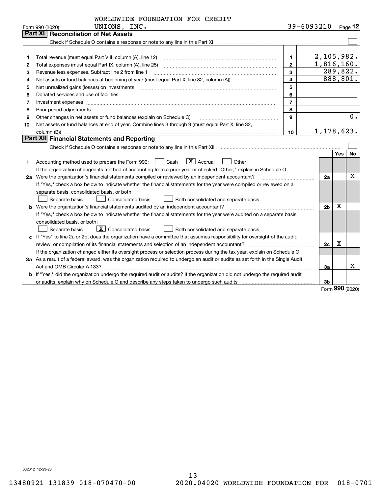|    | WORLDWIDE FOUNDATION FOR CREDIT                                                                                                                                                                                                |                |                |            |          |
|----|--------------------------------------------------------------------------------------------------------------------------------------------------------------------------------------------------------------------------------|----------------|----------------|------------|----------|
|    | UNIONS, INC.<br>Form 990 (2020)                                                                                                                                                                                                |                | 39-6093210     |            | Page 12  |
|    | Part XI<br><b>Reconciliation of Net Assets</b>                                                                                                                                                                                 |                |                |            |          |
|    |                                                                                                                                                                                                                                |                |                |            |          |
|    |                                                                                                                                                                                                                                |                |                |            |          |
| 1  |                                                                                                                                                                                                                                | 1.             | 2,105,982.     |            |          |
| 2  |                                                                                                                                                                                                                                | $\overline{2}$ | 1,816,160.     |            |          |
| 3  | Revenue less expenses. Subtract line 2 from line 1                                                                                                                                                                             | 3              |                |            | 289,822. |
| 4  |                                                                                                                                                                                                                                | 4              |                |            | 888,801. |
| 5  | Net unrealized gains (losses) on investments [11] matter contracts and the state of the state of the state of the state of the state of the state of the state of the state of the state of the state of the state of the stat | 5              |                |            |          |
| 6  |                                                                                                                                                                                                                                | 6              |                |            |          |
| 7  | Investment expenses www.communication.communication.com/www.communication.com/www.communication.com                                                                                                                            | $\overline{7}$ |                |            |          |
| 8  | Prior period adjustments                                                                                                                                                                                                       | 8              |                |            |          |
| 9  | Other changes in net assets or fund balances (explain on Schedule O)                                                                                                                                                           | 9              |                |            | $0$ .    |
| 10 | Net assets or fund balances at end of year. Combine lines 3 through 9 (must equal Part X, line 32,                                                                                                                             |                |                |            |          |
|    | column (B))                                                                                                                                                                                                                    | 10             | 1, 178, 623.   |            |          |
|    | Part XII Financial Statements and Reporting                                                                                                                                                                                    |                |                |            |          |
|    |                                                                                                                                                                                                                                |                |                |            |          |
|    |                                                                                                                                                                                                                                |                |                | <b>Yes</b> | No       |
| 1  | $\boxed{\text{X}}$ Accrual<br>Other<br>Cash<br>Accounting method used to prepare the Form 990:                                                                                                                                 |                |                |            |          |
|    | If the organization changed its method of accounting from a prior year or checked "Other," explain in Schedule O.                                                                                                              |                |                |            |          |
|    | 2a Were the organization's financial statements compiled or reviewed by an independent accountant?                                                                                                                             |                | 2a             |            | X        |
|    | If "Yes," check a box below to indicate whether the financial statements for the year were compiled or reviewed on a                                                                                                           |                |                |            |          |
|    | separate basis, consolidated basis, or both:                                                                                                                                                                                   |                |                |            |          |
|    | Separate basis<br><b>Consolidated basis</b><br>Both consolidated and separate basis                                                                                                                                            |                |                |            |          |
|    | <b>b</b> Were the organization's financial statements audited by an independent accountant?                                                                                                                                    |                | 2 <sub>b</sub> | Х          |          |
|    | If "Yes," check a box below to indicate whether the financial statements for the year were audited on a separate basis,                                                                                                        |                |                |            |          |
|    | consolidated basis, or both:                                                                                                                                                                                                   |                |                |            |          |
|    | $\boxed{\textbf{X}}$ Consolidated basis<br>Separate basis<br><b>Both consolidated and separate basis</b>                                                                                                                       |                |                |            |          |
|    | c If "Yes" to line 2a or 2b, does the organization have a committee that assumes responsibility for oversight of the audit,                                                                                                    |                |                |            |          |
|    |                                                                                                                                                                                                                                |                | 2c             | X          |          |
|    | If the organization changed either its oversight process or selection process during the tax year, explain on Schedule O.                                                                                                      |                |                |            |          |
|    | 3a As a result of a federal award, was the organization required to undergo an audit or audits as set forth in the Single Audit                                                                                                |                |                |            |          |
|    |                                                                                                                                                                                                                                |                | За             |            | x        |
|    | <b>b</b> If "Yes," did the organization undergo the required audit or audits? If the organization did not undergo the required audit                                                                                           |                |                |            |          |
|    |                                                                                                                                                                                                                                |                | 3b             |            |          |

Form (2020) **990**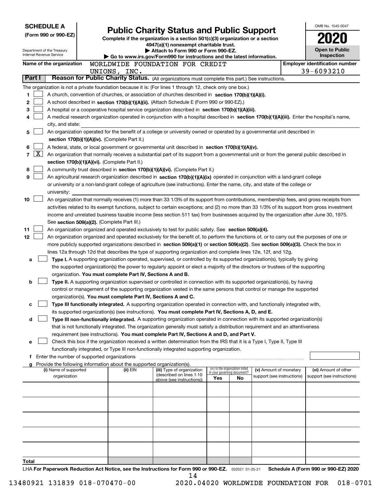|                                                                                                       | <b>SCHEDULE A</b>                                                                                                                                                                                                                                                                        |  |                                                                                    |                                                                                                                                                                                                 |     |                                   |                            |  | OMB No. 1545-0047                     |  |  |  |  |
|-------------------------------------------------------------------------------------------------------|------------------------------------------------------------------------------------------------------------------------------------------------------------------------------------------------------------------------------------------------------------------------------------------|--|------------------------------------------------------------------------------------|-------------------------------------------------------------------------------------------------------------------------------------------------------------------------------------------------|-----|-----------------------------------|----------------------------|--|---------------------------------------|--|--|--|--|
|                                                                                                       | (Form 990 or 990-EZ)                                                                                                                                                                                                                                                                     |  |                                                                                    | <b>Public Charity Status and Public Support</b>                                                                                                                                                 |     |                                   |                            |  |                                       |  |  |  |  |
|                                                                                                       |                                                                                                                                                                                                                                                                                          |  |                                                                                    | Complete if the organization is a section 501(c)(3) organization or a section<br>4947(a)(1) nonexempt charitable trust.                                                                         |     |                                   |                            |  |                                       |  |  |  |  |
|                                                                                                       | Department of the Treasury                                                                                                                                                                                                                                                               |  |                                                                                    | Attach to Form 990 or Form 990-EZ.                                                                                                                                                              |     |                                   |                            |  | <b>Open to Public</b>                 |  |  |  |  |
| Internal Revenue Service                                                                              |                                                                                                                                                                                                                                                                                          |  |                                                                                    | Go to www.irs.gov/Form990 for instructions and the latest information.                                                                                                                          |     |                                   |                            |  | Inspection                            |  |  |  |  |
|                                                                                                       | Name of the organization                                                                                                                                                                                                                                                                 |  |                                                                                    | WORLDWIDE FOUNDATION FOR CREDIT                                                                                                                                                                 |     |                                   |                            |  | <b>Employer identification number</b> |  |  |  |  |
| Part I                                                                                                |                                                                                                                                                                                                                                                                                          |  | UNIONS, INC.                                                                       |                                                                                                                                                                                                 |     |                                   |                            |  | 39-6093210                            |  |  |  |  |
|                                                                                                       |                                                                                                                                                                                                                                                                                          |  |                                                                                    | Reason for Public Charity Status. (All organizations must complete this part.) See instructions.                                                                                                |     |                                   |                            |  |                                       |  |  |  |  |
|                                                                                                       |                                                                                                                                                                                                                                                                                          |  |                                                                                    | The organization is not a private foundation because it is: (For lines 1 through 12, check only one box.)                                                                                       |     |                                   |                            |  |                                       |  |  |  |  |
| 1.<br>2                                                                                               |                                                                                                                                                                                                                                                                                          |  |                                                                                    | A church, convention of churches, or association of churches described in section 170(b)(1)(A)(i).<br>A school described in section 170(b)(1)(A)(ii). (Attach Schedule E (Form 990 or 990-EZ).) |     |                                   |                            |  |                                       |  |  |  |  |
| 3                                                                                                     |                                                                                                                                                                                                                                                                                          |  |                                                                                    | A hospital or a cooperative hospital service organization described in section 170(b)(1)(A)(iii).                                                                                               |     |                                   |                            |  |                                       |  |  |  |  |
| 4                                                                                                     |                                                                                                                                                                                                                                                                                          |  |                                                                                    | A medical research organization operated in conjunction with a hospital described in section 170(b)(1)(A)(iii). Enter the hospital's name,                                                      |     |                                   |                            |  |                                       |  |  |  |  |
|                                                                                                       | city, and state:                                                                                                                                                                                                                                                                         |  |                                                                                    |                                                                                                                                                                                                 |     |                                   |                            |  |                                       |  |  |  |  |
| 5                                                                                                     |                                                                                                                                                                                                                                                                                          |  |                                                                                    | An organization operated for the benefit of a college or university owned or operated by a governmental unit described in                                                                       |     |                                   |                            |  |                                       |  |  |  |  |
|                                                                                                       |                                                                                                                                                                                                                                                                                          |  | section 170(b)(1)(A)(iv). (Complete Part II.)                                      |                                                                                                                                                                                                 |     |                                   |                            |  |                                       |  |  |  |  |
| A federal, state, or local government or governmental unit described in section 170(b)(1)(A)(v).<br>6 |                                                                                                                                                                                                                                                                                          |  |                                                                                    |                                                                                                                                                                                                 |     |                                   |                            |  |                                       |  |  |  |  |
| $\overline{\mathbf{X}}$<br>7                                                                          |                                                                                                                                                                                                                                                                                          |  |                                                                                    | An organization that normally receives a substantial part of its support from a governmental unit or from the general public described in                                                       |     |                                   |                            |  |                                       |  |  |  |  |
|                                                                                                       |                                                                                                                                                                                                                                                                                          |  | section 170(b)(1)(A)(vi). (Complete Part II.)                                      |                                                                                                                                                                                                 |     |                                   |                            |  |                                       |  |  |  |  |
| 8                                                                                                     |                                                                                                                                                                                                                                                                                          |  |                                                                                    | A community trust described in section 170(b)(1)(A)(vi). (Complete Part II.)                                                                                                                    |     |                                   |                            |  |                                       |  |  |  |  |
| 9                                                                                                     | An agricultural research organization described in section 170(b)(1)(A)(ix) operated in conjunction with a land-grant college<br>or university or a non-land-grant college of agriculture (see instructions). Enter the name, city, and state of the college or                          |  |                                                                                    |                                                                                                                                                                                                 |     |                                   |                            |  |                                       |  |  |  |  |
|                                                                                                       | university:                                                                                                                                                                                                                                                                              |  |                                                                                    |                                                                                                                                                                                                 |     |                                   |                            |  |                                       |  |  |  |  |
| 10                                                                                                    |                                                                                                                                                                                                                                                                                          |  |                                                                                    |                                                                                                                                                                                                 |     |                                   |                            |  |                                       |  |  |  |  |
|                                                                                                       | An organization that normally receives (1) more than 33 1/3% of its support from contributions, membership fees, and gross receipts from<br>activities related to its exempt functions, subject to certain exceptions; and (2) no more than 33 1/3% of its support from gross investment |  |                                                                                    |                                                                                                                                                                                                 |     |                                   |                            |  |                                       |  |  |  |  |
|                                                                                                       |                                                                                                                                                                                                                                                                                          |  |                                                                                    | income and unrelated business taxable income (less section 511 tax) from businesses acquired by the organization after June 30, 1975.                                                           |     |                                   |                            |  |                                       |  |  |  |  |
|                                                                                                       |                                                                                                                                                                                                                                                                                          |  | See section 509(a)(2). (Complete Part III.)                                        |                                                                                                                                                                                                 |     |                                   |                            |  |                                       |  |  |  |  |
| 11                                                                                                    |                                                                                                                                                                                                                                                                                          |  |                                                                                    | An organization organized and operated exclusively to test for public safety. See section 509(a)(4).                                                                                            |     |                                   |                            |  |                                       |  |  |  |  |
| 12                                                                                                    |                                                                                                                                                                                                                                                                                          |  |                                                                                    | An organization organized and operated exclusively for the benefit of, to perform the functions of, or to carry out the purposes of one or                                                      |     |                                   |                            |  |                                       |  |  |  |  |
|                                                                                                       |                                                                                                                                                                                                                                                                                          |  |                                                                                    | more publicly supported organizations described in section 509(a)(1) or section 509(a)(2). See section 509(a)(3). Check the box in                                                              |     |                                   |                            |  |                                       |  |  |  |  |
|                                                                                                       |                                                                                                                                                                                                                                                                                          |  |                                                                                    | lines 12a through 12d that describes the type of supporting organization and complete lines 12e, 12f, and 12g.                                                                                  |     |                                   |                            |  |                                       |  |  |  |  |
| a                                                                                                     |                                                                                                                                                                                                                                                                                          |  |                                                                                    | Type I. A supporting organization operated, supervised, or controlled by its supported organization(s), typically by giving                                                                     |     |                                   |                            |  |                                       |  |  |  |  |
|                                                                                                       |                                                                                                                                                                                                                                                                                          |  |                                                                                    | the supported organization(s) the power to regularly appoint or elect a majority of the directors or trustees of the supporting                                                                 |     |                                   |                            |  |                                       |  |  |  |  |
| b                                                                                                     |                                                                                                                                                                                                                                                                                          |  | organization. You must complete Part IV, Sections A and B.                         | Type II. A supporting organization supervised or controlled in connection with its supported organization(s), by having                                                                         |     |                                   |                            |  |                                       |  |  |  |  |
|                                                                                                       |                                                                                                                                                                                                                                                                                          |  |                                                                                    | control or management of the supporting organization vested in the same persons that control or manage the supported                                                                            |     |                                   |                            |  |                                       |  |  |  |  |
|                                                                                                       |                                                                                                                                                                                                                                                                                          |  | organization(s). You must complete Part IV, Sections A and C.                      |                                                                                                                                                                                                 |     |                                   |                            |  |                                       |  |  |  |  |
| с                                                                                                     |                                                                                                                                                                                                                                                                                          |  |                                                                                    | Type III functionally integrated. A supporting organization operated in connection with, and functionally integrated with,                                                                      |     |                                   |                            |  |                                       |  |  |  |  |
|                                                                                                       |                                                                                                                                                                                                                                                                                          |  |                                                                                    | its supported organization(s) (see instructions). You must complete Part IV, Sections A, D, and E.                                                                                              |     |                                   |                            |  |                                       |  |  |  |  |
| d                                                                                                     |                                                                                                                                                                                                                                                                                          |  |                                                                                    | Type III non-functionally integrated. A supporting organization operated in connection with its supported organization(s)                                                                       |     |                                   |                            |  |                                       |  |  |  |  |
|                                                                                                       |                                                                                                                                                                                                                                                                                          |  |                                                                                    | that is not functionally integrated. The organization generally must satisfy a distribution requirement and an attentiveness                                                                    |     |                                   |                            |  |                                       |  |  |  |  |
|                                                                                                       |                                                                                                                                                                                                                                                                                          |  |                                                                                    | requirement (see instructions). You must complete Part IV, Sections A and D, and Part V.                                                                                                        |     |                                   |                            |  |                                       |  |  |  |  |
| е                                                                                                     |                                                                                                                                                                                                                                                                                          |  |                                                                                    | Check this box if the organization received a written determination from the IRS that it is a Type I, Type II, Type III                                                                         |     |                                   |                            |  |                                       |  |  |  |  |
|                                                                                                       |                                                                                                                                                                                                                                                                                          |  |                                                                                    | functionally integrated, or Type III non-functionally integrated supporting organization.                                                                                                       |     |                                   |                            |  |                                       |  |  |  |  |
|                                                                                                       | f Enter the number of supported organizations                                                                                                                                                                                                                                            |  |                                                                                    |                                                                                                                                                                                                 |     |                                   |                            |  |                                       |  |  |  |  |
|                                                                                                       | (i) Name of supported                                                                                                                                                                                                                                                                    |  | Provide the following information about the supported organization(s).<br>(ii) EIN | (iii) Type of organization                                                                                                                                                                      |     | (iv) Is the organization listed   | (v) Amount of monetary     |  | (vi) Amount of other                  |  |  |  |  |
|                                                                                                       | organization                                                                                                                                                                                                                                                                             |  |                                                                                    | (described on lines 1-10<br>above (see instructions))                                                                                                                                           | Yes | in your governing document?<br>No | support (see instructions) |  | support (see instructions)            |  |  |  |  |
|                                                                                                       |                                                                                                                                                                                                                                                                                          |  |                                                                                    |                                                                                                                                                                                                 |     |                                   |                            |  |                                       |  |  |  |  |
|                                                                                                       |                                                                                                                                                                                                                                                                                          |  |                                                                                    |                                                                                                                                                                                                 |     |                                   |                            |  |                                       |  |  |  |  |
|                                                                                                       |                                                                                                                                                                                                                                                                                          |  |                                                                                    |                                                                                                                                                                                                 |     |                                   |                            |  |                                       |  |  |  |  |
|                                                                                                       |                                                                                                                                                                                                                                                                                          |  |                                                                                    |                                                                                                                                                                                                 |     |                                   |                            |  |                                       |  |  |  |  |
|                                                                                                       |                                                                                                                                                                                                                                                                                          |  |                                                                                    |                                                                                                                                                                                                 |     |                                   |                            |  |                                       |  |  |  |  |
|                                                                                                       |                                                                                                                                                                                                                                                                                          |  |                                                                                    |                                                                                                                                                                                                 |     |                                   |                            |  |                                       |  |  |  |  |
|                                                                                                       |                                                                                                                                                                                                                                                                                          |  |                                                                                    |                                                                                                                                                                                                 |     |                                   |                            |  |                                       |  |  |  |  |
|                                                                                                       |                                                                                                                                                                                                                                                                                          |  |                                                                                    |                                                                                                                                                                                                 |     |                                   |                            |  |                                       |  |  |  |  |
|                                                                                                       |                                                                                                                                                                                                                                                                                          |  |                                                                                    |                                                                                                                                                                                                 |     |                                   |                            |  |                                       |  |  |  |  |
| Total                                                                                                 |                                                                                                                                                                                                                                                                                          |  |                                                                                    |                                                                                                                                                                                                 |     |                                   |                            |  |                                       |  |  |  |  |
|                                                                                                       |                                                                                                                                                                                                                                                                                          |  |                                                                                    | $1\text{ HA}$ For Danarwork Reduction Act Notice, see the Instructions for Form 000 or 000-F7 $\frac{1}{2}$ 020031.01.25.21                                                                     |     |                                   |                            |  | Schodule A (Form 990 or 990-F7) 2020  |  |  |  |  |

LHA For Paperwork Reduction Act Notice, see the Instructions for Form 990 or 990-EZ. <sub>032021</sub> o1-25-21 Schedule A (Form 990 or 990-EZ) 2020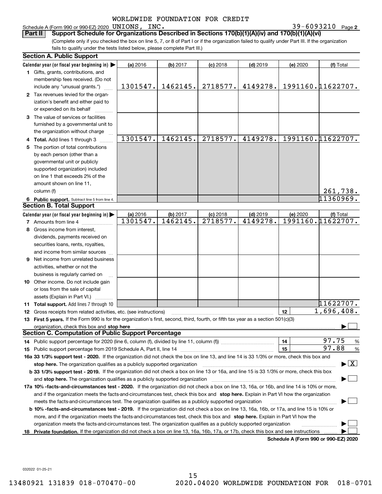#### Schedule A (Form 990 or 990-EZ) 2020 Page UNIONS, INC. 39-6093210

39-6093210 Page 2

(Complete only if you checked the box on line 5, 7, or 8 of Part I or if the organization failed to qualify under Part III. If the organization fails to qualify under the tests listed below, please complete Part III.) **Part II Support Schedule for Organizations Described in Sections 170(b)(1)(A)(iv) and 170(b)(1)(A)(vi)**

|   | <b>Section A. Public Support</b>                                                                                                               |                      |                      |                        |                       |                                      |                                          |  |  |
|---|------------------------------------------------------------------------------------------------------------------------------------------------|----------------------|----------------------|------------------------|-----------------------|--------------------------------------|------------------------------------------|--|--|
|   | Calendar year (or fiscal year beginning in) $\blacktriangleright$                                                                              | (a) 2016             | (b) 2017             | $(c)$ 2018             | $(d)$ 2019            | (e) 2020                             | (f) Total                                |  |  |
|   | 1 Gifts, grants, contributions, and                                                                                                            |                      |                      |                        |                       |                                      |                                          |  |  |
|   | membership fees received. (Do not                                                                                                              |                      |                      |                        |                       |                                      |                                          |  |  |
|   | include any "unusual grants.")                                                                                                                 | 1301547.             | 1462145.             | 2718577.               | 4149278.              |                                      | 1991160.11622707.                        |  |  |
|   | 2 Tax revenues levied for the organ-                                                                                                           |                      |                      |                        |                       |                                      |                                          |  |  |
|   | ization's benefit and either paid to                                                                                                           |                      |                      |                        |                       |                                      |                                          |  |  |
|   | or expended on its behalf                                                                                                                      |                      |                      |                        |                       |                                      |                                          |  |  |
|   | 3 The value of services or facilities                                                                                                          |                      |                      |                        |                       |                                      |                                          |  |  |
|   | furnished by a governmental unit to                                                                                                            |                      |                      |                        |                       |                                      |                                          |  |  |
|   | the organization without charge                                                                                                                |                      |                      |                        |                       |                                      |                                          |  |  |
|   | 4 Total. Add lines 1 through 3                                                                                                                 | 1301547.             | 1462145.             | 2718577.               | 4149278.              |                                      | 1991160.11622707.                        |  |  |
|   | The portion of total contributions                                                                                                             |                      |                      |                        |                       |                                      |                                          |  |  |
|   | by each person (other than a                                                                                                                   |                      |                      |                        |                       |                                      |                                          |  |  |
|   | governmental unit or publicly                                                                                                                  |                      |                      |                        |                       |                                      |                                          |  |  |
|   | supported organization) included                                                                                                               |                      |                      |                        |                       |                                      |                                          |  |  |
|   | on line 1 that exceeds 2% of the                                                                                                               |                      |                      |                        |                       |                                      |                                          |  |  |
|   | amount shown on line 11,                                                                                                                       |                      |                      |                        |                       |                                      |                                          |  |  |
|   | column (f)                                                                                                                                     |                      |                      |                        |                       |                                      | 261,738.                                 |  |  |
|   |                                                                                                                                                |                      |                      |                        |                       |                                      | 11360969.                                |  |  |
|   | 6 Public support. Subtract line 5 from line 4.<br><b>Section B. Total Support</b>                                                              |                      |                      |                        |                       |                                      |                                          |  |  |
|   |                                                                                                                                                |                      |                      |                        |                       |                                      |                                          |  |  |
|   | Calendar year (or fiscal year beginning in) $\blacktriangleright$                                                                              | (a) 2016<br>1301547. | (b) 2017<br>1462145. | $(c)$ 2018<br>2718577. | $(d)$ 2019<br>4149278 | (e) 2020                             | (f) Total<br>1991160.11622707.           |  |  |
|   | <b>7</b> Amounts from line 4                                                                                                                   |                      |                      |                        |                       |                                      |                                          |  |  |
| 8 | Gross income from interest.                                                                                                                    |                      |                      |                        |                       |                                      |                                          |  |  |
|   | dividends, payments received on                                                                                                                |                      |                      |                        |                       |                                      |                                          |  |  |
|   | securities loans, rents, royalties,                                                                                                            |                      |                      |                        |                       |                                      |                                          |  |  |
|   | and income from similar sources                                                                                                                |                      |                      |                        |                       |                                      |                                          |  |  |
| 9 | Net income from unrelated business                                                                                                             |                      |                      |                        |                       |                                      |                                          |  |  |
|   | activities, whether or not the                                                                                                                 |                      |                      |                        |                       |                                      |                                          |  |  |
|   | business is regularly carried on                                                                                                               |                      |                      |                        |                       |                                      |                                          |  |  |
|   | <b>10</b> Other income. Do not include gain                                                                                                    |                      |                      |                        |                       |                                      |                                          |  |  |
|   | or loss from the sale of capital                                                                                                               |                      |                      |                        |                       |                                      |                                          |  |  |
|   | assets (Explain in Part VI.)                                                                                                                   |                      |                      |                        |                       |                                      |                                          |  |  |
|   | 11 Total support. Add lines 7 through 10                                                                                                       |                      |                      |                        |                       |                                      | 11622707.                                |  |  |
|   | <b>12</b> Gross receipts from related activities, etc. (see instructions)                                                                      |                      |                      |                        |                       | 12                                   | 1,696,408.                               |  |  |
|   | 13 First 5 years. If the Form 990 is for the organization's first, second, third, fourth, or fifth tax year as a section 501(c)(3)             |                      |                      |                        |                       |                                      |                                          |  |  |
|   |                                                                                                                                                |                      |                      |                        |                       |                                      |                                          |  |  |
|   | <b>Section C. Computation of Public Support Percentage</b>                                                                                     |                      |                      |                        |                       |                                      |                                          |  |  |
|   | 14 Public support percentage for 2020 (line 6, column (f), divided by line 11, column (f) <i>marroummaname</i>                                 |                      |                      |                        |                       | 14                                   | 97.75<br>%                               |  |  |
|   | 15 Public support percentage from 2019 Schedule A, Part II, line 14                                                                            |                      |                      |                        |                       | 15                                   | 97.88<br>%                               |  |  |
|   | 16a 33 1/3% support test - 2020. If the organization did not check the box on line 13, and line 14 is 33 1/3% or more, check this box and      |                      |                      |                        |                       |                                      |                                          |  |  |
|   | stop here. The organization qualifies as a publicly supported organization                                                                     |                      |                      |                        |                       |                                      | $\blacktriangleright$ $\boxed{\text{X}}$ |  |  |
|   | b 33 1/3% support test - 2019. If the organization did not check a box on line 13 or 16a, and line 15 is 33 1/3% or more, check this box       |                      |                      |                        |                       |                                      |                                          |  |  |
|   | and stop here. The organization qualifies as a publicly supported organization                                                                 |                      |                      |                        |                       |                                      |                                          |  |  |
|   | 17a 10% -facts-and-circumstances test - 2020. If the organization did not check a box on line 13, 16a, or 16b, and line 14 is 10% or more,     |                      |                      |                        |                       |                                      |                                          |  |  |
|   | and if the organization meets the facts and circumstances test, check this box and stop here. Explain in Part VI how the organization          |                      |                      |                        |                       |                                      |                                          |  |  |
|   | meets the facts-and-circumstances test. The organization qualifies as a publicly supported organization                                        |                      |                      |                        |                       |                                      |                                          |  |  |
|   | <b>b 10% -facts-and-circumstances test - 2019.</b> If the organization did not check a box on line 13, 16a, 16b, or 17a, and line 15 is 10% or |                      |                      |                        |                       |                                      |                                          |  |  |
|   | more, and if the organization meets the facts-and-circumstances test, check this box and stop here. Explain in Part VI how the                 |                      |                      |                        |                       |                                      |                                          |  |  |
|   | organization meets the facts-and-circumstances test. The organization qualifies as a publicly supported organization                           |                      |                      |                        |                       |                                      |                                          |  |  |
|   | 18 Private foundation. If the organization did not check a box on line 13, 16a, 16b, 17a, or 17b, check this box and see instructions          |                      |                      |                        |                       |                                      |                                          |  |  |
|   |                                                                                                                                                |                      |                      |                        |                       | Schedule A (Form 990 or 990-F7) 2020 |                                          |  |  |

**Schedule A (Form 990 or 990-EZ) 2020**

032022 01-25-21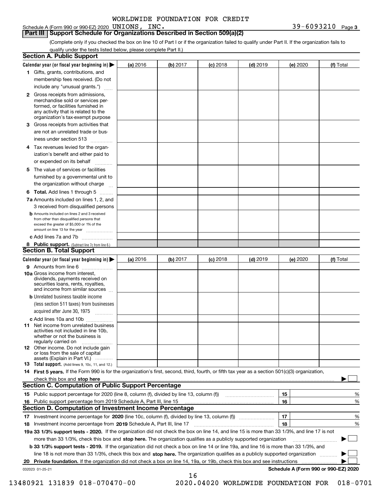Schedule A (Form 990 or 990-EZ) 2020 UNIONS, INC.

**3** UNIONS, INC. 39-6093210

(Complete only if you checked the box on line 10 of Part I or if the organization failed to qualify under Part II. If the organization fails to qualify under the tests listed below, please complete Part II.)

|    | <b>Section A. Public Support</b>                                                                                                                                                                |          |          |            |            |          |                                      |
|----|-------------------------------------------------------------------------------------------------------------------------------------------------------------------------------------------------|----------|----------|------------|------------|----------|--------------------------------------|
|    | Calendar year (or fiscal year beginning in) $\blacktriangleright$                                                                                                                               | (a) 2016 | (b) 2017 | $(c)$ 2018 | $(d)$ 2019 | (e) 2020 | (f) Total                            |
|    | 1 Gifts, grants, contributions, and                                                                                                                                                             |          |          |            |            |          |                                      |
|    | membership fees received. (Do not                                                                                                                                                               |          |          |            |            |          |                                      |
|    | include any "unusual grants.")                                                                                                                                                                  |          |          |            |            |          |                                      |
|    | <b>2</b> Gross receipts from admissions,<br>merchandise sold or services per-<br>formed, or facilities furnished in<br>any activity that is related to the<br>organization's tax-exempt purpose |          |          |            |            |          |                                      |
|    | 3 Gross receipts from activities that<br>are not an unrelated trade or bus-                                                                                                                     |          |          |            |            |          |                                      |
|    | iness under section 513                                                                                                                                                                         |          |          |            |            |          |                                      |
|    | 4 Tax revenues levied for the organ-<br>ization's benefit and either paid to                                                                                                                    |          |          |            |            |          |                                      |
|    | or expended on its behalf<br>.                                                                                                                                                                  |          |          |            |            |          |                                      |
|    | 5 The value of services or facilities<br>furnished by a governmental unit to<br>the organization without charge                                                                                 |          |          |            |            |          |                                      |
|    |                                                                                                                                                                                                 |          |          |            |            |          |                                      |
|    | <b>6 Total.</b> Add lines 1 through 5<br>7a Amounts included on lines 1, 2, and<br>3 received from disqualified persons                                                                         |          |          |            |            |          |                                      |
|    | <b>b</b> Amounts included on lines 2 and 3 received<br>from other than disqualified persons that<br>exceed the greater of \$5,000 or 1% of the<br>amount on line 13 for the year                |          |          |            |            |          |                                      |
|    | c Add lines 7a and 7b                                                                                                                                                                           |          |          |            |            |          |                                      |
|    | 8 Public support. (Subtract line 7c from line 6.)                                                                                                                                               |          |          |            |            |          |                                      |
|    | <b>Section B. Total Support</b>                                                                                                                                                                 |          |          |            |            |          |                                      |
|    | Calendar year (or fiscal year beginning in)                                                                                                                                                     | (a) 2016 | (b) 2017 | $(c)$ 2018 | $(d)$ 2019 | (e) 2020 | (f) Total                            |
|    | 9 Amounts from line 6<br>10a Gross income from interest,                                                                                                                                        |          |          |            |            |          |                                      |
|    | dividends, payments received on<br>securities loans, rents, royalties,<br>and income from similar sources                                                                                       |          |          |            |            |          |                                      |
|    | <b>b</b> Unrelated business taxable income<br>(less section 511 taxes) from businesses<br>acquired after June 30, 1975                                                                          |          |          |            |            |          |                                      |
|    | c Add lines 10a and 10b                                                                                                                                                                         |          |          |            |            |          |                                      |
|    | 11 Net income from unrelated business<br>activities not included in line 10b,<br>whether or not the business is<br>regularly carried on                                                         |          |          |            |            |          |                                      |
|    | <b>12</b> Other income. Do not include gain<br>or loss from the sale of capital<br>assets (Explain in Part VI.)                                                                                 |          |          |            |            |          |                                      |
|    | <b>13</b> Total support. (Add lines 9, 10c, 11, and 12.)                                                                                                                                        |          |          |            |            |          |                                      |
|    | 14 First 5 years. If the Form 990 is for the organization's first, second, third, fourth, or fifth tax year as a section 501(c)(3) organization,                                                |          |          |            |            |          |                                      |
|    | check this box and stop here measurements are constructed as the state of the state of the state of the state o                                                                                 |          |          |            |            |          |                                      |
|    | Section C. Computation of Public Support Percentage                                                                                                                                             |          |          |            |            |          |                                      |
|    |                                                                                                                                                                                                 |          |          |            |            | 15       | %                                    |
|    | 16 Public support percentage from 2019 Schedule A, Part III, line 15                                                                                                                            |          |          |            |            | 16       | %                                    |
|    | <b>Section D. Computation of Investment Income Percentage</b>                                                                                                                                   |          |          |            |            |          |                                      |
|    | 17 Investment income percentage for 2020 (line 10c, column (f), divided by line 13, column (f))<br>18 Investment income percentage from 2019 Schedule A, Part III, line 17                      |          |          |            |            | 17<br>18 | %<br>%                               |
|    | 19a 33 1/3% support tests - 2020. If the organization did not check the box on line 14, and line 15 is more than 33 1/3%, and line 17 is not                                                    |          |          |            |            |          |                                      |
|    | more than 33 1/3%, check this box and stop here. The organization qualifies as a publicly supported organization                                                                                |          |          |            |            |          | $\sim$                               |
|    | b 33 1/3% support tests - 2019. If the organization did not check a box on line 14 or line 19a, and line 16 is more than 33 1/3%, and                                                           |          |          |            |            |          |                                      |
|    | line 18 is not more than 33 1/3%, check this box and stop here. The organization qualifies as a publicly supported organization                                                                 |          |          |            |            |          |                                      |
| 20 | <b>Private foundation.</b> If the organization did not check a box on line 14, 19a, or 19b, check this box and see instructions                                                                 |          |          |            |            |          |                                      |
|    | 032023 01-25-21                                                                                                                                                                                 |          |          |            |            |          | Schedule A (Form 990 or 990-EZ) 2020 |
|    |                                                                                                                                                                                                 |          | 16       |            |            |          |                                      |

 <sup>13480921 131839 018-070470-00 2020.04020</sup> WORLDWIDE FOUNDATION FOR 018-0701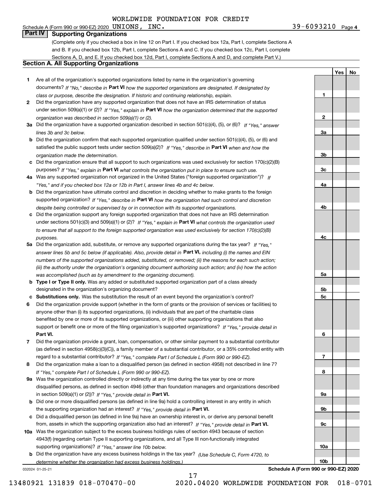#### Schedule A (Form 990 or 990-EZ) 2020 Page UNIONS, INC. 39-6093210 **Part IV Supporting Organizations**

(Complete only if you checked a box in line 12 on Part I. If you checked box 12a, Part I, complete Sections A and B. If you checked box 12b, Part I, complete Sections A and C. If you checked box 12c, Part I, complete Sections A, D, and E. If you checked box 12d, Part I, complete Sections A and D, and complete Part V.)

#### **Section A. All Supporting Organizations**

- **1** Are all of the organization's supported organizations listed by name in the organization's governing documents? If "No," describe in **Part VI** how the supported organizations are designated. If designated by *class or purpose, describe the designation. If historic and continuing relationship, explain.*
- **2** Did the organization have any supported organization that does not have an IRS determination of status under section 509(a)(1) or (2)? If "Yes," explain in Part VI how the organization determined that the supported *organization was described in section 509(a)(1) or (2).*
- **3a** Did the organization have a supported organization described in section 501(c)(4), (5), or (6)? If "Yes," answer *lines 3b and 3c below.*
- **b** Did the organization confirm that each supported organization qualified under section 501(c)(4), (5), or (6) and satisfied the public support tests under section 509(a)(2)? If "Yes," describe in **Part VI** when and how the *organization made the determination.*
- **c**Did the organization ensure that all support to such organizations was used exclusively for section 170(c)(2)(B) purposes? If "Yes," explain in **Part VI** what controls the organization put in place to ensure such use.
- **4a***If* Was any supported organization not organized in the United States ("foreign supported organization")? *"Yes," and if you checked box 12a or 12b in Part I, answer lines 4b and 4c below.*
- **b** Did the organization have ultimate control and discretion in deciding whether to make grants to the foreign supported organization? If "Yes," describe in **Part VI** how the organization had such control and discretion *despite being controlled or supervised by or in connection with its supported organizations.*
- **c** Did the organization support any foreign supported organization that does not have an IRS determination under sections 501(c)(3) and 509(a)(1) or (2)? If "Yes," explain in **Part VI** what controls the organization used *to ensure that all support to the foreign supported organization was used exclusively for section 170(c)(2)(B) purposes.*
- **5a** Did the organization add, substitute, or remove any supported organizations during the tax year? If "Yes," answer lines 5b and 5c below (if applicable). Also, provide detail in **Part VI,** including (i) the names and EIN *numbers of the supported organizations added, substituted, or removed; (ii) the reasons for each such action; (iii) the authority under the organization's organizing document authorizing such action; and (iv) how the action was accomplished (such as by amendment to the organizing document).*
- **b** Type I or Type II only. Was any added or substituted supported organization part of a class already designated in the organization's organizing document?
- **cSubstitutions only.**  Was the substitution the result of an event beyond the organization's control?
- **6** Did the organization provide support (whether in the form of grants or the provision of services or facilities) to **Part VI.** *If "Yes," provide detail in* support or benefit one or more of the filing organization's supported organizations? anyone other than (i) its supported organizations, (ii) individuals that are part of the charitable class benefited by one or more of its supported organizations, or (iii) other supporting organizations that also
- **7**Did the organization provide a grant, loan, compensation, or other similar payment to a substantial contributor *If "Yes," complete Part I of Schedule L (Form 990 or 990-EZ).* regard to a substantial contributor? (as defined in section 4958(c)(3)(C)), a family member of a substantial contributor, or a 35% controlled entity with
- **8** Did the organization make a loan to a disqualified person (as defined in section 4958) not described in line 7? *If "Yes," complete Part I of Schedule L (Form 990 or 990-EZ).*
- **9a** Was the organization controlled directly or indirectly at any time during the tax year by one or more in section 509(a)(1) or (2))? If "Yes," *provide detail in* <code>Part VI.</code> disqualified persons, as defined in section 4946 (other than foundation managers and organizations described
- **b** Did one or more disqualified persons (as defined in line 9a) hold a controlling interest in any entity in which the supporting organization had an interest? If "Yes," provide detail in P**art VI**.
- **c**Did a disqualified person (as defined in line 9a) have an ownership interest in, or derive any personal benefit from, assets in which the supporting organization also had an interest? If "Yes," provide detail in P**art VI.**
- **10a** Was the organization subject to the excess business holdings rules of section 4943 because of section supporting organizations)? If "Yes," answer line 10b below. 4943(f) (regarding certain Type II supporting organizations, and all Type III non-functionally integrated
- **b** Did the organization have any excess business holdings in the tax year? (Use Schedule C, Form 4720, to *determine whether the organization had excess business holdings.)*

032024 01-25-21

**Schedule A (Form 990 or 990-EZ) 2020**

**1**

**2**

**3a**

**3b**

**3c**

**4a**

**4b**

**4c**

**5a**

**5b5c**

**6**

**7**

**8**

**9a**

**9b**

**9c**

**10a**

**10b**

**YesNo**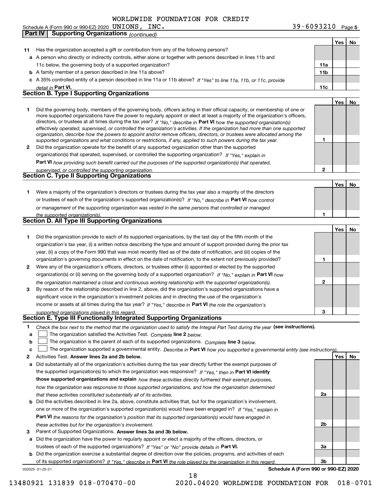| Schedule A (Form 990 or 990-EZ) 2020 $\,$ $\,$ $\rm UNIONS$ , | INC. | $39 - 6093210$ Page 5 |  |
|---------------------------------------------------------------|------|-----------------------|--|
|---------------------------------------------------------------|------|-----------------------|--|

|              | <b>Supporting Organizations (continued)</b><br>Part IV                                                                                                                                                                                                     |                 |     |    |
|--------------|------------------------------------------------------------------------------------------------------------------------------------------------------------------------------------------------------------------------------------------------------------|-----------------|-----|----|
|              |                                                                                                                                                                                                                                                            |                 | Yes | No |
| 11           | Has the organization accepted a gift or contribution from any of the following persons?                                                                                                                                                                    |                 |     |    |
|              | a A person who directly or indirectly controls, either alone or together with persons described in lines 11b and                                                                                                                                           |                 |     |    |
|              | 11c below, the governing body of a supported organization?                                                                                                                                                                                                 | 11a             |     |    |
|              | <b>b</b> A family member of a person described in line 11a above?                                                                                                                                                                                          | 11 <sub>b</sub> |     |    |
|              | c A 35% controlled entity of a person described in line 11a or 11b above? If "Yes" to line 11a, 11b, or 11c, provide                                                                                                                                       |                 |     |    |
|              | detail in Part VI.                                                                                                                                                                                                                                         | 11c             |     |    |
|              | <b>Section B. Type I Supporting Organizations</b>                                                                                                                                                                                                          |                 |     |    |
|              |                                                                                                                                                                                                                                                            |                 | Yes | No |
| 1            | Did the governing body, members of the governing body, officers acting in their official capacity, or membership of one or                                                                                                                                 |                 |     |    |
|              | more supported organizations have the power to regularly appoint or elect at least a majority of the organization's officers,                                                                                                                              |                 |     |    |
|              | directors, or trustees at all times during the tax year? If "No," describe in Part VI how the supported organization(s)                                                                                                                                    |                 |     |    |
|              | effectively operated, supervised, or controlled the organization's activities. If the organization had more than one supported<br>organization, describe how the powers to appoint and/or remove officers, directors, or trustees were allocated among the |                 |     |    |
|              | supported organizations and what conditions or restrictions, if any, applied to such powers during the tax year.                                                                                                                                           | 1               |     |    |
| $\mathbf{2}$ | Did the organization operate for the benefit of any supported organization other than the supported                                                                                                                                                        |                 |     |    |
|              | organization(s) that operated, supervised, or controlled the supporting organization? If "Yes," explain in                                                                                                                                                 |                 |     |    |
|              | Part VI how providing such benefit carried out the purposes of the supported organization(s) that operated,                                                                                                                                                |                 |     |    |
|              | supervised, or controlled the supporting organization.                                                                                                                                                                                                     | $\mathbf{2}$    |     |    |
|              | <b>Section C. Type II Supporting Organizations</b>                                                                                                                                                                                                         |                 |     |    |
|              |                                                                                                                                                                                                                                                            |                 | Yes | No |
| 1            | Were a majority of the organization's directors or trustees during the tax year also a majority of the directors                                                                                                                                           |                 |     |    |
|              | or trustees of each of the organization's supported organization(s)? If "No," describe in Part VI how control                                                                                                                                              |                 |     |    |
|              | or management of the supporting organization was vested in the same persons that controlled or managed                                                                                                                                                     |                 |     |    |
|              | the supported organization(s).                                                                                                                                                                                                                             |                 |     |    |
|              | <b>Section D. All Type III Supporting Organizations</b>                                                                                                                                                                                                    |                 |     |    |
|              |                                                                                                                                                                                                                                                            |                 | Yes | No |
| 1            | Did the organization provide to each of its supported organizations, by the last day of the fifth month of the                                                                                                                                             |                 |     |    |
|              | organization's tax year, (i) a written notice describing the type and amount of support provided during the prior tax                                                                                                                                      |                 |     |    |
|              | year, (ii) a copy of the Form 990 that was most recently filed as of the date of notification, and (iii) copies of the                                                                                                                                     |                 |     |    |
|              | organization's governing documents in effect on the date of notification, to the extent not previously provided?                                                                                                                                           | 1               |     |    |
| 2            | Were any of the organization's officers, directors, or trustees either (i) appointed or elected by the supported                                                                                                                                           |                 |     |    |
|              | organization(s) or (ii) serving on the governing body of a supported organization? If "No," explain in Part VI how                                                                                                                                         |                 |     |    |
|              | the organization maintained a close and continuous working relationship with the supported organization(s).                                                                                                                                                | 2               |     |    |
| 3            | By reason of the relationship described in line 2, above, did the organization's supported organizations have a                                                                                                                                            |                 |     |    |
|              | significant voice in the organization's investment policies and in directing the use of the organization's                                                                                                                                                 |                 |     |    |
|              | income or assets at all times during the tax year? If "Yes," describe in Part VI the role the organization's                                                                                                                                               |                 |     |    |
|              | supported organizations played in this regard.                                                                                                                                                                                                             |                 |     |    |
|              | Section E. Type III Functionally Integrated Supporting Organizations                                                                                                                                                                                       |                 |     |    |
| 1            | Check the box next to the method that the organization used to satisfy the Integral Part Test during the year (see instructions).                                                                                                                          |                 |     |    |
| a            | The organization satisfied the Activities Test. Complete line 2 below.                                                                                                                                                                                     |                 |     |    |
| b            | The organization is the parent of each of its supported organizations. Complete line 3 below.                                                                                                                                                              |                 |     |    |
| c            | The organization supported a governmental entity. Describe in Part VI how you supported a governmental entity (see instructions)                                                                                                                           |                 |     |    |
| 2            | Activities Test. Answer lines 2a and 2b below.                                                                                                                                                                                                             |                 | Yes | No |
| a            | Did substantially all of the organization's activities during the tax year directly further the exempt purposes of                                                                                                                                         |                 |     |    |
|              | the supported organization(s) to which the organization was responsive? If "Yes," then in Part VI identify                                                                                                                                                 |                 |     |    |
|              | those supported organizations and explain how these activities directly furthered their exempt purposes,                                                                                                                                                   |                 |     |    |
|              | how the organization was responsive to those supported organizations, and how the organization determined                                                                                                                                                  |                 |     |    |
|              | that these activities constituted substantially all of its activities.                                                                                                                                                                                     | 2a              |     |    |
| b            | Did the activities described in line 2a, above, constitute activities that, but for the organization's involvement,                                                                                                                                        |                 |     |    |
|              | one or more of the organization's supported organization(s) would have been engaged in? If "Yes," explain in                                                                                                                                               |                 |     |    |
|              | <b>Part VI</b> the reasons for the organization's position that its supported organization(s) would have engaged in                                                                                                                                        |                 |     |    |
|              | these activities but for the organization's involvement.                                                                                                                                                                                                   | 2b              |     |    |
| 3            | Parent of Supported Organizations. Answer lines 3a and 3b below.                                                                                                                                                                                           |                 |     |    |
| а            | Did the organization have the power to regularly appoint or elect a majority of the officers, directors, or                                                                                                                                                |                 |     |    |
|              | trustees of each of the supported organizations? If "Yes" or "No" provide details in Part VI.                                                                                                                                                              | За              |     |    |
|              | <b>b</b> Did the organization exercise a substantial degree of direction over the policies, programs, and activities of each                                                                                                                               |                 |     |    |
|              | of its supported organizations? If "Yes," describe in Part VI the role played by the organization in this regard                                                                                                                                           | 3b              |     |    |
|              | Schedule A (Form 990 or 990-EZ) 2020<br>032025 01-25-21                                                                                                                                                                                                    |                 |     |    |
|              |                                                                                                                                                                                                                                                            |                 |     |    |

13480921 131839 018-070470-00 2020.04020 WORLDWIDE FOUNDATION FOR 018-0701

18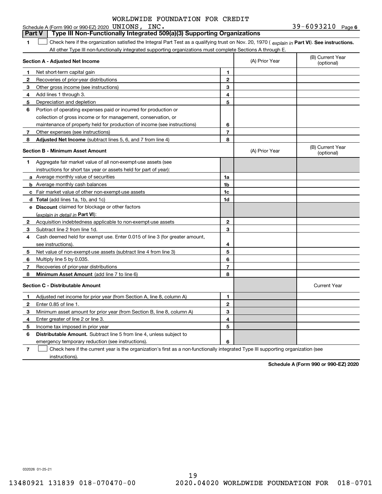#### **1Part VI** Check here if the organization satisfied the Integral Part Test as a qualifying trust on Nov. 20, 1970 ( *explain in* Part **VI**). See instructions. **Section A - Adjusted Net Income 123** Other gross income (see instructions) **456** Portion of operating expenses paid or incurred for production or **7** Other expenses (see instructions) **8** Adjusted Net Income (subtract lines 5, 6, and 7 from line 4) **8 8 1234567Section B - Minimum Asset Amount 1**Aggregate fair market value of all non-exempt-use assets (see **2**Acquisition indebtedness applicable to non-exempt-use assets **3** Subtract line 2 from line 1d. **4**Cash deemed held for exempt use. Enter 0.015 of line 3 (for greater amount, **5** Net value of non-exempt-use assets (subtract line 4 from line 3) **678a** Average monthly value of securities **b** Average monthly cash balances **c**Fair market value of other non-exempt-use assets **dTotal**  (add lines 1a, 1b, and 1c) **eDiscount** claimed for blockage or other factors **1a1b1c1d2345678**(explain in detail in Part VI): **Minimum Asset Amount**  (add line 7 to line 6) **Section C - Distributable Amount 12**Enter 0.85 of line 1. **3456123456Distributable Amount.** Subtract line 5 from line 4, unless subject to All other Type III non-functionally integrated supporting organizations must complete Sections A through E. (B) Current Year (optional)(A) Prior Year Net short-term capital gain Recoveries of prior-year distributions Add lines 1 through 3. Depreciation and depletion collection of gross income or for management, conservation, or maintenance of property held for production of income (see instructions) (B) Current Year (optional)(A) Prior Year instructions for short tax year or assets held for part of year): see instructions). Multiply line 5 by 0.035. Recoveries of prior-year distributions Current Year Adjusted net income for prior year (from Section A, line 8, column A) Minimum asset amount for prior year (from Section B, line 8, column A) Enter greater of line 2 or line 3. Income tax imposed in prior year emergency temporary reduction (see instructions). **Part V Type III Non-Functionally Integrated 509(a)(3) Supporting Organizations**   $\mathcal{L}^{\text{max}}$

**7**Check here if the current year is the organization's first as a non-functionally integrated Type III supporting organization (see instructions). $\mathcal{L}^{\text{max}}$ 

**Schedule A (Form 990 or 990-EZ) 2020**

032026 01-25-21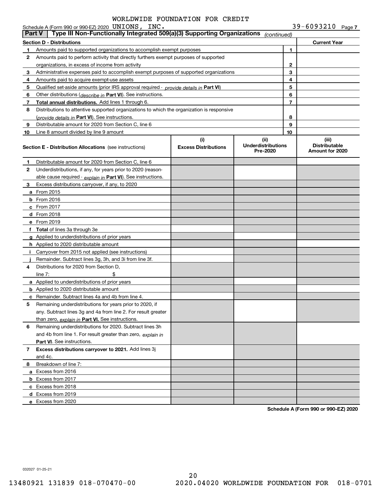|               | Schedule A (Form 990 or 990-EZ) 2020 UNIONS, INC.                                          |                                    |                                               |                | 39-6093210 Page 7                                |
|---------------|--------------------------------------------------------------------------------------------|------------------------------------|-----------------------------------------------|----------------|--------------------------------------------------|
| <b>Part V</b> | Type III Non-Functionally Integrated 509(a)(3) Supporting Organizations                    |                                    | (continued)                                   |                |                                                  |
|               | <b>Section D - Distributions</b>                                                           |                                    |                                               |                | <b>Current Year</b>                              |
| 1             | Amounts paid to supported organizations to accomplish exempt purposes                      |                                    |                                               | 1              |                                                  |
| 2             | Amounts paid to perform activity that directly furthers exempt purposes of supported       |                                    |                                               |                |                                                  |
|               | organizations, in excess of income from activity                                           |                                    |                                               | 2              |                                                  |
| 3             | Administrative expenses paid to accomplish exempt purposes of supported organizations      |                                    |                                               | 3              |                                                  |
| 4             | Amounts paid to acquire exempt-use assets                                                  |                                    |                                               | 4              |                                                  |
| 5             | Qualified set-aside amounts (prior IRS approval required - provide details in Part VI)     |                                    |                                               | 5              |                                                  |
| 6             | Other distributions ( <i>describe in</i> Part VI). See instructions.                       |                                    |                                               | 6              |                                                  |
| 7             | <b>Total annual distributions.</b> Add lines 1 through 6.                                  |                                    |                                               | $\overline{7}$ |                                                  |
| 8             | Distributions to attentive supported organizations to which the organization is responsive |                                    |                                               |                |                                                  |
|               | (provide details in Part VI). See instructions.                                            |                                    |                                               | 8              |                                                  |
| 9             | Distributable amount for 2020 from Section C, line 6                                       |                                    |                                               | 9              |                                                  |
| 10            | Line 8 amount divided by line 9 amount                                                     |                                    |                                               | 10             |                                                  |
|               | Section E - Distribution Allocations (see instructions)                                    | (i)<br><b>Excess Distributions</b> | (ii)<br><b>Underdistributions</b><br>Pre-2020 |                | (iii)<br><b>Distributable</b><br>Amount for 2020 |
| 1             | Distributable amount for 2020 from Section C, line 6                                       |                                    |                                               |                |                                                  |
| 2             | Underdistributions, if any, for years prior to 2020 (reason-                               |                                    |                                               |                |                                                  |
|               | able cause required - explain in Part VI). See instructions.                               |                                    |                                               |                |                                                  |
| 3             | Excess distributions carryover, if any, to 2020                                            |                                    |                                               |                |                                                  |
|               | <b>a</b> From 2015                                                                         |                                    |                                               |                |                                                  |
|               | <b>b</b> From 2016                                                                         |                                    |                                               |                |                                                  |
|               | c From 2017                                                                                |                                    |                                               |                |                                                  |
|               | d From 2018                                                                                |                                    |                                               |                |                                                  |
|               | e From 2019                                                                                |                                    |                                               |                |                                                  |
|               | f Total of lines 3a through 3e                                                             |                                    |                                               |                |                                                  |
|               | <b>g</b> Applied to underdistributions of prior years                                      |                                    |                                               |                |                                                  |
|               | <b>h</b> Applied to 2020 distributable amount                                              |                                    |                                               |                |                                                  |
|               | Carryover from 2015 not applied (see instructions)                                         |                                    |                                               |                |                                                  |
|               | Remainder. Subtract lines 3g, 3h, and 3i from line 3f.                                     |                                    |                                               |                |                                                  |
| 4             | Distributions for 2020 from Section D,                                                     |                                    |                                               |                |                                                  |
|               | line $7$ :                                                                                 |                                    |                                               |                |                                                  |
|               | a Applied to underdistributions of prior years                                             |                                    |                                               |                |                                                  |
|               | <b>b</b> Applied to 2020 distributable amount                                              |                                    |                                               |                |                                                  |
|               | <b>c</b> Remainder. Subtract lines 4a and 4b from line 4.                                  |                                    |                                               |                |                                                  |
| 5             | Remaining underdistributions for years prior to 2020, if                                   |                                    |                                               |                |                                                  |
|               | any. Subtract lines 3g and 4a from line 2. For result greater                              |                                    |                                               |                |                                                  |
|               | than zero, explain in Part VI. See instructions.                                           |                                    |                                               |                |                                                  |
| 6             | Remaining underdistributions for 2020. Subtract lines 3h                                   |                                    |                                               |                |                                                  |
|               | and 4b from line 1. For result greater than zero, explain in                               |                                    |                                               |                |                                                  |
|               | Part VI. See instructions.                                                                 |                                    |                                               |                |                                                  |
| 7             | Excess distributions carryover to 2021. Add lines 3j<br>and 4c.                            |                                    |                                               |                |                                                  |
| 8             | Breakdown of line 7:                                                                       |                                    |                                               |                |                                                  |
|               | a Excess from 2016                                                                         |                                    |                                               |                |                                                  |
|               | <b>b</b> Excess from 2017                                                                  |                                    |                                               |                |                                                  |
|               | c Excess from 2018                                                                         |                                    |                                               |                |                                                  |
|               | d Excess from 2019                                                                         |                                    |                                               |                |                                                  |
|               | e Excess from 2020                                                                         |                                    |                                               |                |                                                  |
|               |                                                                                            |                                    |                                               |                |                                                  |

**Schedule A (Form 990 or 990-EZ) 2020**

032027 01-25-21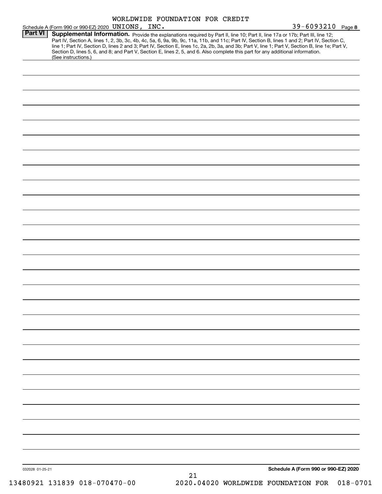|                 |                                                   | WORLDWIDE FOUNDATION FOR CREDIT |                                                                                                                                                                                                                                                                                                                                                                                                                                                                                                                                                                                           |
|-----------------|---------------------------------------------------|---------------------------------|-------------------------------------------------------------------------------------------------------------------------------------------------------------------------------------------------------------------------------------------------------------------------------------------------------------------------------------------------------------------------------------------------------------------------------------------------------------------------------------------------------------------------------------------------------------------------------------------|
| Part VI         | Schedule A (Form 990 or 990-EZ) 2020 UNIONS, INC. |                                 | 39-6093210 Page 8<br>Supplemental Information. Provide the explanations required by Part II, line 10; Part II, line 17a or 17b; Part III, line 12;<br>Part IV, Section A, lines 1, 2, 3b, 3c, 4b, 4c, 5a, 6, 9a, 9b, 9c, 11a, 11b, and 11c; Part IV, Section B, lines 1 and 2; Part IV, Section C,<br>line 1; Part IV, Section D, lines 2 and 3; Part IV, Section E, lines 1c, 2a, 2b, 3a, and 3b; Part V, line 1; Part V, Section B, line 1e; Part V,<br>Section D, lines 5, 6, and 8; and Part V, Section E, lines 2, 5, and 6. Also complete this part for any additional information. |
|                 | (See instructions.)                               |                                 |                                                                                                                                                                                                                                                                                                                                                                                                                                                                                                                                                                                           |
|                 |                                                   |                                 |                                                                                                                                                                                                                                                                                                                                                                                                                                                                                                                                                                                           |
|                 |                                                   |                                 |                                                                                                                                                                                                                                                                                                                                                                                                                                                                                                                                                                                           |
|                 |                                                   |                                 |                                                                                                                                                                                                                                                                                                                                                                                                                                                                                                                                                                                           |
|                 |                                                   |                                 |                                                                                                                                                                                                                                                                                                                                                                                                                                                                                                                                                                                           |
|                 |                                                   |                                 |                                                                                                                                                                                                                                                                                                                                                                                                                                                                                                                                                                                           |
|                 |                                                   |                                 |                                                                                                                                                                                                                                                                                                                                                                                                                                                                                                                                                                                           |
|                 |                                                   |                                 |                                                                                                                                                                                                                                                                                                                                                                                                                                                                                                                                                                                           |
|                 |                                                   |                                 |                                                                                                                                                                                                                                                                                                                                                                                                                                                                                                                                                                                           |
|                 |                                                   |                                 |                                                                                                                                                                                                                                                                                                                                                                                                                                                                                                                                                                                           |
|                 |                                                   |                                 |                                                                                                                                                                                                                                                                                                                                                                                                                                                                                                                                                                                           |
|                 |                                                   |                                 |                                                                                                                                                                                                                                                                                                                                                                                                                                                                                                                                                                                           |
|                 |                                                   |                                 |                                                                                                                                                                                                                                                                                                                                                                                                                                                                                                                                                                                           |
|                 |                                                   |                                 |                                                                                                                                                                                                                                                                                                                                                                                                                                                                                                                                                                                           |
|                 |                                                   |                                 |                                                                                                                                                                                                                                                                                                                                                                                                                                                                                                                                                                                           |
|                 |                                                   |                                 |                                                                                                                                                                                                                                                                                                                                                                                                                                                                                                                                                                                           |
|                 |                                                   |                                 |                                                                                                                                                                                                                                                                                                                                                                                                                                                                                                                                                                                           |
|                 |                                                   |                                 |                                                                                                                                                                                                                                                                                                                                                                                                                                                                                                                                                                                           |
|                 |                                                   |                                 |                                                                                                                                                                                                                                                                                                                                                                                                                                                                                                                                                                                           |
|                 |                                                   |                                 |                                                                                                                                                                                                                                                                                                                                                                                                                                                                                                                                                                                           |
|                 |                                                   |                                 |                                                                                                                                                                                                                                                                                                                                                                                                                                                                                                                                                                                           |
|                 |                                                   |                                 |                                                                                                                                                                                                                                                                                                                                                                                                                                                                                                                                                                                           |
|                 |                                                   |                                 |                                                                                                                                                                                                                                                                                                                                                                                                                                                                                                                                                                                           |
|                 |                                                   |                                 |                                                                                                                                                                                                                                                                                                                                                                                                                                                                                                                                                                                           |
|                 |                                                   |                                 |                                                                                                                                                                                                                                                                                                                                                                                                                                                                                                                                                                                           |
|                 |                                                   |                                 |                                                                                                                                                                                                                                                                                                                                                                                                                                                                                                                                                                                           |
|                 |                                                   |                                 |                                                                                                                                                                                                                                                                                                                                                                                                                                                                                                                                                                                           |
|                 |                                                   |                                 |                                                                                                                                                                                                                                                                                                                                                                                                                                                                                                                                                                                           |
| 032028 01-25-21 |                                                   | 21                              | Schedule A (Form 990 or 990-EZ) 2020                                                                                                                                                                                                                                                                                                                                                                                                                                                                                                                                                      |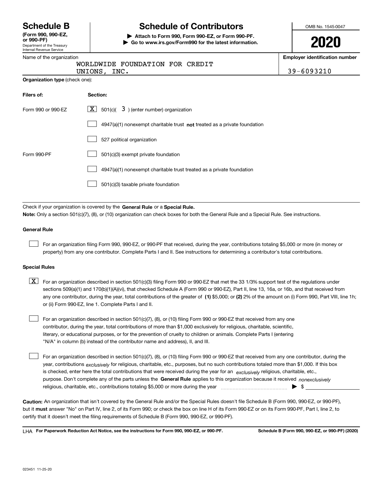Department of the Treasury Internal Revenue Service **(Form 990, 990-EZ, or 990-PF)**

## **Schedule B Schedule of Contributors**

**| Attach to Form 990, Form 990-EZ, or Form 990-PF. | Go to www.irs.gov/Form990 for the latest information.** OMB No. 1545-0047

# **2020**

**Employer identification number**

|  | Name of the organization |  |
|--|--------------------------|--|
|  |                          |  |

**Organization type** (check one):

|  | WORLDWIDE FOUNDATION FOR CREDIT |  |
|--|---------------------------------|--|
|  |                                 |  |

| UNIONS, | INC. |  |
|---------|------|--|
|         |      |  |

UNIONS, INC. 39-6093210

| Filers of:         | <b>Section:</b>                                                                    |
|--------------------|------------------------------------------------------------------------------------|
| Form 990 or 990-EZ | $\lfloor x \rfloor$ 501(c)( 3) (enter number) organization                         |
|                    | $4947(a)(1)$ nonexempt charitable trust <b>not</b> treated as a private foundation |
|                    | 527 political organization                                                         |
| Form 990-PF        | 501(c)(3) exempt private foundation                                                |
|                    | 4947(a)(1) nonexempt charitable trust treated as a private foundation              |
|                    | 501(c)(3) taxable private foundation                                               |

Check if your organization is covered by the **General Rule** or a **Special Rule. Note:**  Only a section 501(c)(7), (8), or (10) organization can check boxes for both the General Rule and a Special Rule. See instructions.

#### **General Rule**

 $\mathcal{L}^{\text{max}}$ 

For an organization filing Form 990, 990-EZ, or 990-PF that received, during the year, contributions totaling \$5,000 or more (in money or property) from any one contributor. Complete Parts I and II. See instructions for determining a contributor's total contributions.

#### **Special Rules**

any one contributor, during the year, total contributions of the greater of  $\,$  (1) \$5,000; or **(2)** 2% of the amount on (i) Form 990, Part VIII, line 1h;  $\boxed{\textbf{X}}$  For an organization described in section 501(c)(3) filing Form 990 or 990-EZ that met the 33 1/3% support test of the regulations under sections 509(a)(1) and 170(b)(1)(A)(vi), that checked Schedule A (Form 990 or 990-EZ), Part II, line 13, 16a, or 16b, and that received from or (ii) Form 990-EZ, line 1. Complete Parts I and II.

For an organization described in section 501(c)(7), (8), or (10) filing Form 990 or 990-EZ that received from any one contributor, during the year, total contributions of more than \$1,000 exclusively for religious, charitable, scientific, literary, or educational purposes, or for the prevention of cruelty to children or animals. Complete Parts I (entering "N/A" in column (b) instead of the contributor name and address), II, and III.  $\mathcal{L}^{\text{max}}$ 

purpose. Don't complete any of the parts unless the **General Rule** applies to this organization because it received *nonexclusively* year, contributions <sub>exclusively</sub> for religious, charitable, etc., purposes, but no such contributions totaled more than \$1,000. If this box is checked, enter here the total contributions that were received during the year for an  $\;$ exclusively religious, charitable, etc., For an organization described in section 501(c)(7), (8), or (10) filing Form 990 or 990-EZ that received from any one contributor, during the religious, charitable, etc., contributions totaling \$5,000 or more during the year  $\Box$ — $\Box$   $\Box$  $\mathcal{L}^{\text{max}}$ 

**Caution:**  An organization that isn't covered by the General Rule and/or the Special Rules doesn't file Schedule B (Form 990, 990-EZ, or 990-PF),  **must** but it answer "No" on Part IV, line 2, of its Form 990; or check the box on line H of its Form 990-EZ or on its Form 990-PF, Part I, line 2, to certify that it doesn't meet the filing requirements of Schedule B (Form 990, 990-EZ, or 990-PF).

**For Paperwork Reduction Act Notice, see the instructions for Form 990, 990-EZ, or 990-PF. Schedule B (Form 990, 990-EZ, or 990-PF) (2020)** LHA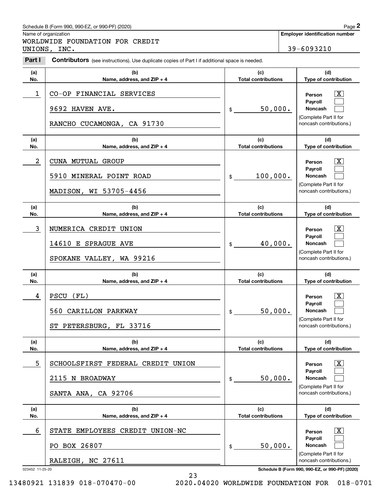#### Schedule B (Form 990, 990-EZ, or 990-PF) (2020) **Page 2** Page 2

|                  | Schedule B (Form 990, 990-EZ, or 990-PF) (2020)                                                       |    |                                   |                                                  | Page 2             |
|------------------|-------------------------------------------------------------------------------------------------------|----|-----------------------------------|--------------------------------------------------|--------------------|
|                  | Name of organization<br>WORLDWIDE FOUNDATION FOR CREDIT                                               |    |                                   | <b>Employer identification number</b>            |                    |
|                  | UNIONS, INC.                                                                                          |    |                                   | 39-6093210                                       |                    |
| Part I           | <b>Contributors</b> (see instructions). Use duplicate copies of Part I if additional space is needed. |    |                                   |                                                  |                    |
| (a)              | (b)                                                                                                   |    | (c)                               | (d)                                              |                    |
| No.              | Name, address, and ZIP + 4                                                                            |    | <b>Total contributions</b>        | Type of contribution                             |                    |
| 1                | CO-OP FINANCIAL SERVICES                                                                              |    |                                   | Person<br>Payroll                                | $\mathbf{X}$       |
|                  | 9692 HAVEN AVE.                                                                                       | \$ | 50,000.                           | Noncash                                          |                    |
|                  | RANCHO CUCAMONGA, CA 91730                                                                            |    |                                   | (Complete Part II for<br>noncash contributions.) |                    |
| (a)<br>No.       | (b)<br>Name, address, and ZIP + 4                                                                     |    | (c)<br><b>Total contributions</b> | (d)<br>Type of contribution                      |                    |
| $\boldsymbol{2}$ | CUNA MUTUAL GROUP                                                                                     |    |                                   | Person                                           | X                  |
|                  | 5910 MINERAL POINT ROAD                                                                               | \$ | 100,000.                          | Payroll<br>Noncash<br>(Complete Part II for      |                    |
|                  | MADISON, WI 53705-4456                                                                                |    |                                   | noncash contributions.)                          |                    |
| (a)<br>No.       | (b)<br>Name, address, and ZIP + 4                                                                     |    | (c)<br><b>Total contributions</b> | (d)<br>Type of contribution                      |                    |
| 3                | NUMERICA CREDIT UNION                                                                                 |    |                                   | Person                                           | $\mathbf{X}$       |
|                  | 14610 E SPRAGUE AVE                                                                                   | \$ | 40,000.                           | Payroll<br>Noncash                               |                    |
|                  | SPOKANE VALLEY, WA 99216                                                                              |    |                                   | (Complete Part II for<br>noncash contributions.) |                    |
| (a)<br>No.       | (b)<br>Name, address, and ZIP + 4                                                                     |    | (c)<br><b>Total contributions</b> | (d)<br>Type of contribution                      |                    |
| 4                | PSCU<br>(FL)                                                                                          |    |                                   | Person                                           | $\mathbf{X}$       |
|                  | 560 CARILLON PARKWAY                                                                                  | \$ | 50,000.                           | <b>Payroll</b><br>Noncash                        |                    |
|                  | ST PETERSBURG, FL 33716                                                                               |    |                                   | (Complete Part II for<br>noncash contributions.) |                    |
| (a)<br>No.       | (b)<br>Name, address, and ZIP + 4                                                                     |    | (c)<br><b>Total contributions</b> | (d)<br>Type of contribution                      |                    |
| 5                | SCHOOLSFIRST FEDERAL CREDIT UNION                                                                     |    |                                   | Person                                           | $\boxed{\text{X}}$ |
|                  | 2115 N BROADWAY                                                                                       | \$ | 50,000.                           | Payroll<br>Noncash                               |                    |
|                  | SANTA ANA, CA 92706                                                                                   |    |                                   | (Complete Part II for<br>noncash contributions.) |                    |
| (a)<br>No.       | (b)<br>Name, address, and $ZIP + 4$                                                                   |    | (c)<br><b>Total contributions</b> | (d)<br>Type of contribution                      |                    |
| 6                | STATE EMPLOYEES CREDIT UNION-NC                                                                       |    |                                   | Person                                           | $\boxed{\text{X}}$ |
|                  | PO BOX 26807                                                                                          | \$ | 50,000.                           | Payroll<br>Noncash                               |                    |
|                  | RALEIGH, NC 27611                                                                                     |    |                                   | (Complete Part II for<br>noncash contributions.) |                    |
| 023452 11-25-20  |                                                                                                       |    |                                   | Schedule B (Form 990, 990-EZ, or 990-PF) (2020)  |                    |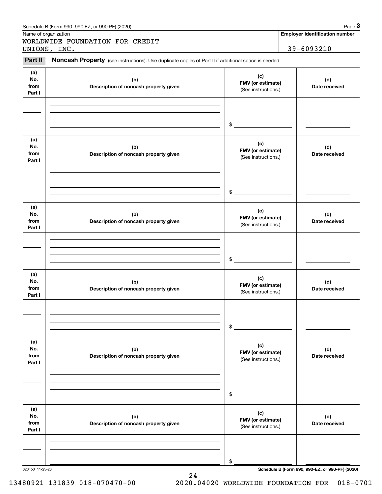|                              | Schedule B (Form 990, 990-EZ, or 990-PF) (2020)                                                     |                                                 | Page 3                                          |
|------------------------------|-----------------------------------------------------------------------------------------------------|-------------------------------------------------|-------------------------------------------------|
| Name of organization         |                                                                                                     |                                                 | <b>Employer identification number</b>           |
|                              | WORLDWIDE FOUNDATION FOR CREDIT<br>UNIONS, INC.                                                     |                                                 | 39-6093210                                      |
| Part II                      | Noncash Property (see instructions). Use duplicate copies of Part II if additional space is needed. |                                                 |                                                 |
| (a)<br>No.<br>from<br>Part I | (c)<br>(b)<br>FMV (or estimate)<br>Description of noncash property given<br>(See instructions.)     |                                                 | (d)<br>Date received                            |
|                              |                                                                                                     | $$^{\circ}$                                     |                                                 |
| (a)<br>No.<br>from<br>Part I | (b)<br>Description of noncash property given                                                        | (c)<br>FMV (or estimate)<br>(See instructions.) | (d)<br>Date received                            |
|                              |                                                                                                     | \$                                              |                                                 |
| (a)<br>No.<br>from<br>Part I | (b)<br>Description of noncash property given                                                        | (c)<br>FMV (or estimate)<br>(See instructions.) | (d)<br>Date received                            |
|                              |                                                                                                     | $$^{\circ}$                                     |                                                 |
| (a)<br>No.<br>from<br>Part I | (b)<br>Description of noncash property given                                                        | (c)<br>FMV (or estimate)<br>(See instructions.) | (d)<br>Date received                            |
|                              |                                                                                                     | \$                                              |                                                 |
| (a)<br>No.<br>from<br>Part I | (b)<br>Description of noncash property given                                                        | (c)<br>FMV (or estimate)<br>(See instructions.) | (d)<br>Date received                            |
|                              |                                                                                                     | \$                                              |                                                 |
| (a)<br>No.<br>from<br>Part I | (b)<br>Description of noncash property given                                                        | (c)<br>FMV (or estimate)<br>(See instructions.) | (d)<br>Date received                            |
|                              | 023453 11-25-20                                                                                     | \$                                              | Schedule B (Form 990, 990-EZ, or 990-PF) (2020) |

24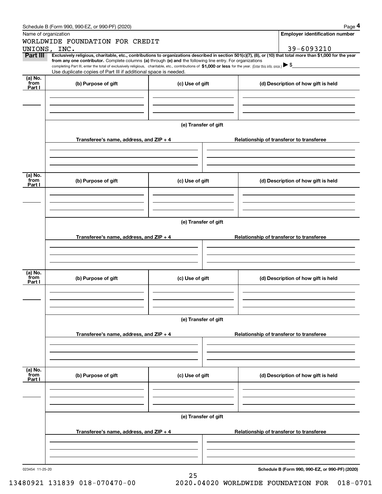|                                                | Schedule B (Form 990, 990-EZ, or 990-PF) (2020)                                                                                                                                   |                                          | Page 4                                                                                                                                                         |  |  |  |  |  |
|------------------------------------------------|-----------------------------------------------------------------------------------------------------------------------------------------------------------------------------------|------------------------------------------|----------------------------------------------------------------------------------------------------------------------------------------------------------------|--|--|--|--|--|
|                                                | Name of organization                                                                                                                                                              |                                          | <b>Employer identification number</b>                                                                                                                          |  |  |  |  |  |
|                                                | WORLDWIDE FOUNDATION FOR CREDIT                                                                                                                                                   |                                          |                                                                                                                                                                |  |  |  |  |  |
|                                                | UNIONS, INC.                                                                                                                                                                      |                                          | 39-6093210                                                                                                                                                     |  |  |  |  |  |
| Part III                                       | from any one contributor. Complete columns (a) through (e) and the following line entry. For organizations                                                                        |                                          | Exclusively religious, charitable, etc., contributions to organizations described in section 501(c)(7), (8), or (10) that total more than \$1,000 for the year |  |  |  |  |  |
|                                                | completing Part III, enter the total of exclusively religious, charitable, etc., contributions of \$1,000 or less for the year. (Enter this info. once.) $\blacktriangleright$ \$ |                                          |                                                                                                                                                                |  |  |  |  |  |
|                                                | Use duplicate copies of Part III if additional space is needed.                                                                                                                   |                                          |                                                                                                                                                                |  |  |  |  |  |
| (a) $\overline{\text{No}}$ .<br>from<br>Part I | (b) Purpose of gift                                                                                                                                                               | (c) Use of gift                          | (d) Description of how gift is held                                                                                                                            |  |  |  |  |  |
|                                                |                                                                                                                                                                                   |                                          |                                                                                                                                                                |  |  |  |  |  |
|                                                |                                                                                                                                                                                   | (e) Transfer of gift                     |                                                                                                                                                                |  |  |  |  |  |
|                                                | Transferee's name, address, and $ZIP + 4$                                                                                                                                         |                                          | Relationship of transferor to transferee                                                                                                                       |  |  |  |  |  |
|                                                |                                                                                                                                                                                   |                                          |                                                                                                                                                                |  |  |  |  |  |
|                                                |                                                                                                                                                                                   |                                          |                                                                                                                                                                |  |  |  |  |  |
| (a) No.<br>from<br>Part I                      | (b) Purpose of gift                                                                                                                                                               | (c) Use of gift                          | (d) Description of how gift is held                                                                                                                            |  |  |  |  |  |
|                                                |                                                                                                                                                                                   |                                          |                                                                                                                                                                |  |  |  |  |  |
|                                                | (e) Transfer of gift                                                                                                                                                              |                                          |                                                                                                                                                                |  |  |  |  |  |
|                                                | Transferee's name, address, and ZIP + 4                                                                                                                                           |                                          | Relationship of transferor to transferee                                                                                                                       |  |  |  |  |  |
|                                                |                                                                                                                                                                                   |                                          |                                                                                                                                                                |  |  |  |  |  |
|                                                |                                                                                                                                                                                   |                                          |                                                                                                                                                                |  |  |  |  |  |
| (a) No.<br>from<br>Part I                      | (b) Purpose of gift                                                                                                                                                               | (c) Use of gift                          | (d) Description of how gift is held                                                                                                                            |  |  |  |  |  |
|                                                |                                                                                                                                                                                   |                                          |                                                                                                                                                                |  |  |  |  |  |
|                                                |                                                                                                                                                                                   | (e) Transfer of gift                     |                                                                                                                                                                |  |  |  |  |  |
|                                                | Transferee's name, address, and ZIP + 4                                                                                                                                           | Relationship of transferor to transferee |                                                                                                                                                                |  |  |  |  |  |
|                                                |                                                                                                                                                                                   |                                          |                                                                                                                                                                |  |  |  |  |  |
|                                                |                                                                                                                                                                                   |                                          |                                                                                                                                                                |  |  |  |  |  |
| (a) No.<br>from<br>Part I                      | (b) Purpose of gift                                                                                                                                                               | (c) Use of gift                          | (d) Description of how gift is held                                                                                                                            |  |  |  |  |  |
|                                                |                                                                                                                                                                                   |                                          |                                                                                                                                                                |  |  |  |  |  |
|                                                |                                                                                                                                                                                   | (e) Transfer of gift                     |                                                                                                                                                                |  |  |  |  |  |
|                                                | Transferee's name, address, and ZIP + 4                                                                                                                                           |                                          | Relationship of transferor to transferee                                                                                                                       |  |  |  |  |  |
|                                                |                                                                                                                                                                                   |                                          |                                                                                                                                                                |  |  |  |  |  |
|                                                |                                                                                                                                                                                   |                                          |                                                                                                                                                                |  |  |  |  |  |
| 023454 11-25-20                                |                                                                                                                                                                                   | 25                                       | Schedule B (Form 990, 990-EZ, or 990-PF) (2020)                                                                                                                |  |  |  |  |  |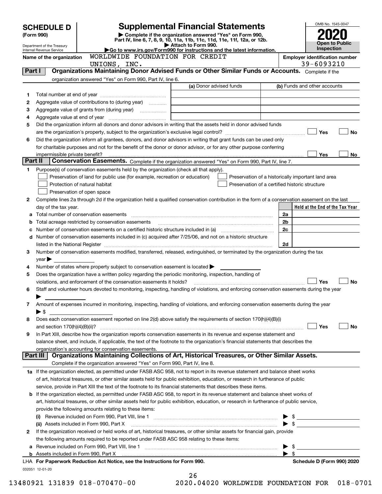|         | <b>SCHEDULE D</b>                                                                                                                     |                                                                                                                                                                     | <b>Supplemental Financial Statements</b>                                                                                                                                                                                       |                          | OMB No. 1545-0047               |  |
|---------|---------------------------------------------------------------------------------------------------------------------------------------|---------------------------------------------------------------------------------------------------------------------------------------------------------------------|--------------------------------------------------------------------------------------------------------------------------------------------------------------------------------------------------------------------------------|--------------------------|---------------------------------|--|
|         | Complete if the organization answered "Yes" on Form 990,<br>(Form 990)                                                                |                                                                                                                                                                     |                                                                                                                                                                                                                                |                          |                                 |  |
|         | Department of the Treasury                                                                                                            |                                                                                                                                                                     | Part IV, line 6, 7, 8, 9, 10, 11a, 11b, 11c, 11d, 11e, 11f, 12a, or 12b.<br>Attach to Form 990.                                                                                                                                |                          | Open to Public<br>Inspection    |  |
|         | Go to www.irs.gov/Form990 for instructions and the latest information.<br>Internal Revenue Service<br>WORLDWIDE FOUNDATION FOR CREDIT |                                                                                                                                                                     |                                                                                                                                                                                                                                |                          |                                 |  |
|         | Name of the organization                                                                                                              | <b>Employer identification number</b>                                                                                                                               |                                                                                                                                                                                                                                |                          |                                 |  |
| Part I  |                                                                                                                                       | UNIONS, INC.                                                                                                                                                        | Organizations Maintaining Donor Advised Funds or Other Similar Funds or Accounts. Complete if the                                                                                                                              |                          | 39-6093210                      |  |
|         |                                                                                                                                       | organization answered "Yes" on Form 990, Part IV, line 6.                                                                                                           |                                                                                                                                                                                                                                |                          |                                 |  |
|         |                                                                                                                                       |                                                                                                                                                                     | (a) Donor advised funds                                                                                                                                                                                                        |                          | (b) Funds and other accounts    |  |
| 1       |                                                                                                                                       |                                                                                                                                                                     |                                                                                                                                                                                                                                |                          |                                 |  |
| 2       |                                                                                                                                       | Aggregate value of contributions to (during year)                                                                                                                   |                                                                                                                                                                                                                                |                          |                                 |  |
| 3       |                                                                                                                                       |                                                                                                                                                                     |                                                                                                                                                                                                                                |                          |                                 |  |
| 4       |                                                                                                                                       |                                                                                                                                                                     |                                                                                                                                                                                                                                |                          |                                 |  |
| 5       |                                                                                                                                       |                                                                                                                                                                     | Did the organization inform all donors and donor advisors in writing that the assets held in donor advised funds                                                                                                               |                          |                                 |  |
|         |                                                                                                                                       |                                                                                                                                                                     |                                                                                                                                                                                                                                |                          | Yes<br>No                       |  |
| 6       |                                                                                                                                       |                                                                                                                                                                     | Did the organization inform all grantees, donors, and donor advisors in writing that grant funds can be used only                                                                                                              |                          |                                 |  |
|         |                                                                                                                                       |                                                                                                                                                                     | for charitable purposes and not for the benefit of the donor or donor advisor, or for any other purpose conferring                                                                                                             |                          |                                 |  |
| Part II | impermissible private benefit?                                                                                                        |                                                                                                                                                                     | Conservation Easements. Complete if the organization answered "Yes" on Form 990, Part IV, line 7.                                                                                                                              |                          | Yes<br>No                       |  |
|         |                                                                                                                                       |                                                                                                                                                                     |                                                                                                                                                                                                                                |                          |                                 |  |
| 1       |                                                                                                                                       | Purpose(s) of conservation easements held by the organization (check all that apply).<br>Preservation of land for public use (for example, recreation or education) | Preservation of a historically important land area                                                                                                                                                                             |                          |                                 |  |
|         |                                                                                                                                       | Protection of natural habitat                                                                                                                                       | Preservation of a certified historic structure                                                                                                                                                                                 |                          |                                 |  |
|         |                                                                                                                                       | Preservation of open space                                                                                                                                          |                                                                                                                                                                                                                                |                          |                                 |  |
| 2       |                                                                                                                                       |                                                                                                                                                                     | Complete lines 2a through 2d if the organization held a qualified conservation contribution in the form of a conservation easement on the last                                                                                 |                          |                                 |  |
|         | day of the tax year.                                                                                                                  |                                                                                                                                                                     |                                                                                                                                                                                                                                |                          | Held at the End of the Tax Year |  |
|         |                                                                                                                                       |                                                                                                                                                                     |                                                                                                                                                                                                                                | 2a                       |                                 |  |
|         |                                                                                                                                       |                                                                                                                                                                     |                                                                                                                                                                                                                                | 2b                       |                                 |  |
|         |                                                                                                                                       |                                                                                                                                                                     | Number of conservation easements on a certified historic structure included in (a) manufacture included in (a)                                                                                                                 | 2c                       |                                 |  |
| d       |                                                                                                                                       |                                                                                                                                                                     | Number of conservation easements included in (c) acquired after 7/25/06, and not on a historic structure                                                                                                                       |                          |                                 |  |
|         |                                                                                                                                       |                                                                                                                                                                     | listed in the National Register [[11] matter contract the National Register of the National Register [11] matter of the National Register [11] matter of the National Register [11] matter of the National Register [11] matte | 2d                       |                                 |  |
| 3       |                                                                                                                                       |                                                                                                                                                                     | Number of conservation easements modified, transferred, released, extinguished, or terminated by the organization during the tax                                                                                               |                          |                                 |  |
| 4       | $year \triangleright$                                                                                                                 | Number of states where property subject to conservation easement is located $\blacktriangleright$                                                                   |                                                                                                                                                                                                                                |                          |                                 |  |
| 5       |                                                                                                                                       | Does the organization have a written policy regarding the periodic monitoring, inspection, handling of                                                              |                                                                                                                                                                                                                                |                          |                                 |  |
|         |                                                                                                                                       | violations, and enforcement of the conservation easements it holds?                                                                                                 |                                                                                                                                                                                                                                |                          | Yes<br>No                       |  |
| 6       |                                                                                                                                       |                                                                                                                                                                     | Staff and volunteer hours devoted to monitoring, inspecting, handling of violations, and enforcing conservation easements during the year                                                                                      |                          |                                 |  |
|         |                                                                                                                                       |                                                                                                                                                                     |                                                                                                                                                                                                                                |                          |                                 |  |
| 7       |                                                                                                                                       |                                                                                                                                                                     | Amount of expenses incurred in monitoring, inspecting, handling of violations, and enforcing conservation easements during the year                                                                                            |                          |                                 |  |
|         | ▶ \$                                                                                                                                  |                                                                                                                                                                     |                                                                                                                                                                                                                                |                          |                                 |  |
| 8       |                                                                                                                                       |                                                                                                                                                                     | Does each conservation easement reported on line 2(d) above satisfy the requirements of section 170(h)(4)(B)(i)                                                                                                                |                          |                                 |  |
|         |                                                                                                                                       |                                                                                                                                                                     |                                                                                                                                                                                                                                |                          | Yes<br>No                       |  |
| 9       |                                                                                                                                       |                                                                                                                                                                     | In Part XIII, describe how the organization reports conservation easements in its revenue and expense statement and                                                                                                            |                          |                                 |  |
|         |                                                                                                                                       | organization's accounting for conservation easements.                                                                                                               | balance sheet, and include, if applicable, the text of the footnote to the organization's financial statements that describes the                                                                                              |                          |                                 |  |
|         | Part III                                                                                                                              |                                                                                                                                                                     | Organizations Maintaining Collections of Art, Historical Treasures, or Other Similar Assets.                                                                                                                                   |                          |                                 |  |
|         |                                                                                                                                       | Complete if the organization answered "Yes" on Form 990, Part IV, line 8.                                                                                           |                                                                                                                                                                                                                                |                          |                                 |  |
|         |                                                                                                                                       |                                                                                                                                                                     | 1a If the organization elected, as permitted under FASB ASC 958, not to report in its revenue statement and balance sheet works                                                                                                |                          |                                 |  |
|         |                                                                                                                                       |                                                                                                                                                                     | of art, historical treasures, or other similar assets held for public exhibition, education, or research in furtherance of public                                                                                              |                          |                                 |  |
|         |                                                                                                                                       |                                                                                                                                                                     | service, provide in Part XIII the text of the footnote to its financial statements that describes these items.                                                                                                                 |                          |                                 |  |
|         |                                                                                                                                       |                                                                                                                                                                     | <b>b</b> If the organization elected, as permitted under FASB ASC 958, to report in its revenue statement and balance sheet works of                                                                                           |                          |                                 |  |
|         |                                                                                                                                       |                                                                                                                                                                     | art, historical treasures, or other similar assets held for public exhibition, education, or research in furtherance of public service,                                                                                        |                          |                                 |  |
|         |                                                                                                                                       | provide the following amounts relating to these items:                                                                                                              |                                                                                                                                                                                                                                |                          |                                 |  |
|         |                                                                                                                                       |                                                                                                                                                                     | (i) Revenue included on Form 990, Part VIII, line 1 [2000] [2010] Contract the included on Form 990, Part VIII, line 1                                                                                                         |                          |                                 |  |
|         |                                                                                                                                       | (ii) Assets included in Form 990, Part X                                                                                                                            |                                                                                                                                                                                                                                |                          | $\bullet$ \$                    |  |
| 2       |                                                                                                                                       |                                                                                                                                                                     | If the organization received or held works of art, historical treasures, or other similar assets for financial gain, provide                                                                                                   |                          |                                 |  |
| а       |                                                                                                                                       | the following amounts required to be reported under FASB ASC 958 relating to these items:                                                                           |                                                                                                                                                                                                                                | - \$                     |                                 |  |
|         |                                                                                                                                       |                                                                                                                                                                     |                                                                                                                                                                                                                                | $\blacktriangleright$ \$ |                                 |  |
|         |                                                                                                                                       | LHA For Paperwork Reduction Act Notice, see the Instructions for Form 990.                                                                                          |                                                                                                                                                                                                                                |                          | Schedule D (Form 990) 2020      |  |
|         | 032051 12-01-20                                                                                                                       |                                                                                                                                                                     |                                                                                                                                                                                                                                |                          |                                 |  |
|         |                                                                                                                                       |                                                                                                                                                                     | 26                                                                                                                                                                                                                             |                          |                                 |  |

|  | ∠ ס |  |  |        |  |
|--|-----|--|--|--------|--|
|  | へへへ |  |  | 0.1000 |  |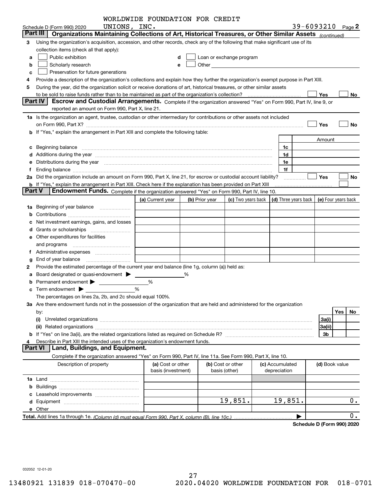|               |                                                                                                                                                                                                                                | WORLDWIDE FOUNDATION FOR CREDIT         |   |                |                                                                                                                                                                                                                                |                                            |                   |           |
|---------------|--------------------------------------------------------------------------------------------------------------------------------------------------------------------------------------------------------------------------------|-----------------------------------------|---|----------------|--------------------------------------------------------------------------------------------------------------------------------------------------------------------------------------------------------------------------------|--------------------------------------------|-------------------|-----------|
|               | UNIONS, INC.<br>Schedule D (Form 990) 2020                                                                                                                                                                                     |                                         |   |                |                                                                                                                                                                                                                                |                                            | 39-6093210 Page 2 |           |
| Part III      | Organizations Maintaining Collections of Art, Historical Treasures, or Other Similar Assets <sub>(continued)</sub>                                                                                                             |                                         |   |                |                                                                                                                                                                                                                                |                                            |                   |           |
| З             | Using the organization's acquisition, accession, and other records, check any of the following that make significant use of its                                                                                                |                                         |   |                |                                                                                                                                                                                                                                |                                            |                   |           |
|               | collection items (check all that apply):                                                                                                                                                                                       |                                         |   |                |                                                                                                                                                                                                                                |                                            |                   |           |
| a             | Public exhibition                                                                                                                                                                                                              | d                                       |   |                | Loan or exchange program                                                                                                                                                                                                       |                                            |                   |           |
| b             | Scholarly research                                                                                                                                                                                                             | е                                       |   |                | Other and the control of the control of the control of the control of the control of the control of the control of the control of the control of the control of the control of the control of the control of the control of th |                                            |                   |           |
| c             | Preservation for future generations                                                                                                                                                                                            |                                         |   |                |                                                                                                                                                                                                                                |                                            |                   |           |
|               | Provide a description of the organization's collections and explain how they further the organization's exempt purpose in Part XIII.                                                                                           |                                         |   |                |                                                                                                                                                                                                                                |                                            |                   |           |
| 5             | During the year, did the organization solicit or receive donations of art, historical treasures, or other similar assets                                                                                                       |                                         |   |                |                                                                                                                                                                                                                                |                                            |                   |           |
|               |                                                                                                                                                                                                                                |                                         |   |                |                                                                                                                                                                                                                                |                                            | Yes               | No        |
|               | Part IV<br>Escrow and Custodial Arrangements. Complete if the organization answered "Yes" on Form 990, Part IV, line 9, or                                                                                                     |                                         |   |                |                                                                                                                                                                                                                                |                                            |                   |           |
|               | reported an amount on Form 990, Part X, line 21.                                                                                                                                                                               |                                         |   |                |                                                                                                                                                                                                                                |                                            |                   |           |
|               | 1a Is the organization an agent, trustee, custodian or other intermediary for contributions or other assets not included                                                                                                       |                                         |   |                |                                                                                                                                                                                                                                |                                            |                   |           |
|               | on Form 990, Part X? [11] matter and the contract of the contract of the contract of the contract of the contract of the contract of the contract of the contract of the contract of the contract of the contract of the contr |                                         |   |                |                                                                                                                                                                                                                                |                                            | Yes               | No        |
|               | b If "Yes," explain the arrangement in Part XIII and complete the following table:                                                                                                                                             |                                         |   |                |                                                                                                                                                                                                                                |                                            |                   |           |
|               |                                                                                                                                                                                                                                |                                         |   |                |                                                                                                                                                                                                                                |                                            | Amount            |           |
| c             |                                                                                                                                                                                                                                |                                         |   |                |                                                                                                                                                                                                                                | 1c                                         |                   |           |
|               |                                                                                                                                                                                                                                |                                         |   |                |                                                                                                                                                                                                                                | 1d                                         |                   |           |
|               | Distributions during the year manufactured and continuum and contact the year manufactured and contact the year                                                                                                                |                                         |   |                |                                                                                                                                                                                                                                | 1e                                         |                   |           |
|               |                                                                                                                                                                                                                                |                                         |   |                |                                                                                                                                                                                                                                | 1f                                         |                   |           |
|               | 2a Did the organization include an amount on Form 990, Part X, line 21, for escrow or custodial account liability?                                                                                                             |                                         |   |                |                                                                                                                                                                                                                                |                                            | Yes               | No        |
|               | <b>b</b> If "Yes," explain the arrangement in Part XIII. Check here if the explanation has been provided on Part XIII                                                                                                          |                                         |   |                |                                                                                                                                                                                                                                |                                            |                   |           |
| <b>Part V</b> | Endowment Funds. Complete if the organization answered "Yes" on Form 990, Part IV, line 10.                                                                                                                                    |                                         |   |                |                                                                                                                                                                                                                                |                                            |                   |           |
|               |                                                                                                                                                                                                                                | (a) Current year                        |   | (b) Prior year | (c) Two years back                                                                                                                                                                                                             | (d) Three years back   (e) Four years back |                   |           |
| 1a            | Beginning of year balance                                                                                                                                                                                                      |                                         |   |                |                                                                                                                                                                                                                                |                                            |                   |           |
|               |                                                                                                                                                                                                                                |                                         |   |                |                                                                                                                                                                                                                                |                                            |                   |           |
|               | Net investment earnings, gains, and losses                                                                                                                                                                                     |                                         |   |                |                                                                                                                                                                                                                                |                                            |                   |           |
|               | Grants or scholarships                                                                                                                                                                                                         |                                         |   |                |                                                                                                                                                                                                                                |                                            |                   |           |
|               | e Other expenditures for facilities                                                                                                                                                                                            |                                         |   |                |                                                                                                                                                                                                                                |                                            |                   |           |
|               |                                                                                                                                                                                                                                |                                         |   |                |                                                                                                                                                                                                                                |                                            |                   |           |
|               |                                                                                                                                                                                                                                |                                         |   |                |                                                                                                                                                                                                                                |                                            |                   |           |
|               | End of year balance                                                                                                                                                                                                            |                                         |   |                |                                                                                                                                                                                                                                |                                            |                   |           |
| 2             | Provide the estimated percentage of the current year end balance (line 1g, column (a)) held as:                                                                                                                                |                                         |   |                |                                                                                                                                                                                                                                |                                            |                   |           |
|               | Board designated or quasi-endowment >                                                                                                                                                                                          |                                         | ℅ |                |                                                                                                                                                                                                                                |                                            |                   |           |
|               |                                                                                                                                                                                                                                | %                                       |   |                |                                                                                                                                                                                                                                |                                            |                   |           |
|               |                                                                                                                                                                                                                                | %                                       |   |                |                                                                                                                                                                                                                                |                                            |                   |           |
|               | The percentages on lines 2a, 2b, and 2c should equal 100%.                                                                                                                                                                     |                                         |   |                |                                                                                                                                                                                                                                |                                            |                   |           |
|               | 3a Are there endowment funds not in the possession of the organization that are held and administered for the organization                                                                                                     |                                         |   |                |                                                                                                                                                                                                                                |                                            |                   |           |
|               | by:                                                                                                                                                                                                                            |                                         |   |                |                                                                                                                                                                                                                                |                                            |                   | Yes<br>No |
|               | (i)                                                                                                                                                                                                                            |                                         |   |                |                                                                                                                                                                                                                                |                                            | 3a(i)             |           |
|               |                                                                                                                                                                                                                                |                                         |   |                |                                                                                                                                                                                                                                |                                            | 3a(ii)            |           |
|               |                                                                                                                                                                                                                                |                                         |   |                |                                                                                                                                                                                                                                |                                            | 3b                |           |
|               | Describe in Part XIII the intended uses of the organization's endowment funds.                                                                                                                                                 |                                         |   |                |                                                                                                                                                                                                                                |                                            |                   |           |
|               | Land, Buildings, and Equipment.<br><b>Part VI</b>                                                                                                                                                                              |                                         |   |                |                                                                                                                                                                                                                                |                                            |                   |           |
|               | Complete if the organization answered "Yes" on Form 990, Part IV, line 11a. See Form 990, Part X, line 10.                                                                                                                     |                                         |   |                |                                                                                                                                                                                                                                |                                            |                   |           |
|               | Description of property                                                                                                                                                                                                        | (a) Cost or other<br>basis (investment) |   |                | (b) Cost or other<br>basis (other)                                                                                                                                                                                             | (c) Accumulated<br>depreciation            | (d) Book value    |           |
|               |                                                                                                                                                                                                                                |                                         |   |                |                                                                                                                                                                                                                                |                                            |                   |           |
|               |                                                                                                                                                                                                                                |                                         |   |                |                                                                                                                                                                                                                                |                                            |                   |           |
|               |                                                                                                                                                                                                                                |                                         |   |                |                                                                                                                                                                                                                                |                                            |                   |           |
|               |                                                                                                                                                                                                                                |                                         |   |                | 19,851.                                                                                                                                                                                                                        | 19,851.                                    |                   | 0.        |
|               |                                                                                                                                                                                                                                |                                         |   |                |                                                                                                                                                                                                                                |                                            |                   |           |
|               |                                                                                                                                                                                                                                |                                         |   |                |                                                                                                                                                                                                                                |                                            |                   | 0.        |
|               |                                                                                                                                                                                                                                |                                         |   |                |                                                                                                                                                                                                                                |                                            |                   |           |

**Schedule D (Form 990) 2020**

032052 12-01-20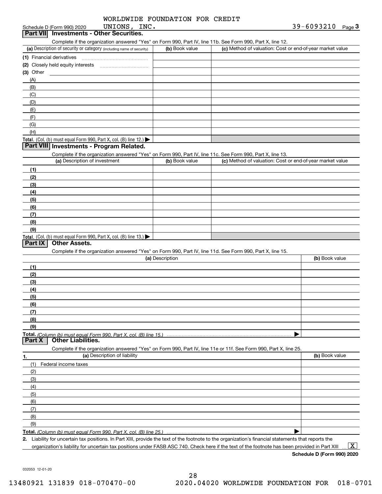| WORLDWIDE FOUNDATION FOR CREDIT |
|---------------------------------|
|---------------------------------|

|  |                            | Dart VIII Investments - Other Securities |  |
|--|----------------------------|------------------------------------------|--|
|  | Schedule D (Form 990) 2020 | UNIONS, INC                              |  |
|  |                            |                                          |  |

| <b>Part VIII</b> investments - Other Securities.                                                           |  |
|------------------------------------------------------------------------------------------------------------|--|
| Complete if the organization answered "Yes" on Form 990. Part IV, line 11b, See Form 990, Part X, line 12. |  |
|                                                                                                            |  |

| (a) Description of security or category (including name of security)                          | (b) Book value | (c) Method of valuation: Cost or end-of-year market value |
|-----------------------------------------------------------------------------------------------|----------------|-----------------------------------------------------------|
| (1) Financial derivatives                                                                     |                |                                                           |
| (2) Closely held equity interests                                                             |                |                                                           |
| $(3)$ Other                                                                                   |                |                                                           |
| (A)                                                                                           |                |                                                           |
| (B)                                                                                           |                |                                                           |
| (C)                                                                                           |                |                                                           |
| (D)                                                                                           |                |                                                           |
| (E)                                                                                           |                |                                                           |
| (F)                                                                                           |                |                                                           |
| (G)                                                                                           |                |                                                           |
| (H)                                                                                           |                |                                                           |
| <b>Total.</b> (Col. (b) must equal Form 990, Part X, col. (B) line 12.) $\blacktriangleright$ |                |                                                           |

#### **Part VIII Investments - Program Related.**

Complete if the organization answered "Yes" on Form 990, Part IV, line 11c. See Form 990, Part X, line 13.

| (a) Description of investment                                       | (b) Book value | (c) Method of valuation: Cost or end-of-year market value |
|---------------------------------------------------------------------|----------------|-----------------------------------------------------------|
| (1)                                                                 |                |                                                           |
| (2)                                                                 |                |                                                           |
| $\frac{1}{2}$                                                       |                |                                                           |
| (4)                                                                 |                |                                                           |
| $\left(5\right)$                                                    |                |                                                           |
| (6)                                                                 |                |                                                           |
| (7)                                                                 |                |                                                           |
| (8)                                                                 |                |                                                           |
| (9)                                                                 |                |                                                           |
| Total. (Col. (b) must equal Form 990, Part X, col. (B) line $13.$ ) |                |                                                           |

#### **Part IX Other Assets.**

Complete if the organization answered "Yes" on Form 990, Part IV, line 11d. See Form 990, Part X, line 15.

| (a) Description                                                                                                   | (b) Book value |
|-------------------------------------------------------------------------------------------------------------------|----------------|
| (1)                                                                                                               |                |
| (2)                                                                                                               |                |
| $\frac{1}{2}$                                                                                                     |                |
| (4)                                                                                                               |                |
| (5)                                                                                                               |                |
| (6)                                                                                                               |                |
| (7)                                                                                                               |                |
| (8)                                                                                                               |                |
| (9)                                                                                                               |                |
|                                                                                                                   |                |
| <b>Other Liabilities.</b><br><b>Part X</b>                                                                        |                |
| Complete if the organization answered "Yes" on Form 990, Part IV, line 11e or 11f. See Form 990, Part X, line 25. |                |

| 1.  | (a) Description of liability | (b) Book value |
|-----|------------------------------|----------------|
| (1) | Federal income taxes         |                |
| (2) |                              |                |
| (3) |                              |                |
| (4) |                              |                |
| (5) |                              |                |
| (6) |                              |                |
| (7) |                              |                |
| (8) |                              |                |
| (9) |                              |                |
|     |                              |                |

**Total.**  *(Column (b) must equal Form 990, Part X, col. (B) line 25.)* 

**2.**Liability for uncertain tax positions. In Part XIII, provide the text of the footnote to the organization's financial statements that reports the organization's liability for uncertain tax positions under FASB ASC 740. Check here if the text of the footnote has been provided in Part XIII  $\boxed{\text{X}}$ 

**Schedule D (Form 990) 2020**

032053 12-01-20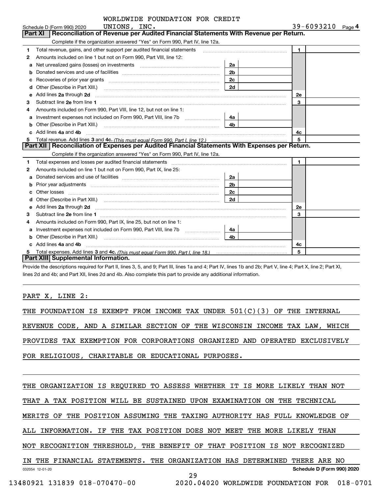| WORLDWIDE FOUNDATION FOR CREDIT |  |  |
|---------------------------------|--|--|
|---------------------------------|--|--|

|    | Schedule D (Form 990) 2020 $UNIONS$ , $INC$ .                                                                                                                                                                                  |                | 39-6093210<br>Page 4 |
|----|--------------------------------------------------------------------------------------------------------------------------------------------------------------------------------------------------------------------------------|----------------|----------------------|
|    | Reconciliation of Revenue per Audited Financial Statements With Revenue per Return.<br><b>Part XI</b>                                                                                                                          |                |                      |
|    | Complete if the organization answered "Yes" on Form 990, Part IV, line 12a.                                                                                                                                                    |                |                      |
| 1  | Total revenue, gains, and other support per audited financial statements                                                                                                                                                       |                | $\blacksquare$       |
| 2  | Amounts included on line 1 but not on Form 990, Part VIII, line 12:                                                                                                                                                            |                |                      |
| a  | Net unrealized gains (losses) on investments [111] [11] matter contracts and a set of the set of the set of the                                                                                                                | 2a             |                      |
| b  |                                                                                                                                                                                                                                | 2 <sub>b</sub> |                      |
| c  |                                                                                                                                                                                                                                | 2c             |                      |
| d  |                                                                                                                                                                                                                                | 2d             |                      |
| е  | Add lines 2a through 2d                                                                                                                                                                                                        |                | <b>2e</b>            |
| 3  |                                                                                                                                                                                                                                |                | 3                    |
| 4  | Amounts included on Form 990, Part VIII, line 12, but not on line 1:                                                                                                                                                           |                |                      |
| a  | Investment expenses not included on Form 990, Part VIII, line 7b [1000000000000000000000000000000000                                                                                                                           | 4a             |                      |
| b  | Other (Describe in Part XIII.) <b>Construction Contract Construction</b> Construction Construction Construction Const                                                                                                          | 4 <sub>b</sub> |                      |
|    | Add lines 4a and 4b                                                                                                                                                                                                            |                | 4c                   |
| 5. |                                                                                                                                                                                                                                |                | 5                    |
|    | Part XII   Reconciliation of Expenses per Audited Financial Statements With Expenses per Return.                                                                                                                               |                |                      |
|    | Complete if the organization answered "Yes" on Form 990, Part IV, line 12a.                                                                                                                                                    |                |                      |
| 1. | Total expenses and losses per audited financial statements [11] [12] contain an intervention and the statements [13] [13] and the statements [13] [13] and the statements [13] and the statements and the statements and the s |                | 1                    |
| 2  | Amounts included on line 1 but not on Form 990, Part IX, line 25:                                                                                                                                                              |                |                      |
| a  |                                                                                                                                                                                                                                | 2a l           |                      |
| b  | Prior year adjustments <i>www.www.www.www.www.www.www.www.www.</i> ww.                                                                                                                                                         | 2 <sub>b</sub> |                      |
|    |                                                                                                                                                                                                                                | 2c             |                      |
| d  |                                                                                                                                                                                                                                |                |                      |
| е  |                                                                                                                                                                                                                                |                | 2e                   |
| 3  |                                                                                                                                                                                                                                |                | 3                    |
| 4  | Amounts included on Form 990, Part IX, line 25, but not on line 1:                                                                                                                                                             |                |                      |
| a  |                                                                                                                                                                                                                                | 4a             |                      |
| b  |                                                                                                                                                                                                                                | 4 <sub>b</sub> |                      |
| c. | Add lines 4a and 4b                                                                                                                                                                                                            |                | 4c                   |
|    |                                                                                                                                                                                                                                |                | 5                    |
|    | Part XIII Supplemental Information.                                                                                                                                                                                            |                |                      |

Provide the descriptions required for Part II, lines 3, 5, and 9; Part III, lines 1a and 4; Part IV, lines 1b and 2b; Part V, line 4; Part X, line 2; Part XI, lines 2d and 4b; and Part XII, lines 2d and 4b. Also complete this part to provide any additional information.

PART X, LINE 2:

THE FOUNDATION IS EXEMPT FROM INCOME TAX UNDER 501(C)(3) OF THE INTERNAL REVENUE CODE, AND A SIMILAR SECTION OF THE WISCONSIN INCOME TAX LAW, WHICH PROVIDES TAX EXEMPTION FOR CORPORATIONS ORGANIZED AND OPERATED EXCLUSIVELY

FOR RELIGIOUS, CHARITABLE OR EDUCATIONAL PURPOSES.

THE ORGANIZATION IS REQUIRED TO ASSESS WHETHER IT IS MORE LIKELY THAN NOT

THAT A TAX POSITION WILL BE SUSTAINED UPON EXAMINATION ON THE TECHNICAL

MERITS OF THE POSITION ASSUMING THE TAXING AUTHORITY HAS FULL KNOWLEDGE OF

ALL INFORMATION. IF THE TAX POSITION DOES NOT MEET THE MORE LIKELY THAN

NOT RECOGNITION THRESHOLD, THE BENEFIT OF THAT POSITION IS NOT RECOGNIZED

032054 12-01-20 **Schedule D (Form 990) 2020** IN THE FINANCIAL STATEMENTS. THE ORGANIZATION HAS DETERMINED THERE ARE NO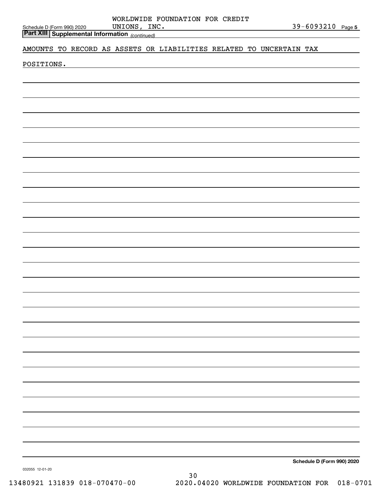| Schedule D (Form 990) 2020 |  |
|----------------------------|--|

*(continued)* **Part XIII Supplemental Information** 

#### AMOUNTS TO RECORD AS ASSETS OR LIABILITIES RELATED TO UNCERTAIN TAX

POSITIONS.

**Schedule D (Form 990) 2020**

032055 12-01-20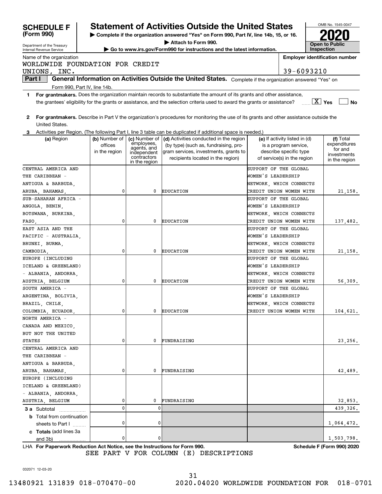| <b>SCHEDULE F</b>                                                                                    |                                                                                               |                             | <b>Statement of Activities Outside the United States</b>                                                                                |                       |                                                 | OMB No. 1545-0047                     |
|------------------------------------------------------------------------------------------------------|-----------------------------------------------------------------------------------------------|-----------------------------|-----------------------------------------------------------------------------------------------------------------------------------------|-----------------------|-------------------------------------------------|---------------------------------------|
| (Form 990)<br>Complete if the organization answered "Yes" on Form 990, Part IV, line 14b, 15, or 16. |                                                                                               |                             |                                                                                                                                         |                       |                                                 |                                       |
| Department of the Treasury                                                                           | Attach to Form 990.<br>Go to www.irs.gov/Form990 for instructions and the latest information. |                             |                                                                                                                                         |                       |                                                 | <b>Open to Public</b>                 |
| Internal Revenue Service                                                                             |                                                                                               |                             |                                                                                                                                         |                       |                                                 | <b>Inspection</b>                     |
| Name of the organization<br>WORLDWIDE FOUNDATION FOR CREDIT                                          |                                                                                               |                             |                                                                                                                                         |                       |                                                 | <b>Employer identification number</b> |
| UNIONS, INC.                                                                                         |                                                                                               |                             |                                                                                                                                         |                       | 39-6093210                                      |                                       |
| Part I                                                                                               |                                                                                               |                             | General Information on Activities Outside the United States. Complete if the organization answered "Yes" on                             |                       |                                                 |                                       |
|                                                                                                      |                                                                                               |                             |                                                                                                                                         |                       |                                                 |                                       |
| Form 990, Part IV, line 14b.<br>1                                                                    |                                                                                               |                             | For grantmakers. Does the organization maintain records to substantiate the amount of its grants and other assistance,                  |                       |                                                 |                                       |
|                                                                                                      |                                                                                               |                             | the grantees' eligibility for the grants or assistance, and the selection criteria used to award the grants or assistance?              |                       |                                                 | $\boxed{\text{X}}$ Yes<br><b>No</b>   |
| 2                                                                                                    |                                                                                               |                             | For grantmakers. Describe in Part V the organization's procedures for monitoring the use of its grants and other assistance outside the |                       |                                                 |                                       |
| United States.                                                                                       |                                                                                               |                             |                                                                                                                                         |                       |                                                 |                                       |
| 3                                                                                                    |                                                                                               |                             | Activities per Region. (The following Part I, line 3 table can be duplicated if additional space is needed.)                            |                       |                                                 |                                       |
| (a) Region                                                                                           | (b) Number of                                                                                 | (c) Number of<br>employees, | (d) Activities conducted in the region                                                                                                  |                       | (e) If activity listed in (d)                   | (f) Total<br>expenditures             |
|                                                                                                      | offices                                                                                       | agents, and                 | (by type) (such as, fundraising, pro-<br>gram services, investments, grants to                                                          |                       | is a program service,<br>describe specific type | for and                               |
|                                                                                                      | in the region                                                                                 | independent<br>contractors  | recipients located in the region)                                                                                                       |                       | of service(s) in the region                     | investments                           |
|                                                                                                      |                                                                                               | in the region               |                                                                                                                                         |                       |                                                 | in the region                         |
| CENTRAL AMERICA AND                                                                                  |                                                                                               |                             |                                                                                                                                         | SUPPORT OF THE GLOBAL |                                                 |                                       |
| THE CARIBBEAN -                                                                                      |                                                                                               |                             |                                                                                                                                         | WOMEN'S LEADERSHIP    |                                                 |                                       |
| ANTIGUA & BARBUDA,                                                                                   |                                                                                               |                             |                                                                                                                                         |                       | NETWORK, WHICH CONNECTS                         |                                       |
| ARUBA, BAHAMAS,                                                                                      | 0                                                                                             | 0                           | <b>EDUCATION</b>                                                                                                                        |                       | CREDIT UNION WOMEN WITH                         | 21,158.                               |
| SUB-SAHARAN AFRICA -                                                                                 |                                                                                               |                             |                                                                                                                                         | SUPPORT OF THE GLOBAL |                                                 |                                       |
| ANGOLA, BENIN,                                                                                       |                                                                                               |                             |                                                                                                                                         | WOMEN'S LEADERSHIP    |                                                 |                                       |
| BOTSWANA, BURKINA,                                                                                   |                                                                                               |                             |                                                                                                                                         |                       | NETWORK, WHICH CONNECTS                         |                                       |
| FASO,                                                                                                | 0                                                                                             | 0                           | <b>EDUCATION</b>                                                                                                                        |                       | CREDIT UNION WOMEN WITH                         | 137,482.                              |
| EAST ASIA AND THE                                                                                    |                                                                                               |                             |                                                                                                                                         | SUPPORT OF THE GLOBAL |                                                 |                                       |
| PACIFIC - AUSTRALIA,                                                                                 |                                                                                               |                             |                                                                                                                                         | WOMEN'S LEADERSHIP    |                                                 |                                       |
| BRUNEI, BURMA,                                                                                       |                                                                                               |                             |                                                                                                                                         |                       | NETWORK, WHICH CONNECTS                         |                                       |
| CAMBODIA,                                                                                            | 0                                                                                             | 0                           | <b>EDUCATION</b>                                                                                                                        |                       | CREDIT UNION WOMEN WITH                         | 21,158.                               |
| EUROPE (INCLUDING                                                                                    |                                                                                               |                             |                                                                                                                                         | SUPPORT OF THE GLOBAL |                                                 |                                       |
| ICELAND & GREENLAND)                                                                                 |                                                                                               |                             |                                                                                                                                         | WOMEN'S LEADERSHIP    |                                                 |                                       |
| - ALBANIA, ANDORRA,                                                                                  |                                                                                               |                             |                                                                                                                                         |                       | NETWORK, WHICH CONNECTS                         |                                       |
| AUSTRIA, BELGIUM                                                                                     | 0                                                                                             | 0                           | <b>EDUCATION</b>                                                                                                                        |                       | CREDIT UNION WOMEN WITH                         | 56,309.                               |
| SOUTH AMERICA -                                                                                      |                                                                                               |                             |                                                                                                                                         | SUPPORT OF THE GLOBAL |                                                 |                                       |
| ARGENTINA, BOLIVIA,                                                                                  |                                                                                               |                             |                                                                                                                                         | WOMEN'S LEADERSHIP    |                                                 |                                       |
| BRAZIL, CHILE,                                                                                       |                                                                                               |                             |                                                                                                                                         |                       | NETWORK, WHICH CONNECTS                         |                                       |
| COLUMBIA, ECUADOR,                                                                                   | 0                                                                                             | 0                           | <b>EDUCATION</b>                                                                                                                        |                       | CREDIT UNION WOMEN WITH                         | 104,621.                              |
| NORTH AMERICA -                                                                                      |                                                                                               |                             |                                                                                                                                         |                       |                                                 |                                       |
| CANADA AND MEXICO,                                                                                   |                                                                                               |                             |                                                                                                                                         |                       |                                                 |                                       |
| BUT NOT THE UNITED                                                                                   |                                                                                               |                             |                                                                                                                                         |                       |                                                 |                                       |
| STATES                                                                                               | 0                                                                                             | 0                           | FUNDRAISING                                                                                                                             |                       |                                                 | 23,256.                               |
| CENTRAL AMERICA AND                                                                                  |                                                                                               |                             |                                                                                                                                         |                       |                                                 |                                       |
| THE CARIBBEAN -                                                                                      |                                                                                               |                             |                                                                                                                                         |                       |                                                 |                                       |
| ANTIGUA & BARBUDA,                                                                                   |                                                                                               |                             |                                                                                                                                         |                       |                                                 |                                       |
| ARUBA, BAHAMAS,                                                                                      | 0                                                                                             | 0                           | FUNDRAISING                                                                                                                             |                       |                                                 | 42,489.                               |
| EUROPE (INCLUDING                                                                                    |                                                                                               |                             |                                                                                                                                         |                       |                                                 |                                       |
| ICELAND & GREENLAND)                                                                                 |                                                                                               |                             |                                                                                                                                         |                       |                                                 |                                       |
| - ALBANIA, ANDORRA,                                                                                  |                                                                                               |                             |                                                                                                                                         |                       |                                                 |                                       |
| AUSTRIA, BELGIUM                                                                                     | 0                                                                                             | 0                           | FUNDRAISING                                                                                                                             |                       |                                                 | 32,853.                               |
| <b>3 a</b> Subtotal                                                                                  | 0                                                                                             | 0                           |                                                                                                                                         |                       |                                                 | 439,326.                              |
| <b>b</b> Total from continuation                                                                     |                                                                                               |                             |                                                                                                                                         |                       |                                                 |                                       |
| sheets to Part I                                                                                     | 0                                                                                             | 0                           |                                                                                                                                         |                       |                                                 | 1,064,472.                            |
| c Totals (add lines 3a                                                                               |                                                                                               |                             |                                                                                                                                         |                       |                                                 |                                       |
| and 3b)                                                                                              | 0                                                                                             | 0                           |                                                                                                                                         |                       |                                                 | 1,503,798.                            |

**For Paperwork Reduction Act Notice, see the Instructions for Form 990. Schedule F (Form 990) 2020** LHA SEE PART V FOR COLUMN (E) DESCRIPTIONS

032071 12-03-20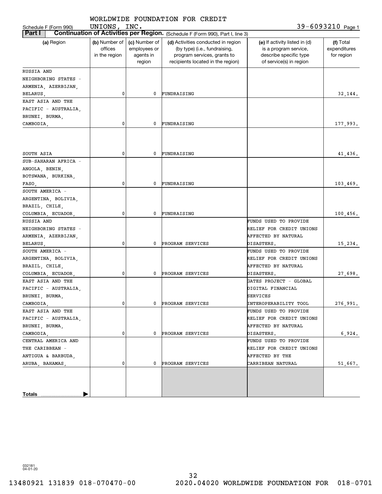| WORLDWIDE FOUNDATION FOR CREDIT                                                                 |                                           |                                                      |                                                                                                                                         |                                                                                                             |                                         |  |
|-------------------------------------------------------------------------------------------------|-------------------------------------------|------------------------------------------------------|-----------------------------------------------------------------------------------------------------------------------------------------|-------------------------------------------------------------------------------------------------------------|-----------------------------------------|--|
| UNIONS, INC.<br>39-6093210 Page 1<br>Schedule F (Form 990)                                      |                                           |                                                      |                                                                                                                                         |                                                                                                             |                                         |  |
| Continuation of Activities per Region. (Schedule F (Form 990), Part I, line 3)<br><b>Part I</b> |                                           |                                                      |                                                                                                                                         |                                                                                                             |                                         |  |
| (a) Region                                                                                      | (b) Number of<br>offices<br>in the region | (c) Number of<br>employees or<br>agents in<br>region | (d) Activities conducted in region<br>(by type) (i.e., fundraising,<br>program services, grants to<br>recipients located in the region) | (e) If activity listed in (d)<br>is a program service,<br>describe specific type<br>of service(s) in region | (f) Total<br>expenditures<br>for region |  |
| RUSSIA AND                                                                                      |                                           |                                                      |                                                                                                                                         |                                                                                                             |                                         |  |
| NEIGHBORING STATES -                                                                            |                                           |                                                      |                                                                                                                                         |                                                                                                             |                                         |  |
| ARMENIA, AZERBIJAN,                                                                             |                                           |                                                      |                                                                                                                                         |                                                                                                             |                                         |  |
| BELARUS,                                                                                        | 0                                         | 0                                                    | FUNDRAISING                                                                                                                             |                                                                                                             | 32,144.                                 |  |
| EAST ASIA AND THE                                                                               |                                           |                                                      |                                                                                                                                         |                                                                                                             |                                         |  |
| PACIFIC - AUSTRALIA,                                                                            |                                           |                                                      |                                                                                                                                         |                                                                                                             |                                         |  |
| BRUNEI, BURMA,                                                                                  |                                           |                                                      |                                                                                                                                         |                                                                                                             |                                         |  |
| CAMBODIA,                                                                                       | 0                                         | 0                                                    | FUNDRAISING                                                                                                                             |                                                                                                             | 177,993.                                |  |
|                                                                                                 |                                           |                                                      |                                                                                                                                         |                                                                                                             |                                         |  |
|                                                                                                 |                                           |                                                      |                                                                                                                                         |                                                                                                             |                                         |  |
|                                                                                                 |                                           |                                                      |                                                                                                                                         |                                                                                                             |                                         |  |
| SOUTH ASIA                                                                                      | 0                                         | 0                                                    | FUNDRAISING                                                                                                                             |                                                                                                             | 41,436.                                 |  |
| SUB-SAHARAN AFRICA -                                                                            |                                           |                                                      |                                                                                                                                         |                                                                                                             |                                         |  |
| ANGOLA, BENIN,                                                                                  |                                           |                                                      |                                                                                                                                         |                                                                                                             |                                         |  |
| BOTSWANA, BURKINA,                                                                              |                                           |                                                      |                                                                                                                                         |                                                                                                             |                                         |  |
| FASO,                                                                                           | 0                                         | 0                                                    | FUNDRAISING                                                                                                                             |                                                                                                             | 103,469.                                |  |
| SOUTH AMERICA -                                                                                 |                                           |                                                      |                                                                                                                                         |                                                                                                             |                                         |  |
| ARGENTINA, BOLIVIA,                                                                             |                                           |                                                      |                                                                                                                                         |                                                                                                             |                                         |  |
| BRAZIL, CHILE,                                                                                  |                                           |                                                      |                                                                                                                                         |                                                                                                             |                                         |  |
| COLUMBIA, ECUADOR,                                                                              | 0                                         | 0                                                    | FUNDRAISING                                                                                                                             |                                                                                                             | 100,456.                                |  |
| RUSSIA AND                                                                                      |                                           |                                                      |                                                                                                                                         | FUNDS USED TO PROVIDE                                                                                       |                                         |  |
| NEIGHBORING STATES -                                                                            |                                           |                                                      |                                                                                                                                         | RELIEF FOR CREDIT UNIONS                                                                                    |                                         |  |
| ARMENIA, AZERBIJAN,                                                                             |                                           |                                                      |                                                                                                                                         | AFFECTED BY NATURAL                                                                                         |                                         |  |
| BELARUS,                                                                                        | 0                                         | 0                                                    | PROGRAM SERVICES                                                                                                                        | DISASTERS.                                                                                                  | 15,234.                                 |  |
| SOUTH AMERICA -                                                                                 |                                           |                                                      |                                                                                                                                         | FUNDS USED TO PROVIDE                                                                                       |                                         |  |
| ARGENTINA, BOLIVIA,                                                                             |                                           |                                                      |                                                                                                                                         | RELIEF FOR CREDIT UNIONS                                                                                    |                                         |  |
| BRAZIL, CHILE,                                                                                  |                                           |                                                      |                                                                                                                                         | AFFECTED BY NATURAL                                                                                         |                                         |  |
| COLUMBIA, ECUADOR,                                                                              | 0                                         | 0                                                    | PROGRAM SERVICES                                                                                                                        | DISASTERS.                                                                                                  | 27,698.                                 |  |
| EAST ASIA AND THE                                                                               |                                           |                                                      |                                                                                                                                         | GATES PROJECT - GLOBAL                                                                                      |                                         |  |
| PACIFIC - AUSTRALIA.                                                                            |                                           |                                                      |                                                                                                                                         | DIGITAL FINANCIAL                                                                                           |                                         |  |
| BRUNEI, BURMA,                                                                                  |                                           |                                                      |                                                                                                                                         | SERVICES                                                                                                    |                                         |  |
| CAMBODIA.                                                                                       | 0                                         | 0                                                    | PROGRAM SERVICES                                                                                                                        | INTEROPERABILITY TOOL                                                                                       | 276,991.                                |  |
| EAST ASIA AND THE                                                                               |                                           |                                                      |                                                                                                                                         | FUNDS USED TO PROVIDE                                                                                       |                                         |  |
| PACIFIC - AUSTRALIA,                                                                            |                                           |                                                      |                                                                                                                                         | RELIEF FOR CREDIT UNIONS                                                                                    |                                         |  |
| BRUNEI, BURMA,                                                                                  |                                           |                                                      |                                                                                                                                         | AFFECTED BY NATURAL                                                                                         |                                         |  |
| CAMBODIA,                                                                                       | 0                                         | 0                                                    | PROGRAM SERVICES                                                                                                                        | DISASTERS.                                                                                                  | 6,924.                                  |  |
| CENTRAL AMERICA AND                                                                             |                                           |                                                      |                                                                                                                                         | FUNDS USED TO PROVIDE                                                                                       |                                         |  |
| THE CARIBBEAN -                                                                                 |                                           |                                                      |                                                                                                                                         | RELIEF FOR CREDIT UNIONS                                                                                    |                                         |  |
| ANTIGUA & BARBUDA,                                                                              |                                           |                                                      |                                                                                                                                         | AFFECTED BY THE                                                                                             |                                         |  |
| ARUBA, BAHAMAS,                                                                                 | 0                                         | 0                                                    | PROGRAM SERVICES                                                                                                                        | CARRIBEAN NATURAL                                                                                           | 51,667.                                 |  |
|                                                                                                 |                                           |                                                      |                                                                                                                                         |                                                                                                             |                                         |  |
|                                                                                                 |                                           |                                                      |                                                                                                                                         |                                                                                                             |                                         |  |
|                                                                                                 |                                           |                                                      |                                                                                                                                         |                                                                                                             |                                         |  |
| Totals                                                                                          |                                           |                                                      |                                                                                                                                         |                                                                                                             |                                         |  |
|                                                                                                 |                                           |                                                      |                                                                                                                                         |                                                                                                             |                                         |  |

032181 04-01-20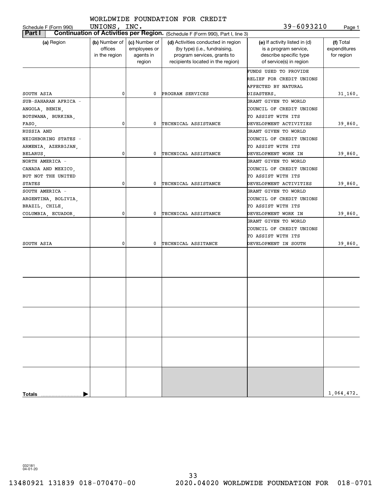| Schedule F (Form 990)                                        | UNIONS, INC.                              |                                                      | WORLDWIDE FOUNDATION FOR CREDIT                                                                                                         | 39-6093210                                                                                                  | Page 1                                  |
|--------------------------------------------------------------|-------------------------------------------|------------------------------------------------------|-----------------------------------------------------------------------------------------------------------------------------------------|-------------------------------------------------------------------------------------------------------------|-----------------------------------------|
| Part I                                                       |                                           |                                                      | Continuation of Activities per Region. (Schedule F (Form 990), Part I, line 3)                                                          |                                                                                                             |                                         |
| (a) Region                                                   | (b) Number of<br>offices<br>in the region | (c) Number of<br>employees or<br>agents in<br>region | (d) Activities conducted in region<br>(by type) (i.e., fundraising,<br>program services, grants to<br>recipients located in the region) | (e) If activity listed in (d)<br>is a program service,<br>describe specific type<br>of service(s) in region | (f) Total<br>expenditures<br>for region |
|                                                              |                                           |                                                      |                                                                                                                                         | FUNDS USED TO PROVIDE<br>RELIEF FOR CREDIT UNIONS<br>AFFECTED BY NATURAL                                    |                                         |
| SOUTH ASIA                                                   | 0                                         | 0                                                    | PROGRAM SERVICES                                                                                                                        | DISASTERS.                                                                                                  | 31,160.                                 |
| SUB-SAHARAN AFRICA -<br>ANGOLA, BENIN,<br>BOTSWANA, BURKINA, |                                           |                                                      |                                                                                                                                         | GRANT GIVEN TO WORLD<br>COUNCIL OF CREDIT UNIONS<br>TO ASSIST WITH ITS                                      |                                         |
|                                                              | 0                                         | 0                                                    | TECHNICAL ASSISTANCE                                                                                                                    | DEVELOPMENT ACTIVITIES                                                                                      |                                         |
| FASO,<br>RUSSIA AND                                          |                                           |                                                      |                                                                                                                                         | GRANT GIVEN TO WORLD                                                                                        | 39,860.                                 |
| NEIGHBORING STATES -<br>ARMENIA, AZERBIJAN,                  |                                           |                                                      |                                                                                                                                         | COUNCIL OF CREDIT UNIONS<br>TO ASSIST WITH ITS                                                              |                                         |
| BELARUS,                                                     | 0                                         | 0                                                    | TECHNICAL ASSISTANCE                                                                                                                    | DEVELOPMENT WORK IN                                                                                         | 39,860.                                 |
| NORTH AMERICA -<br>CANADA AND MEXICO,<br>BUT NOT THE UNITED  |                                           |                                                      |                                                                                                                                         | GRANT GIVEN TO WORLD<br>COUNCIL OF CREDIT UNIONS<br>TO ASSIST WITH ITS                                      |                                         |
| <b>STATES</b>                                                | 0                                         | 0                                                    | TECHNICAL ASSISTANCE                                                                                                                    | DEVELOPMENT ACTIVITIES                                                                                      | 39,860.                                 |
| SOUTH AMERICA -                                              |                                           |                                                      |                                                                                                                                         | GRANT GIVEN TO WORLD                                                                                        |                                         |
| ARGENTINA, BOLIVIA,                                          |                                           |                                                      |                                                                                                                                         | COUNCIL OF CREDIT UNIONS                                                                                    |                                         |
| BRAZIL, CHILE,                                               |                                           |                                                      |                                                                                                                                         | TO ASSIST WITH ITS                                                                                          |                                         |
| COLUMBIA, ECUADOR,                                           | 0                                         | 0                                                    | TECHNICAL ASSISTANCE                                                                                                                    | DEVELOPMENT WORK IN                                                                                         | 39,860.                                 |
|                                                              |                                           |                                                      |                                                                                                                                         | GRANT GIVEN TO WORLD<br>COUNCIL OF CREDIT UNIONS<br>TO ASSIST WITH ITS                                      |                                         |
| SOUTH ASIA                                                   | 0                                         | 0                                                    | TECHNICAL ASSITANCE                                                                                                                     | DEVELOPMENT IN SOUTH                                                                                        | 39,860.                                 |
|                                                              |                                           |                                                      |                                                                                                                                         |                                                                                                             |                                         |
|                                                              |                                           |                                                      |                                                                                                                                         |                                                                                                             |                                         |
|                                                              |                                           |                                                      |                                                                                                                                         |                                                                                                             |                                         |
|                                                              |                                           |                                                      |                                                                                                                                         |                                                                                                             |                                         |
|                                                              |                                           |                                                      |                                                                                                                                         |                                                                                                             |                                         |
|                                                              |                                           |                                                      |                                                                                                                                         |                                                                                                             |                                         |
| <b>Totals</b>                                                |                                           |                                                      |                                                                                                                                         |                                                                                                             | 1,064,472.                              |
|                                                              |                                           |                                                      |                                                                                                                                         |                                                                                                             |                                         |

032181 04-01-20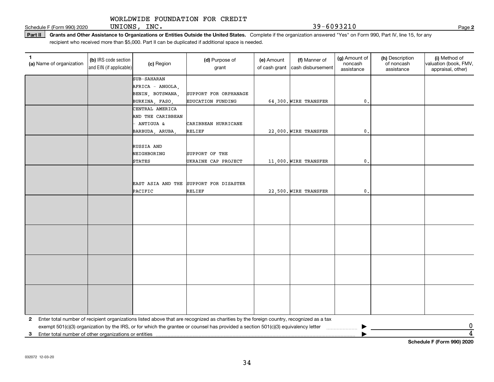Schedule F (Form 990) 2020 UNIONS, INC.  $39-6093210$ UNIONS, INC.

Part II | Grants and Other Assistance to Organizations or Entities Outside the United States. Complete if the organization answered "Yes" on Form 990, Part IV, line 15, for any recipient who received more than \$5,000. Part II can be duplicated if additional space is needed.

| 1<br>(a) Name of organization                           | (b) IRS code section<br>and EIN (if applicable) | (c) Region        | (d) Purpose of<br>grant                                                                                                                 | (e) Amount<br>of cash grant | (f) Manner of<br>cash disbursement | (g) Amount of<br>noncash<br>assistance | (h) Description<br>of noncash<br>assistance | (i) Method of<br>valuation (book, FMV,<br>appraisal, other) |
|---------------------------------------------------------|-------------------------------------------------|-------------------|-----------------------------------------------------------------------------------------------------------------------------------------|-----------------------------|------------------------------------|----------------------------------------|---------------------------------------------|-------------------------------------------------------------|
|                                                         |                                                 | SUB-SAHARAN       |                                                                                                                                         |                             |                                    |                                        |                                             |                                                             |
|                                                         |                                                 | AFRICA - ANGOLA,  |                                                                                                                                         |                             |                                    |                                        |                                             |                                                             |
|                                                         |                                                 | BENIN, BOTSWANA,  | SUPPORT FOR ORPHANAGE                                                                                                                   |                             |                                    |                                        |                                             |                                                             |
|                                                         |                                                 | BURKINA, FASO     | EDUCATION FUNDING                                                                                                                       |                             | 64,300. WIRE TRANSFER              | $\mathbf{0}$                           |                                             |                                                             |
|                                                         |                                                 | CENTRAL AMERICA   |                                                                                                                                         |                             |                                    |                                        |                                             |                                                             |
|                                                         |                                                 | AND THE CARIBBEAN |                                                                                                                                         |                             |                                    |                                        |                                             |                                                             |
|                                                         |                                                 | ANTIGUA &         | CARIBBEAN HURRICANE                                                                                                                     |                             |                                    |                                        |                                             |                                                             |
|                                                         |                                                 | BARBUDA, ARUBA,   | RELIEF                                                                                                                                  |                             | 22,000. WIRE TRANSFER              | $\mathbf{0}$ .                         |                                             |                                                             |
|                                                         |                                                 |                   |                                                                                                                                         |                             |                                    |                                        |                                             |                                                             |
|                                                         |                                                 | RUSSIA AND        |                                                                                                                                         |                             |                                    |                                        |                                             |                                                             |
|                                                         |                                                 | NEIGHBORING       | SUPPORT OF THE                                                                                                                          |                             |                                    |                                        |                                             |                                                             |
|                                                         |                                                 | <b>STATES</b>     | UKRAINE CAP PROJECT                                                                                                                     |                             | 11,000. WIRE TRANSFER              | $\mathbf 0$ .                          |                                             |                                                             |
|                                                         |                                                 |                   |                                                                                                                                         |                             |                                    |                                        |                                             |                                                             |
|                                                         |                                                 |                   |                                                                                                                                         |                             |                                    |                                        |                                             |                                                             |
|                                                         |                                                 | EAST ASIA AND THE | SUPPORT FOR DISASTER                                                                                                                    |                             |                                    |                                        |                                             |                                                             |
|                                                         |                                                 | PACIFIC           | RELIEF                                                                                                                                  |                             | 22,500. WIRE TRANSFER              | $\mathbf{0}$ .                         |                                             |                                                             |
|                                                         |                                                 |                   |                                                                                                                                         |                             |                                    |                                        |                                             |                                                             |
|                                                         |                                                 |                   |                                                                                                                                         |                             |                                    |                                        |                                             |                                                             |
|                                                         |                                                 |                   |                                                                                                                                         |                             |                                    |                                        |                                             |                                                             |
|                                                         |                                                 |                   |                                                                                                                                         |                             |                                    |                                        |                                             |                                                             |
|                                                         |                                                 |                   |                                                                                                                                         |                             |                                    |                                        |                                             |                                                             |
|                                                         |                                                 |                   |                                                                                                                                         |                             |                                    |                                        |                                             |                                                             |
|                                                         |                                                 |                   |                                                                                                                                         |                             |                                    |                                        |                                             |                                                             |
|                                                         |                                                 |                   |                                                                                                                                         |                             |                                    |                                        |                                             |                                                             |
|                                                         |                                                 |                   |                                                                                                                                         |                             |                                    |                                        |                                             |                                                             |
|                                                         |                                                 |                   |                                                                                                                                         |                             |                                    |                                        |                                             |                                                             |
|                                                         |                                                 |                   |                                                                                                                                         |                             |                                    |                                        |                                             |                                                             |
|                                                         |                                                 |                   |                                                                                                                                         |                             |                                    |                                        |                                             |                                                             |
|                                                         |                                                 |                   |                                                                                                                                         |                             |                                    |                                        |                                             |                                                             |
|                                                         |                                                 |                   |                                                                                                                                         |                             |                                    |                                        |                                             |                                                             |
|                                                         |                                                 |                   |                                                                                                                                         |                             |                                    |                                        |                                             |                                                             |
|                                                         |                                                 |                   |                                                                                                                                         |                             |                                    |                                        |                                             |                                                             |
| $\mathbf{2}$                                            |                                                 |                   | Enter total number of recipient organizations listed above that are recognized as charities by the foreign country, recognized as a tax |                             |                                    |                                        |                                             | 0                                                           |
|                                                         |                                                 |                   | exempt 501(c)(3) organization by the IRS, or for which the grantee or counsel has provided a section 501(c)(3) equivalency letter       |                             |                                    |                                        |                                             | $\overline{4}$                                              |
| 3 Enter total number of other organizations or entities |                                                 |                   |                                                                                                                                         |                             |                                    |                                        |                                             |                                                             |

**Schedule F (Form 990) 2020**

**2**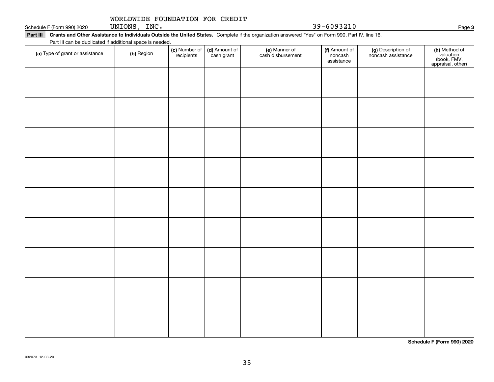| WORLDWIDE FOUNDATION FOR CREDIT |  |  |  |
|---------------------------------|--|--|--|
|---------------------------------|--|--|--|

Schedule F (Form 990) 2020 UNIONS, INC.  $39-6093210$ UNIONS, INC.

|                                                           | Part III Grants and Other Assistance to Individuals Outside the United States. Complete if the organization answered "Yes" on Form 990, Part IV, line 16. |
|-----------------------------------------------------------|-----------------------------------------------------------------------------------------------------------------------------------------------------------|
| Part III can be duplicated if additional space is needed. |                                                                                                                                                           |

| (a) Type of grant or assistance | (b) Region | (c) Number of<br>recipients | (d) Amount of<br>cash grant | (e) Manner of<br>cash disbursement | (f) Amount of<br>noncash<br>assistance | (g) Description of<br>noncash assistance | (h) Method of<br>valuation<br>(book, FMV,<br>appraisal, other) |
|---------------------------------|------------|-----------------------------|-----------------------------|------------------------------------|----------------------------------------|------------------------------------------|----------------------------------------------------------------|
|                                 |            |                             |                             |                                    |                                        |                                          |                                                                |
|                                 |            |                             |                             |                                    |                                        |                                          |                                                                |
|                                 |            |                             |                             |                                    |                                        |                                          |                                                                |
|                                 |            |                             |                             |                                    |                                        |                                          |                                                                |
|                                 |            |                             |                             |                                    |                                        |                                          |                                                                |
|                                 |            |                             |                             |                                    |                                        |                                          |                                                                |
|                                 |            |                             |                             |                                    |                                        |                                          |                                                                |
|                                 |            |                             |                             |                                    |                                        |                                          |                                                                |
|                                 |            |                             |                             |                                    |                                        |                                          |                                                                |
|                                 |            |                             |                             |                                    |                                        |                                          |                                                                |
|                                 |            |                             |                             |                                    |                                        |                                          |                                                                |
|                                 |            |                             |                             |                                    |                                        |                                          |                                                                |
|                                 |            |                             |                             |                                    |                                        |                                          |                                                                |
|                                 |            |                             |                             |                                    |                                        |                                          |                                                                |
|                                 |            |                             |                             |                                    |                                        |                                          |                                                                |

**Schedule F (Form 990) 2020**

**3**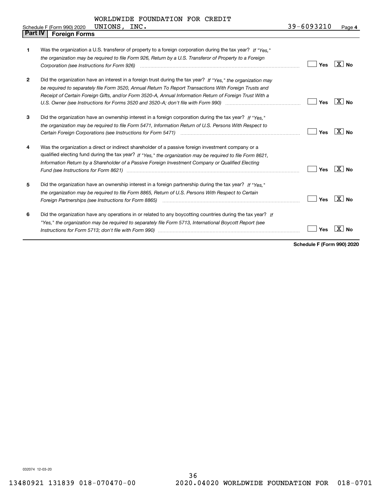UNIONS, INC.

| <b>Part IV</b> | <b>Foreign Forms</b>                                                                                                                                                                                                                                                                                                                          |     |                   |
|----------------|-----------------------------------------------------------------------------------------------------------------------------------------------------------------------------------------------------------------------------------------------------------------------------------------------------------------------------------------------|-----|-------------------|
| 1              | Was the organization a U.S. transferor of property to a foreign corporation during the tax year? If "Yes."<br>the organization may be required to file Form 926, Return by a U.S. Transferor of Property to a Foreign                                                                                                                         | Yes | ∣X∣no             |
| 2              | Did the organization have an interest in a foreign trust during the tax year? If "Yes," the organization may<br>be required to separately file Form 3520, Annual Return To Report Transactions With Foreign Trusts and<br>Receipt of Certain Foreign Gifts, and/or Form 3520-A, Annual Information Return of Foreign Trust With a             | Yes | $X \mid N_{0}$    |
| 3              | Did the organization have an ownership interest in a foreign corporation during the tax year? If "Yes."<br>the organization may be required to file Form 5471, Information Return of U.S. Persons With Respect to<br>Certain Foreign Corporations (see Instructions for Form 5471) <i>manded contained contained corporation</i> contained to | Yes | $\overline{X}$ No |
| 4              | Was the organization a direct or indirect shareholder of a passive foreign investment company or a<br>qualified electing fund during the tax year? If "Yes," the organization may be required to file Form 8621,<br>Information Return by a Shareholder of a Passive Foreign Investment Company or Qualified Electing                         | Yes | $ X $ No          |
| 5              | Did the organization have an ownership interest in a foreign partnership during the tax year? If "Yes."<br>the organization may be required to file Form 8865, Return of U.S. Persons With Respect to Certain                                                                                                                                 | Yes | ⊦X ∣ No           |
| 6              | Did the organization have any operations in or related to any boycotting countries during the tax year? If<br>"Yes," the organization may be required to separately file Form 5713, International Boycott Report (see                                                                                                                         | Yes |                   |

**Schedule F (Form 990) 2020**

032074 12-03-20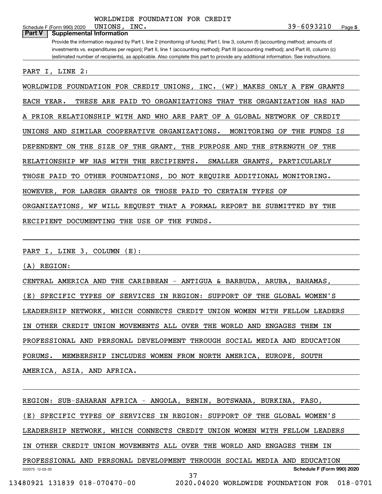**5** Schedule F (Form 990) 2020  $UNIONS$ ,  $INC$ . Provide the information required by Part I, line 2 (monitoring of funds); Part I, line 3, column (f) (accounting method; amounts of investments vs. expenditures per region); Part II, line 1 (accounting method); Part III (accounting method); and Part III, column (c) (estimated number of recipients), as applicable. Also complete this part to provide any additional information. See instructions. **Part V Supplemental Information** PART I, LINE 2: WORLDWIDE FOUNDATION FOR CREDIT UNIONS, INC. (WF) MAKES ONLY A FEW GRANTS EACH YEAR. THESE ARE PAID TO ORGANIZATIONS THAT THE ORGANIZATION HAS HAD A PRIOR RELATIONSHIP WITH AND WHO ARE PART OF A GLOBAL NETWORK OF CREDIT UNIONS AND SIMILAR COOPERATIVE ORGANIZATIONS. MONITORING OF THE FUNDS IS DEPENDENT ON THE SIZE OF THE GRANT, THE PURPOSE AND THE STRENGTH OF THE RELATIONSHIP WF HAS WITH THE RECIPIENTS. SMALLER GRANTS, PARTICULARLY THOSE PAID TO OTHER FOUNDATIONS, DO NOT REQUIRE ADDITIONAL MONITORING. UNIONS, INC. 39-6093210

ORGANIZATIONS, WF WILL REQUEST THAT A FORMAL REPORT BE SUBMITTED BY THE

HOWEVER, FOR LARGER GRANTS OR THOSE PAID TO CERTAIN TYPES OF

RECIPIENT DOCUMENTING THE USE OF THE FUNDS.

PART I, LINE 3, COLUMN (E):

(A) REGION:

CENTRAL AMERICA AND THE CARIBBEAN - ANTIGUA & BARBUDA, ARUBA, BAHAMAS, (E) SPECIFIC TYPES OF SERVICES IN REGION: SUPPORT OF THE GLOBAL WOMEN'S LEADERSHIP NETWORK, WHICH CONNECTS CREDIT UNION WOMEN WITH FELLOW LEADERS IN OTHER CREDIT UNION MOVEMENTS ALL OVER THE WORLD AND ENGAGES THEM IN PROFESSIONAL AND PERSONAL DEVELOPMENT THROUGH SOCIAL MEDIA AND EDUCATION FORUMS. MEMBERSHIP INCLUDES WOMEN FROM NORTH AMERICA, EUROPE, SOUTH AMERICA, ASIA, AND AFRICA.

032075 12-03-20 **Schedule F (Form 990) 2020** REGION: SUB-SAHARAN AFRICA - ANGOLA, BENIN, BOTSWANA, BURKINA, FASO, (E) SPECIFIC TYPES OF SERVICES IN REGION: SUPPORT OF THE GLOBAL WOMEN'S LEADERSHIP NETWORK, WHICH CONNECTS CREDIT UNION WOMEN WITH FELLOW LEADERS IN OTHER CREDIT UNION MOVEMENTS ALL OVER THE WORLD AND ENGAGES THEM IN PROFESSIONAL AND PERSONAL DEVELOPMENT THROUGH SOCIAL MEDIA AND EDUCATION 37 13480921 131839 018-070470-00 2020.04020 WORLDWIDE FOUNDATION FOR 018-0701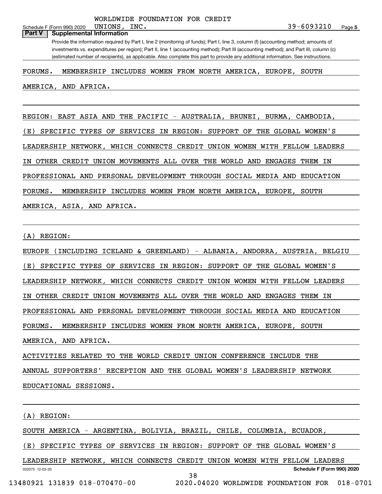#### Schedule F (Form 990) 2020  $UNIONS$ ,  $INC.$ **Part V Supplemental Information**

Provide the information required by Part I, line 2 (monitoring of funds); Part I, line 3, column (f) (accounting method; amounts of investments vs. expenditures per region); Part II, line 1 (accounting method); Part III (accounting method); and Part III, column (c) (estimated number of recipients), as applicable. Also complete this part to provide any additional information. See instructions.

#### FORUMS. MEMBERSHIP INCLUDES WOMEN FROM NORTH AMERICA, EUROPE, SOUTH

AMERICA, AND AFRICA.

REGION: EAST ASIA AND THE PACIFIC - AUSTRALIA, BRUNEI, BURMA, CAMBODIA,

(E) SPECIFIC TYPES OF SERVICES IN REGION: SUPPORT OF THE GLOBAL WOMEN'S

LEADERSHIP NETWORK, WHICH CONNECTS CREDIT UNION WOMEN WITH FELLOW LEADERS

IN OTHER CREDIT UNION MOVEMENTS ALL OVER THE WORLD AND ENGAGES THEM IN

PROFESSIONAL AND PERSONAL DEVELOPMENT THROUGH SOCIAL MEDIA AND EDUCATION

FORUMS. MEMBERSHIP INCLUDES WOMEN FROM NORTH AMERICA, EUROPE, SOUTH

AMERICA, ASIA, AND AFRICA.

#### (A) REGION:

EUROPE (INCLUDING ICELAND & GREENLAND) - ALBANIA, ANDORRA, AUSTRIA, BELGIU (E) SPECIFIC TYPES OF SERVICES IN REGION: SUPPORT OF THE GLOBAL WOMEN'S LEADERSHIP NETWORK, WHICH CONNECTS CREDIT UNION WOMEN WITH FELLOW LEADERS IN OTHER CREDIT UNION MOVEMENTS ALL OVER THE WORLD AND ENGAGES THEM IN PROFESSIONAL AND PERSONAL DEVELOPMENT THROUGH SOCIAL MEDIA AND EDUCATION FORUMS. MEMBERSHIP INCLUDES WOMEN FROM NORTH AMERICA, EUROPE, SOUTH AMERICA, AND AFRICA.

ACTIVITIES RELATED TO THE WORLD CREDIT UNION CONFERENCE INCLUDE THE

ANNUAL SUPPORTERS' RECEPTION AND THE GLOBAL WOMEN'S LEADERSHIP NETWORK

EDUCATIONAL SESSIONS.

(A) REGION:

SOUTH AMERICA - ARGENTINA, BOLIVIA, BRAZIL, CHILE, COLUMBIA, ECUADOR,

(E) SPECIFIC TYPES OF SERVICES IN REGION: SUPPORT OF THE GLOBAL WOMEN'S

032075 12-03-20 **Schedule F (Form 990) 2020** LEADERSHIP NETWORK, WHICH CONNECTS CREDIT UNION WOMEN WITH FELLOW LEADERS 38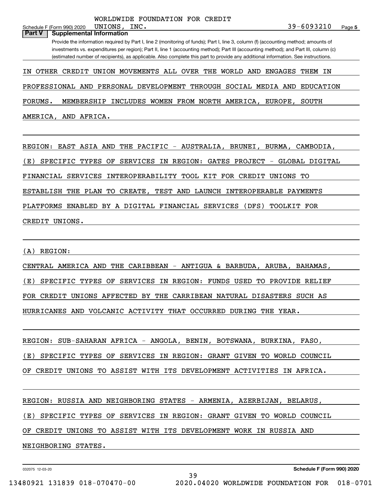# Provide the information required by Part I, line 2 (monitoring of funds); Part I, line 3, column (f) (accounting method; amounts of investments vs. expenditures per region); Part II, line 1 (accounting method); Part III (accounting method); and Part III, column (c) (estimated number of recipients), as applicable. Also complete this part to provide any additional information. See instructions. **Part V Supplemental Information** IN OTHER CREDIT UNION MOVEMENTS ALL OVER THE WORLD AND ENGAGES THEM IN

PROFESSIONAL AND PERSONAL DEVELOPMENT THROUGH SOCIAL MEDIA AND EDUCATION

FORUMS. MEMBERSHIP INCLUDES WOMEN FROM NORTH AMERICA, EUROPE, SOUTH

AMERICA, AND AFRICA.

Schedule F (Form 990) 2020  $UNIONS$ ,  $INC$ .

REGION: EAST ASIA AND THE PACIFIC - AUSTRALIA, BRUNEI, BURMA, CAMBODIA,

(E) SPECIFIC TYPES OF SERVICES IN REGION: GATES PROJECT - GLOBAL DIGITAL

FINANCIAL SERVICES INTEROPERABILITY TOOL KIT FOR CREDIT UNIONS TO

ESTABLISH THE PLAN TO CREATE, TEST AND LAUNCH INTEROPERABLE PAYMENTS

PLATFORMS ENABLED BY A DIGITAL FINANCIAL SERVICES (DFS) TOOLKIT FOR

CREDIT UNIONS.

(A) REGION:

CENTRAL AMERICA AND THE CARIBBEAN - ANTIGUA & BARBUDA, ARUBA, BAHAMAS, (E) SPECIFIC TYPES OF SERVICES IN REGION: FUNDS USED TO PROVIDE RELIEF FOR CREDIT UNIONS AFFECTED BY THE CARRIBEAN NATURAL DISASTERS SUCH AS HURRICANES AND VOLCANIC ACTIVITY THAT OCCURRED DURING THE YEAR.

REGION: SUB-SAHARAN AFRICA - ANGOLA, BENIN, BOTSWANA, BURKINA, FASO,

(E) SPECIFIC TYPES OF SERVICES IN REGION: GRANT GIVEN TO WORLD COUNCIL

OF CREDIT UNIONS TO ASSIST WITH ITS DEVELOPMENT ACTIVITIES IN AFRICA.

REGION: RUSSIA AND NEIGHBORING STATES - ARMENIA, AZERBIJAN, BELARUS,

(E) SPECIFIC TYPES OF SERVICES IN REGION: GRANT GIVEN TO WORLD COUNCIL

39

OF CREDIT UNIONS TO ASSIST WITH ITS DEVELOPMENT WORK IN RUSSIA AND

NEIGHBORING STATES.

032075 12-03-20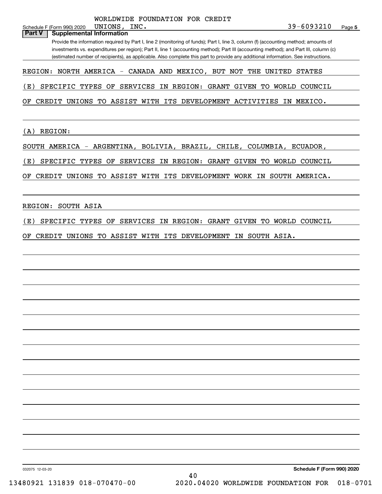# 032075 12-03-20 **Schedule F (Form 990) 2020** Schedule F (Form 990) 2020  $UNIONS$ ,  $INC$ . Provide the information required by Part I, line 2 (monitoring of funds); Part I, line 3, column (f) (accounting method; amounts of investments vs. expenditures per region); Part II, line 1 (accounting method); Part III (accounting method); and Part III, column (c) (estimated number of recipients), as applicable. Also complete this part to provide any additional information. See instructions. **Part V Supplemental Information** REGION: NORTH AMERICA - CANADA AND MEXICO, BUT NOT THE UNITED STATES (E) SPECIFIC TYPES OF SERVICES IN REGION: GRANT GIVEN TO WORLD COUNCIL OF CREDIT UNIONS TO ASSIST WITH ITS DEVELOPMENT ACTIVITIES IN MEXICO. (A) REGION: SOUTH AMERICA - ARGENTINA, BOLIVIA, BRAZIL, CHILE, COLUMBIA, ECUADOR, (E) SPECIFIC TYPES OF SERVICES IN REGION: GRANT GIVEN TO WORLD COUNCIL OF CREDIT UNIONS TO ASSIST WITH ITS DEVELOPMENT WORK IN SOUTH AMERICA. REGION: SOUTH ASIA (E) SPECIFIC TYPES OF SERVICES IN REGION: GRANT GIVEN TO WORLD COUNCIL OF CREDIT UNIONS TO ASSIST WITH ITS DEVELOPMENT IN SOUTH ASIA. UNIONS, INC. 39-6093210 WORLDWIDE FOUNDATION FOR CREDIT 40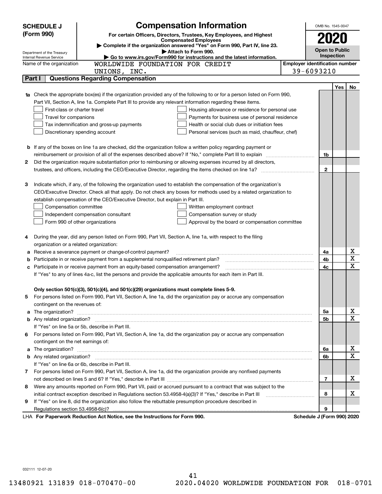|    | <b>Compensation Information</b><br><b>SCHEDULE J</b>                                                                                                                                                                                     |                                       | OMB No. 1545-0047          |            |                         |
|----|------------------------------------------------------------------------------------------------------------------------------------------------------------------------------------------------------------------------------------------|---------------------------------------|----------------------------|------------|-------------------------|
|    | (Form 990)<br>For certain Officers, Directors, Trustees, Key Employees, and Highest                                                                                                                                                      |                                       |                            |            |                         |
|    | <b>Compensated Employees</b>                                                                                                                                                                                                             |                                       | 2020                       |            |                         |
|    | Complete if the organization answered "Yes" on Form 990, Part IV, line 23.<br>Attach to Form 990.                                                                                                                                        |                                       | <b>Open to Public</b>      |            |                         |
|    | Department of the Treasury<br>Go to www.irs.gov/Form990 for instructions and the latest information.<br>Internal Revenue Service                                                                                                         |                                       | Inspection                 |            |                         |
|    | WORLDWIDE FOUNDATION FOR CREDIT<br>Name of the organization                                                                                                                                                                              | <b>Employer identification number</b> |                            |            |                         |
|    | UNIONS, INC.                                                                                                                                                                                                                             |                                       | 39-6093210                 |            |                         |
|    | <b>Questions Regarding Compensation</b><br>Part I                                                                                                                                                                                        |                                       |                            |            |                         |
|    |                                                                                                                                                                                                                                          |                                       |                            | <b>Yes</b> | No                      |
|    | 1a Check the appropriate box(es) if the organization provided any of the following to or for a person listed on Form 990,                                                                                                                |                                       |                            |            |                         |
|    | Part VII, Section A, line 1a. Complete Part III to provide any relevant information regarding these items.                                                                                                                               |                                       |                            |            |                         |
|    | First-class or charter travel<br>Housing allowance or residence for personal use                                                                                                                                                         |                                       |                            |            |                         |
|    | Payments for business use of personal residence<br>Travel for companions                                                                                                                                                                 |                                       |                            |            |                         |
|    | Tax indemnification and gross-up payments<br>Health or social club dues or initiation fees                                                                                                                                               |                                       |                            |            |                         |
|    | Discretionary spending account<br>Personal services (such as maid, chauffeur, chef)                                                                                                                                                      |                                       |                            |            |                         |
|    |                                                                                                                                                                                                                                          |                                       |                            |            |                         |
|    | <b>b</b> If any of the boxes on line 1a are checked, did the organization follow a written policy regarding payment or                                                                                                                   |                                       |                            |            |                         |
|    | reimbursement or provision of all of the expenses described above? If "No," complete Part III to explain                                                                                                                                 |                                       | 1b                         |            |                         |
| 2  | Did the organization require substantiation prior to reimbursing or allowing expenses incurred by all directors,                                                                                                                         |                                       |                            |            |                         |
|    |                                                                                                                                                                                                                                          |                                       | $\mathbf{2}$               |            |                         |
|    |                                                                                                                                                                                                                                          |                                       |                            |            |                         |
| З  | Indicate which, if any, of the following the organization used to establish the compensation of the organization's<br>CEO/Executive Director. Check all that apply. Do not check any boxes for methods used by a related organization to |                                       |                            |            |                         |
|    | establish compensation of the CEO/Executive Director, but explain in Part III.                                                                                                                                                           |                                       |                            |            |                         |
|    | Compensation committee<br>Written employment contract                                                                                                                                                                                    |                                       |                            |            |                         |
|    | Compensation survey or study<br>Independent compensation consultant                                                                                                                                                                      |                                       |                            |            |                         |
|    | Form 990 of other organizations<br>Approval by the board or compensation committee                                                                                                                                                       |                                       |                            |            |                         |
|    |                                                                                                                                                                                                                                          |                                       |                            |            |                         |
|    | During the year, did any person listed on Form 990, Part VII, Section A, line 1a, with respect to the filing                                                                                                                             |                                       |                            |            |                         |
|    | organization or a related organization:                                                                                                                                                                                                  |                                       |                            |            |                         |
| а  | Receive a severance payment or change-of-control payment?                                                                                                                                                                                |                                       | 4a                         |            | х                       |
| b  | Participate in or receive payment from a supplemental nonqualified retirement plan?                                                                                                                                                      |                                       | 4b                         |            | $\overline{\mathbf{x}}$ |
| с  | Participate in or receive payment from an equity-based compensation arrangement?                                                                                                                                                         |                                       | 4c                         |            | $\overline{\mathbf{x}}$ |
|    | If "Yes" to any of lines 4a-c, list the persons and provide the applicable amounts for each item in Part III.                                                                                                                            |                                       |                            |            |                         |
|    |                                                                                                                                                                                                                                          |                                       |                            |            |                         |
|    | Only section 501(c)(3), 501(c)(4), and 501(c)(29) organizations must complete lines 5-9.                                                                                                                                                 |                                       |                            |            |                         |
|    | For persons listed on Form 990, Part VII, Section A, line 1a, did the organization pay or accrue any compensation                                                                                                                        |                                       |                            |            |                         |
|    | contingent on the revenues of:                                                                                                                                                                                                           |                                       |                            |            |                         |
|    | a The organization? <b>Entitation</b> and the organization?                                                                                                                                                                              |                                       | 5a                         |            | x                       |
|    |                                                                                                                                                                                                                                          |                                       | 5b                         |            | $\mathbf x$             |
|    | If "Yes" on line 5a or 5b, describe in Part III.                                                                                                                                                                                         |                                       |                            |            |                         |
| 6. | For persons listed on Form 990, Part VII, Section A, line 1a, did the organization pay or accrue any compensation                                                                                                                        |                                       |                            |            |                         |
|    | contingent on the net earnings of:                                                                                                                                                                                                       |                                       |                            |            |                         |
| a  |                                                                                                                                                                                                                                          |                                       | 6a                         |            | х                       |
|    |                                                                                                                                                                                                                                          |                                       | 6b                         |            | $\mathbf x$             |
|    | If "Yes" on line 6a or 6b, describe in Part III.                                                                                                                                                                                         |                                       |                            |            |                         |
|    | 7 For persons listed on Form 990, Part VII, Section A, line 1a, did the organization provide any nonfixed payments                                                                                                                       |                                       |                            |            |                         |
|    |                                                                                                                                                                                                                                          |                                       | 7                          |            | х                       |
| 8  | Were any amounts reported on Form 990, Part VII, paid or accrued pursuant to a contract that was subject to the                                                                                                                          |                                       |                            |            |                         |
|    | initial contract exception described in Regulations section 53.4958-4(a)(3)? If "Yes," describe in Part III                                                                                                                              |                                       | 8                          |            | х                       |
| 9  | If "Yes" on line 8, did the organization also follow the rebuttable presumption procedure described in                                                                                                                                   |                                       |                            |            |                         |
|    | Regulations section 53.4958-6(c)?                                                                                                                                                                                                        |                                       | 9                          |            |                         |
|    | LHA For Paperwork Reduction Act Notice, see the Instructions for Form 990.                                                                                                                                                               |                                       | Schedule J (Form 990) 2020 |            |                         |

032111 12-07-20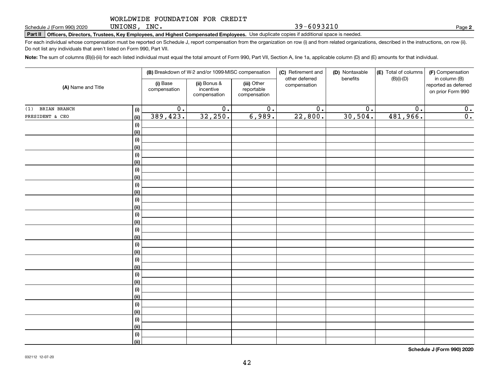UNIONS, INC.

39-6093210

**2**

**Part II Officers, Directors, Trustees, Key Employees, and Highest Compensated Employees.**  Schedule J (Form 990) 2020 Page Use duplicate copies if additional space is needed.

For each individual whose compensation must be reported on Schedule J, report compensation from the organization on row (i) and from related organizations, described in the instructions, on row (ii). Do not list any individuals that aren't listed on Form 990, Part VII.

**Note:**  The sum of columns (B)(i)-(iii) for each listed individual must equal the total amount of Form 990, Part VII, Section A, line 1a, applicable column (D) and (E) amounts for that individual.

| (A) Name and Title  |                    |                          | (B) Breakdown of W-2 and/or 1099-MISC compensation |                                           | (C) Retirement and<br>other deferred | (D) Nontaxable<br>benefits | (E) Total of columns<br>$(B)(i)-(D)$ | (F) Compensation<br>in column (B)         |
|---------------------|--------------------|--------------------------|----------------------------------------------------|-------------------------------------------|--------------------------------------|----------------------------|--------------------------------------|-------------------------------------------|
|                     |                    | (i) Base<br>compensation | (ii) Bonus &<br>incentive<br>compensation          | (iii) Other<br>reportable<br>compensation | compensation                         |                            |                                      | reported as deferred<br>on prior Form 990 |
| BRIAN BRANCH<br>(1) | (i)                | $\overline{0}$ .         | $\overline{0}$ .                                   | $\overline{0}$ .                          | $\overline{0}$ .                     | 0.                         | 0.                                   | 0.                                        |
| PRESIDENT & CEO     | <u>(ii)</u>        | 389,423.                 | 32,250.                                            | 6,989.                                    | 22,800.                              | 30,504.                    | 481,966.                             | 0.                                        |
|                     | (i)                |                          |                                                    |                                           |                                      |                            |                                      |                                           |
|                     | <u>(ii)</u>        |                          |                                                    |                                           |                                      |                            |                                      |                                           |
|                     | (i)                |                          |                                                    |                                           |                                      |                            |                                      |                                           |
|                     | <u>(ii)</u>        |                          |                                                    |                                           |                                      |                            |                                      |                                           |
|                     | (i)                |                          |                                                    |                                           |                                      |                            |                                      |                                           |
|                     | <u>(ii)</u>        |                          |                                                    |                                           |                                      |                            |                                      |                                           |
|                     | (i)                |                          |                                                    |                                           |                                      |                            |                                      |                                           |
|                     | <u>(ii)</u>        |                          |                                                    |                                           |                                      |                            |                                      |                                           |
|                     | (i)                |                          |                                                    |                                           |                                      |                            |                                      |                                           |
|                     | <u>(ii)</u>        |                          |                                                    |                                           |                                      |                            |                                      |                                           |
|                     | (i)<br><u>(ii)</u> |                          |                                                    |                                           |                                      |                            |                                      |                                           |
|                     | (i)                |                          |                                                    |                                           |                                      |                            |                                      |                                           |
|                     | <u>(ii)</u>        |                          |                                                    |                                           |                                      |                            |                                      |                                           |
|                     | (i)                |                          |                                                    |                                           |                                      |                            |                                      |                                           |
|                     | <u>(ii)</u>        |                          |                                                    |                                           |                                      |                            |                                      |                                           |
|                     | (i)                |                          |                                                    |                                           |                                      |                            |                                      |                                           |
|                     | <u>(ii)</u>        |                          |                                                    |                                           |                                      |                            |                                      |                                           |
|                     | (i)                |                          |                                                    |                                           |                                      |                            |                                      |                                           |
|                     | <u>(ii)</u>        |                          |                                                    |                                           |                                      |                            |                                      |                                           |
|                     | (i)                |                          |                                                    |                                           |                                      |                            |                                      |                                           |
|                     | <u>(ii)</u>        |                          |                                                    |                                           |                                      |                            |                                      |                                           |
|                     | (i)                |                          |                                                    |                                           |                                      |                            |                                      |                                           |
|                     | <u>(ii)</u>        |                          |                                                    |                                           |                                      |                            |                                      |                                           |
|                     | (i)                |                          |                                                    |                                           |                                      |                            |                                      |                                           |
|                     | <u>(ii)</u>        |                          |                                                    |                                           |                                      |                            |                                      |                                           |
|                     | (i)                |                          |                                                    |                                           |                                      |                            |                                      |                                           |
|                     | <u>(ii)</u>        |                          |                                                    |                                           |                                      |                            |                                      |                                           |
|                     | (i)                |                          |                                                    |                                           |                                      |                            |                                      |                                           |
|                     | $\overline{}}$     |                          |                                                    |                                           |                                      |                            |                                      |                                           |

**Schedule J (Form 990) 2020**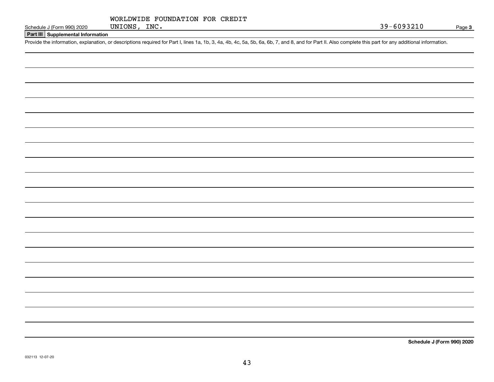|              | WORLDWIDE FOUNDATION FOR CREDIT |  |
|--------------|---------------------------------|--|
| UNIONS, INC. |                                 |  |

#### **Part III Supplemental Information**

Schedule J (Form 990) 2020 UNIONS, INC.<br>Part III Supplemental Information<br>Provide the information, explanation, or descriptions required for Part I, lines 1a, 1b, 3, 4a, 4b, 4c, 5a, 5b, 6a, 6b, 7, and 8, and for Part II. A

**Schedule J (Form 990) 2020**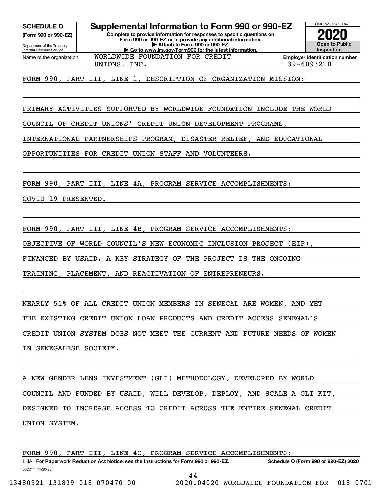**(Form 990 or 990-EZ)**

Department of the Treasury Internal Revenue Service Name of the organization

**Complete to provide information for responses to specific questions on SCHEDULE O Supplemental Information to Form 990 or 990-EZ**

**Form 990 or 990-EZ or to provide any additional information. | Attach to Form 990 or 990-EZ. | Go to www.irs.gov/Form990 for the latest information.**



OMB No. 1545-0047

UNIONS, INC. 39-6093210

FORM 990, PART III, LINE 1, DESCRIPTION OF ORGANIZATION MISSION:

WORLDWIDE FOUNDATION FOR CREDIT

PRIMARY ACTIVITIES SUPPORTED BY WORLDWIDE FOUNDATION INCLUDE THE WORLD

COUNCIL OF CREDIT UNIONS' CREDIT UNION DEVELOPMENT PROGRAMS,

INTERNATIONAL PARTNERSHIPS PROGRAM, DISASTER RELIEF, AND EDUCATIONAL

OPPORTUNITIES FOR CREDIT UNION STAFF AND VOLUNTEERS.

FORM 990, PART III, LINE 4A, PROGRAM SERVICE ACCOMPLISHMENTS:

COVID-19 PRESENTED.

FORM 990, PART III, LINE 4B, PROGRAM SERVICE ACCOMPLISHMENTS:

OBJECTIVE OF WORLD COUNCIL'S NEW ECONOMIC INCLUSION PROJECT (EIP),

FINANCED BY USAID. A KEY STRATEGY OF THE PROJECT IS THE ONGOING

TRAINING, PLACEMENT, AND REACTIVATION OF ENTREPRENEURS.

NEARLY 51% OF ALL CREDIT UNION MEMBERS IN SENEGAL ARE WOMEN, AND YET

THE EXISTING CREDIT UNION LOAN PRODUCTS AND CREDIT ACCESS SENEGAL'S

CREDIT UNION SYSTEM DOES NOT MEET THE CURRENT AND FUTURE NEEDS OF WOMEN

IN SENEGALESE SOCIETY.

A NEW GENDER LENS INVESTMENT (GLI) METHODOLOGY, DEVELOPED BY WORLD COUNCIL AND FUNDED BY USAID, WILL DEVELOP, DEPLOY, AND SCALE A GLI KIT, DESIGNED TO INCREASE ACCESS TO CREDIT ACROSS THE ENTIRE SENEGAL CREDIT UNION SYSTEM.

FORM 990, PART III, LINE 4C, PROGRAM SERVICE ACCOMPLISHMENTS: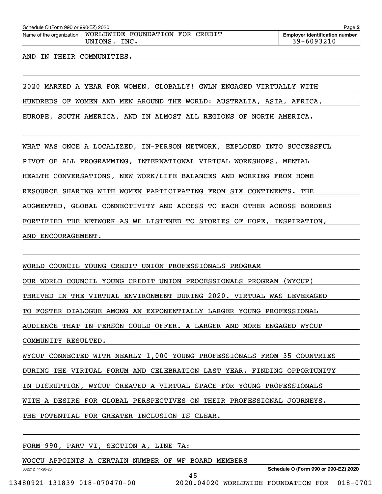Schedule O (Form 990 or 990-EZ) 2020<br>Name of the organization **WORLDWIDE** FOUNDATION FOR CREDIT E**mployer identification number** UNIONS, INC. 29-6093210

#### AND IN THEIR COMMUNITIES.

2020 MARKED A YEAR FOR WOMEN, GLOBALLY! GWLN ENGAGED VIRTUALLY WITH HUNDREDS OF WOMEN AND MEN AROUND THE WORLD: AUSTRALIA, ASIA, AFRICA, EUROPE, SOUTH AMERICA, AND IN ALMOST ALL REGIONS OF NORTH AMERICA.

WHAT WAS ONCE A LOCALIZED, IN-PERSON NETWORK, EXPLODED INTO SUCCESSFUL PIVOT OF ALL PROGRAMMING, INTERNATIONAL VIRTUAL WORKSHOPS, MENTAL HEALTH CONVERSATIONS, NEW WORK/LIFE BALANCES AND WORKING FROM HOME RESOURCE SHARING WITH WOMEN PARTICIPATING FROM SIX CONTINENTS. THE AUGMENTED, GLOBAL CONNECTIVITY AND ACCESS TO EACH OTHER ACROSS BORDERS FORTIFIED THE NETWORK AS WE LISTENED TO STORIES OF HOPE, INSPIRATION, AND ENCOURAGEMENT.

WORLD COUNCIL YOUNG CREDIT UNION PROFESSIONALS PROGRAM OUR WORLD COUNCIL YOUNG CREDIT UNION PROCESSIONALS PROGRAM (WYCUP) THRIVED IN THE VIRTUAL ENVIRONMENT DURING 2020. VIRTUAL WAS LEVERAGED TO FOSTER DIALOGUE AMONG AN EXPONENTIALLY LARGER YOUNG PROFESSIONAL AUDIENCE THAT IN-PERSON COULD OFFER. A LARGER AND MORE ENGAGED WYCUP COMMUNITY RESULTED. WYCUP CONNECTED WITH NEARLY 1,000 YOUNG PROFESSIONALS FROM 35 COUNTRIES DURING THE VIRTUAL FORUM AND CELEBRATION LAST YEAR. FINDING OPPORTUNITY

IN DISRUPTION, WYCUP CREATED A VIRTUAL SPACE FOR YOUNG PROFESSIONALS WITH A DESIRE FOR GLOBAL PERSPECTIVES ON THEIR PROFESSIONAL JOURNEYS. THE POTENTIAL FOR GREATER INCLUSION IS CLEAR.

45

FORM 990, PART VI, SECTION A, LINE 7A:

WOCCU APPOINTS A CERTAIN NUMBER OF WF BOARD MEMBERS

032212 11-20-20

**Schedule O (Form 990 or 990-EZ) 2020**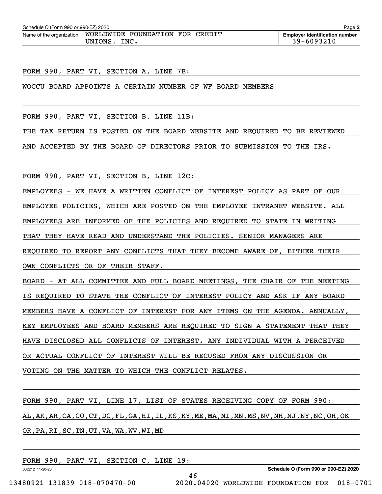| Schedule O (Form 990 or 990-EZ) 2020<br>Page 2 |                                 |                                       |  |  |  |  |
|------------------------------------------------|---------------------------------|---------------------------------------|--|--|--|--|
| Name of the organization                       | WORLDWIDE FOUNDATION FOR CREDIT | <b>Employer identification number</b> |  |  |  |  |
|                                                | INC.<br>UNIONS                  | 39-6093210                            |  |  |  |  |

FORM 990, PART VI, SECTION A, LINE 7B:

WOCCU BOARD APPOINTS A CERTAIN NUMBER OF WF BOARD MEMBERS

FORM 990, PART VI, SECTION B, LINE 11B:

THE TAX RETURN IS POSTED ON THE BOARD WEBSITE AND REQUIRED TO BE REVIEWED

AND ACCEPTED BY THE BOARD OF DIRECTORS PRIOR TO SUBMISSION TO THE IRS.

FORM 990, PART VI, SECTION B, LINE 12C:

EMPLOYEES - WE HAVE A WRITTEN CONFLICT OF INTEREST POLICY AS PART OF OUR

EMPLOYEE POLICIES, WHICH ARE POSTED ON THE EMPLOYEE INTRANET WEBSITE. ALL

EMPLOYEES ARE INFORMED OF THE POLICIES AND REQUIRED TO STATE IN WRITING

THAT THEY HAVE READ AND UNDERSTAND THE POLICIES. SENIOR MANAGERS ARE

REQUIRED TO REPORT ANY CONFLICTS THAT THEY BECOME AWARE OF, EITHER THEIR

OWN CONFLICTS OR OF THEIR STAFF.

BOARD - AT ALL COMMITTEE AND FULL BOARD MEETINGS, THE CHAIR OF THE MEETING IS REQUIRED TO STATE THE CONFLICT OF INTEREST POLICY AND ASK IF ANY BOARD MEMBERS HAVE A CONFLICT OF INTEREST FOR ANY ITEMS ON THE AGENDA. ANNUALLY, KEY EMPLOYEES AND BOARD MEMBERS ARE REQUIRED TO SIGN A STATEMENT THAT THEY HAVE DISCLOSED ALL CONFLICTS OF INTEREST. ANY INDIVIDUAL WITH A PERCEIVED OR ACTUAL CONFLICT OF INTEREST WILL BE RECUSED FROM ANY DISCUSSION OR VOTING ON THE MATTER TO WHICH THE CONFLICT RELATES.

FORM 990, PART VI, LINE 17, LIST OF STATES RECEIVING COPY OF FORM 990: AL,AK,AR,CA,CO,CT,DC,FL,GA,HI,IL,KS,KY,ME,MA,MI,MN,MS,NV,NH,NJ,NY,NC,OH,OK OR,PA,RI,SC,TN,UT,VA,WA,WV,WI,MD

46

FORM 990, PART VI, SECTION C, LINE 19:

032212 11-20-20

**Schedule O (Form 990 or 990-EZ) 2020**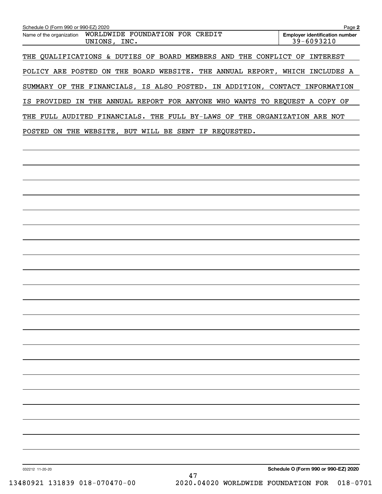| Schedule O (Form 990 or 990-EZ) 2020<br>WORLDWIDE FOUNDATION FOR CREDIT<br>Name of the organization<br>UNIONS, INC. | Page 2<br><b>Employer identification number</b><br>39-6093210 |
|---------------------------------------------------------------------------------------------------------------------|---------------------------------------------------------------|
|                                                                                                                     |                                                               |
| THE QUALIFICATIONS & DUTIES OF BOARD MEMBERS AND THE CONFLICT OF INTEREST                                           |                                                               |
| POLICY ARE POSTED ON THE BOARD WEBSITE. THE ANNUAL REPORT, WHICH INCLUDES A                                         |                                                               |
| SUMMARY OF THE FINANCIALS, IS ALSO POSTED. IN ADDITION, CONTACT INFORMATION                                         |                                                               |
| IS PROVIDED IN THE ANNUAL REPORT FOR ANYONE WHO WANTS TO REQUEST A COPY OF                                          |                                                               |
| THE FULL AUDITED FINANCIALS. THE FULL BY-LAWS OF THE ORGANIZATION ARE NOT                                           |                                                               |
| POSTED ON THE WEBSITE, BUT WILL BE SENT IF REQUESTED.                                                               |                                                               |
|                                                                                                                     |                                                               |
|                                                                                                                     |                                                               |
|                                                                                                                     |                                                               |
|                                                                                                                     |                                                               |
|                                                                                                                     |                                                               |
|                                                                                                                     |                                                               |
|                                                                                                                     |                                                               |
|                                                                                                                     |                                                               |
|                                                                                                                     |                                                               |
|                                                                                                                     |                                                               |
|                                                                                                                     |                                                               |
|                                                                                                                     |                                                               |
|                                                                                                                     |                                                               |
|                                                                                                                     |                                                               |
|                                                                                                                     |                                                               |
|                                                                                                                     |                                                               |
|                                                                                                                     |                                                               |
|                                                                                                                     |                                                               |
|                                                                                                                     |                                                               |
|                                                                                                                     |                                                               |
|                                                                                                                     |                                                               |
|                                                                                                                     |                                                               |
|                                                                                                                     |                                                               |
| 032212 11-20-20<br>47                                                                                               | Schedule O (Form 990 or 990-EZ) 2020                          |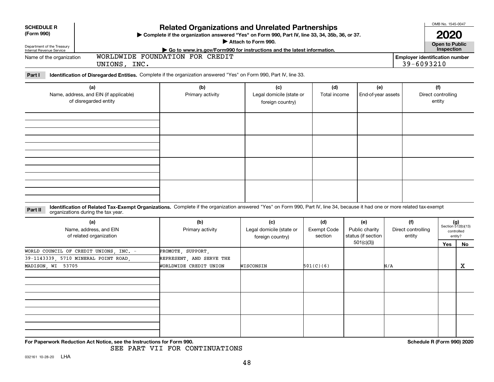| <b>SCHEDULE R</b><br>(Form 990)                                        |                                                                                | <b>Related Organizations and Unrelated Partnerships</b><br>> Complete if the organization answered "Yes" on Form 990, Part IV, line 33, 34, 35b, 36, or 37.<br>Attach to Form 990. |                                                     |                                      |                                                          |                                     |                                                     |                                                            |  |
|------------------------------------------------------------------------|--------------------------------------------------------------------------------|------------------------------------------------------------------------------------------------------------------------------------------------------------------------------------|-----------------------------------------------------|--------------------------------------|----------------------------------------------------------|-------------------------------------|-----------------------------------------------------|------------------------------------------------------------|--|
| Department of the Treasury<br>Internal Revenue Service                 |                                                                                | Go to www.irs.gov/Form990 for instructions and the latest information.                                                                                                             |                                                     |                                      |                                                          |                                     | <b>Open to Public</b><br>Inspection                 |                                                            |  |
|                                                                        | WORLDWIDE FOUNDATION FOR CREDIT<br>Name of the organization<br>UNIONS, INC.    |                                                                                                                                                                                    |                                                     |                                      |                                                          |                                     | <b>Employer identification number</b><br>39-6093210 |                                                            |  |
| Part I                                                                 |                                                                                | Identification of Disregarded Entities. Complete if the organization answered "Yes" on Form 990, Part IV, line 33.                                                                 |                                                     |                                      |                                                          |                                     |                                                     |                                                            |  |
| (a)<br>Name, address, and EIN (if applicable)<br>of disregarded entity |                                                                                | (b)<br>Primary activity                                                                                                                                                            | (c)<br>Legal domicile (state or<br>foreign country) | (d)<br>Total income                  | (e)<br>End-of-year assets                                |                                     | (f)<br>Direct controlling<br>entity                 |                                                            |  |
|                                                                        |                                                                                |                                                                                                                                                                                    |                                                     |                                      |                                                          |                                     |                                                     |                                                            |  |
|                                                                        |                                                                                |                                                                                                                                                                                    |                                                     |                                      |                                                          |                                     |                                                     |                                                            |  |
| Part II                                                                | organizations during the tax year.                                             | Identification of Related Tax-Exempt Organizations. Complete if the organization answered "Yes" on Form 990, Part IV, line 34, because it had one or more related tax-exempt       |                                                     |                                      |                                                          |                                     |                                                     |                                                            |  |
|                                                                        | (a)<br>Name, address, and EIN<br>of related organization                       | (b)<br>Primary activity                                                                                                                                                            | (c)<br>Legal domicile (state or<br>foreign country) | (d)<br><b>Exempt Code</b><br>section | (e)<br>Public charity<br>status (if section<br>501(c)(3) | (f)<br>Direct controlling<br>entity | <b>Yes</b>                                          | $(g)$<br>Section 512(b)(13)<br>controlled<br>entity?<br>No |  |
| MADISON, WI 53705                                                      | WORLD COUNCIL OF CREDIT UNIONS, INC. -<br>39-1143339, 5710 MINERAL POINT ROAD, | PROMOTE, SUPPORT,<br>REPRESENT, AND SERVE THE<br>WORLDWIDE CREDIT UNION                                                                                                            | WISCONSIN                                           | 501(C)(6)                            |                                                          | N/A                                 |                                                     | x                                                          |  |
|                                                                        |                                                                                |                                                                                                                                                                                    |                                                     |                                      |                                                          |                                     |                                                     |                                                            |  |
|                                                                        |                                                                                |                                                                                                                                                                                    |                                                     |                                      |                                                          |                                     |                                                     |                                                            |  |
|                                                                        | For Paperwork Reduction Act Notice, see the Instructions for Form 990.         |                                                                                                                                                                                    |                                                     |                                      |                                                          |                                     | Schedule R (Form 990) 2020                          |                                                            |  |

SEE PART VII FOR CONTINUATIONS

OMB No. 1545-0047

 $\mathbf{I}$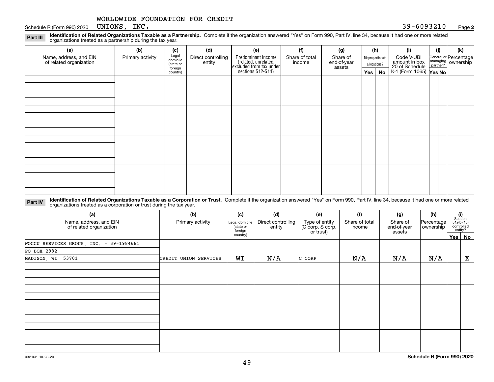Schedule R (Form 990) 2020 UNIONS GALLEY . And the set of the set of the set of the set of the set of the set of the set of the set of the set of the set of the set of the set of the set of the set of the set of the set o UNIONS, INC.

#### **2**

**Identification of Related Organizations Taxable as a Partnership.** Complete if the organization answered "Yes" on Form 990, Part IV, line 34, because it had one or more related **Part III** organizations treated as a partnership during the tax year.

| (a)                                               | (b)              | (c)                                       | (d)                          | (e)                                                                                       | (f)                      | (g)                               |                                  | (h) | (i)                                                                     | (j) | (k)                                                       |
|---------------------------------------------------|------------------|-------------------------------------------|------------------------------|-------------------------------------------------------------------------------------------|--------------------------|-----------------------------------|----------------------------------|-----|-------------------------------------------------------------------------|-----|-----------------------------------------------------------|
| Name, address, and EIN<br>of related organization | Primary activity | Legal<br>domicile<br>(state or<br>foreign | Direct controlling<br>entity | Predominant income<br>related, unrelated,<br>excluded from tax under<br>sections 512-514) | Share of total<br>income | Share of<br>end-of-year<br>assets | Disproportionate<br>allocations? |     | Code V-UBI<br>amount in box<br>20 of Schedule<br>K-1 (Form 1065) Yes No |     | General or Percentage<br>managing<br>partner?<br>partner? |
|                                                   |                  |                                           |                              |                                                                                           |                          |                                   |                                  |     |                                                                         |     |                                                           |
|                                                   |                  | country)                                  |                              |                                                                                           |                          |                                   | Yes $ $                          | No  |                                                                         |     |                                                           |
|                                                   |                  |                                           |                              |                                                                                           |                          |                                   |                                  |     |                                                                         |     |                                                           |
|                                                   |                  |                                           |                              |                                                                                           |                          |                                   |                                  |     |                                                                         |     |                                                           |
|                                                   |                  |                                           |                              |                                                                                           |                          |                                   |                                  |     |                                                                         |     |                                                           |
|                                                   |                  |                                           |                              |                                                                                           |                          |                                   |                                  |     |                                                                         |     |                                                           |
|                                                   |                  |                                           |                              |                                                                                           |                          |                                   |                                  |     |                                                                         |     |                                                           |
|                                                   |                  |                                           |                              |                                                                                           |                          |                                   |                                  |     |                                                                         |     |                                                           |
|                                                   |                  |                                           |                              |                                                                                           |                          |                                   |                                  |     |                                                                         |     |                                                           |
|                                                   |                  |                                           |                              |                                                                                           |                          |                                   |                                  |     |                                                                         |     |                                                           |
|                                                   |                  |                                           |                              |                                                                                           |                          |                                   |                                  |     |                                                                         |     |                                                           |
|                                                   |                  |                                           |                              |                                                                                           |                          |                                   |                                  |     |                                                                         |     |                                                           |
|                                                   |                  |                                           |                              |                                                                                           |                          |                                   |                                  |     |                                                                         |     |                                                           |
|                                                   |                  |                                           |                              |                                                                                           |                          |                                   |                                  |     |                                                                         |     |                                                           |
|                                                   |                  |                                           |                              |                                                                                           |                          |                                   |                                  |     |                                                                         |     |                                                           |
|                                                   |                  |                                           |                              |                                                                                           |                          |                                   |                                  |     |                                                                         |     |                                                           |
|                                                   |                  |                                           |                              |                                                                                           |                          |                                   |                                  |     |                                                                         |     |                                                           |
|                                                   |                  |                                           |                              |                                                                                           |                          |                                   |                                  |     |                                                                         |     |                                                           |

**Identification of Related Organizations Taxable as a Corporation or Trust.** Complete if the organization answered "Yes" on Form 990, Part IV, line 34, because it had one or more related **Part IV** organizations treated as a corporation or trust during the tax year.

| (a)<br>Name, address, and EIN<br>of related organization | (b)<br>Primary activity | (c)<br>Legal domicile<br>(state or<br>foreign | (d)<br>Direct controlling<br>entity | (e)<br>Type of entity<br>(C corp, S corp,<br>or trust) | (f)<br>Share of total<br>income | (g)<br>Share of<br>end-of-year<br>assets | (h)<br>Percentage<br>ownership |         | $\begin{array}{c} \textbf{(i)}\\ \text{Section}\\ 512 \text{(b)} \text{(13)}\\ \text{controlled}\end{array}$<br>entity? |  |
|----------------------------------------------------------|-------------------------|-----------------------------------------------|-------------------------------------|--------------------------------------------------------|---------------------------------|------------------------------------------|--------------------------------|---------|-------------------------------------------------------------------------------------------------------------------------|--|
|                                                          |                         | country)                                      |                                     |                                                        |                                 |                                          |                                | Yes $ $ | <b>No</b>                                                                                                               |  |
| WOCCU SERVICES GROUP, INC. - 39-1984681                  |                         |                                               |                                     |                                                        |                                 |                                          |                                |         |                                                                                                                         |  |
| PO BOX 2982                                              |                         |                                               |                                     |                                                        |                                 |                                          |                                |         |                                                                                                                         |  |
| MADISON, WI 53701                                        | CREDIT UNION SERVICES   | WI                                            | N/A                                 | C CORP                                                 | N/A                             | N/A                                      | N/A                            |         | X                                                                                                                       |  |
|                                                          |                         |                                               |                                     |                                                        |                                 |                                          |                                |         |                                                                                                                         |  |
|                                                          |                         |                                               |                                     |                                                        |                                 |                                          |                                |         |                                                                                                                         |  |
|                                                          |                         |                                               |                                     |                                                        |                                 |                                          |                                |         |                                                                                                                         |  |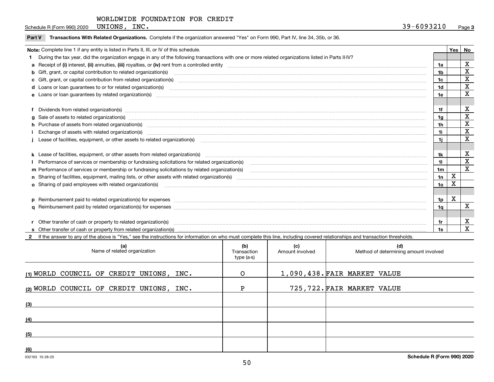Schedule R (Form 990) 2020 UNIONS , INC  $\cdot$  39 – 6093210 UNIONS, INC.

|  | Part V Transactions With Related Organizations. Complete if the organization answered "Yes" on Form 990, Part IV, line 34, 35b, or 36 |  |  |
|--|---------------------------------------------------------------------------------------------------------------------------------------|--|--|
|--|---------------------------------------------------------------------------------------------------------------------------------------|--|--|

|                                                                                                       | Note: Complete line 1 if any entity is listed in Parts II, III, or IV of this schedule.                                                                                                                                               |     | Yes | No                         |  |  |
|-------------------------------------------------------------------------------------------------------|---------------------------------------------------------------------------------------------------------------------------------------------------------------------------------------------------------------------------------------|-----|-----|----------------------------|--|--|
|                                                                                                       | During the tax year, did the organization engage in any of the following transactions with one or more related organizations listed in Parts II-IV?                                                                                   |     |     |                            |  |  |
|                                                                                                       |                                                                                                                                                                                                                                       | 1a  |     | X                          |  |  |
|                                                                                                       | <b>b</b> Gift, grant, or capital contribution to related organization(s)                                                                                                                                                              | 1b  |     | X                          |  |  |
|                                                                                                       |                                                                                                                                                                                                                                       | 1c  |     | х                          |  |  |
|                                                                                                       |                                                                                                                                                                                                                                       | 1d  |     | X                          |  |  |
|                                                                                                       | e Loans or loan quarantees by related organization(s)                                                                                                                                                                                 | 1e  |     | X                          |  |  |
|                                                                                                       |                                                                                                                                                                                                                                       |     |     |                            |  |  |
|                                                                                                       | f Dividends from related organization(s) manufactured contains and contained and contained contained and contained and contained and contained and contained and contained and contained and contained and contained and conta        |     |     | х                          |  |  |
|                                                                                                       | g Sale of assets to related organization(s) www.assettion.com/www.assettion.com/www.assettion.com/www.assettion.com/www.assettion.com/www.assettion.com/www.assettion.com/www.assettion.com/www.assettion.com/www.assettion.co        | 1a  |     | X                          |  |  |
|                                                                                                       | h Purchase of assets from related organization(s) manufactured and content to content the content of assets from related organization(s)                                                                                              | 1h  |     | X<br>$\mathbf X$           |  |  |
|                                                                                                       | 1i.<br>Exchange of assets with related organization(s) www.warehouse.com/www.warehouse.com/www.warehouse.com/www.warehouse.com/www.warehouse.com/www.warehouse.com/www.warehouse.com/www.warehouse.com/www.warehouse.com/www.warehous |     |     |                            |  |  |
| 1i.                                                                                                   |                                                                                                                                                                                                                                       |     |     |                            |  |  |
|                                                                                                       |                                                                                                                                                                                                                                       |     |     |                            |  |  |
|                                                                                                       |                                                                                                                                                                                                                                       | 1k. |     | X                          |  |  |
|                                                                                                       | Performance of services or membership or fundraising solicitations for related organization(s)                                                                                                                                        | 11. |     | $\mathbf x$<br>$\mathbf x$ |  |  |
| m Performance of services or membership or fundraising solicitations by related organization(s)<br>1m |                                                                                                                                                                                                                                       |     |     |                            |  |  |
|                                                                                                       |                                                                                                                                                                                                                                       | 1n  | X   |                            |  |  |
|                                                                                                       | <b>o</b> Sharing of paid employees with related organization(s)                                                                                                                                                                       | 10  | Χ   |                            |  |  |
|                                                                                                       |                                                                                                                                                                                                                                       |     |     |                            |  |  |
|                                                                                                       | p Reimbursement paid to related organization(s) for expenses [111] resummand content to content the set of the set of the set of the set of the set of the set of the set of the set of the set of the set of the set of the s        | 1p  | x   |                            |  |  |
|                                                                                                       |                                                                                                                                                                                                                                       | 1q  |     | х                          |  |  |
|                                                                                                       |                                                                                                                                                                                                                                       |     |     |                            |  |  |
|                                                                                                       | r Other transfer of cash or property to related organization(s)                                                                                                                                                                       |     |     | х                          |  |  |
|                                                                                                       | <b>s</b> Other transfer of cash or property from related organization(s)                                                                                                                                                              | 1s  |     | x                          |  |  |

032163 10-28-20 **2**If the answer to any of the above is "Yes," see the instructions for information on who must complete this line, including covered relationships and transaction thresholds. **(a) (b) (c) (d) (1)**WORLD COUNCIL OF CREDIT UNIONS, INC. **(2)**WORLD COUNCIL OF CREDIT UNIONS, INC. **(3)(4)(5)(6)**Name of related organization  $\vert$  Transaction type (a-s) Amount involved | Method of determining amount involved 1,090,438. FAIR MARKET VALUE 725,722. FAIR MARKET VALUE O P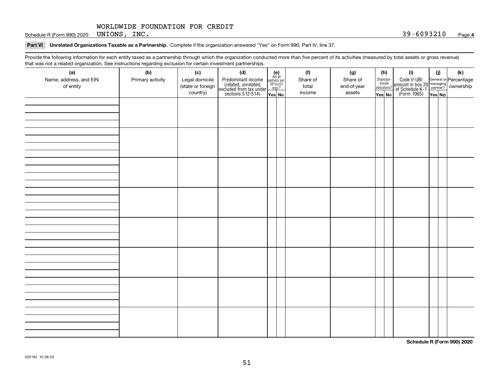Schedule R (Form 990) 2020 Page UNIONS, INC. 39-6093210

#### **Part VI Unrelated Organizations Taxable as a Partnership. Complete if the organization answered "Yes" on Form 990, Part IV, line 37.**

Provide the following information for each entity taxed as a partnership through which the organization conducted more than five percent of its activities (measured by total assets or gross revenue) that was not a related organization. See instructions regarding exclusion for certain investment partnerships.

| that machieve a related erganization. See includitional regarding excludion for contain invectment partnerompe.<br>(a) | (b)              | (c)                                 | (d)                                                                                        |                                                                                                                  | (f)               | (g)                     | (h)                              | (i)                                                                                          | (i) | (k) |
|------------------------------------------------------------------------------------------------------------------------|------------------|-------------------------------------|--------------------------------------------------------------------------------------------|------------------------------------------------------------------------------------------------------------------|-------------------|-------------------------|----------------------------------|----------------------------------------------------------------------------------------------|-----|-----|
| Name, address, and EIN<br>of entity                                                                                    | Primary activity | Legal domicile<br>(state or foreign | Predominant income<br>(related, unrelated,<br>excluded from tax under<br>sections 512-514) | $\begin{array}{c} \textbf{(e)}\\ \text{Are all} \\ \text{partners sec.}\\ 501(c)(3)\\ \text{orgs.?} \end{array}$ | Share of<br>total | Share of<br>end-of-year | Disproportionate<br>allocations? | Code V-UBI<br>amount in box 20 managing<br>of Schedule K-1 partner?<br>(Form 1065)<br>ves No |     |     |
|                                                                                                                        |                  | country)                            |                                                                                            | Yes No                                                                                                           | income            | assets                  | Yes No                           |                                                                                              |     |     |
|                                                                                                                        |                  |                                     |                                                                                            |                                                                                                                  |                   |                         |                                  |                                                                                              |     |     |
|                                                                                                                        |                  |                                     |                                                                                            |                                                                                                                  |                   |                         |                                  |                                                                                              |     |     |
|                                                                                                                        |                  |                                     |                                                                                            |                                                                                                                  |                   |                         |                                  |                                                                                              |     |     |
|                                                                                                                        |                  |                                     |                                                                                            |                                                                                                                  |                   |                         |                                  |                                                                                              |     |     |
|                                                                                                                        |                  |                                     |                                                                                            |                                                                                                                  |                   |                         |                                  |                                                                                              |     |     |
|                                                                                                                        |                  |                                     |                                                                                            |                                                                                                                  |                   |                         |                                  |                                                                                              |     |     |
|                                                                                                                        |                  |                                     |                                                                                            |                                                                                                                  |                   |                         |                                  |                                                                                              |     |     |
|                                                                                                                        |                  |                                     |                                                                                            |                                                                                                                  |                   |                         |                                  |                                                                                              |     |     |
|                                                                                                                        |                  |                                     |                                                                                            |                                                                                                                  |                   |                         |                                  |                                                                                              |     |     |
|                                                                                                                        |                  |                                     |                                                                                            |                                                                                                                  |                   |                         |                                  |                                                                                              |     |     |
|                                                                                                                        |                  |                                     |                                                                                            |                                                                                                                  |                   |                         |                                  |                                                                                              |     |     |
|                                                                                                                        |                  |                                     |                                                                                            |                                                                                                                  |                   |                         |                                  |                                                                                              |     |     |
|                                                                                                                        |                  |                                     |                                                                                            |                                                                                                                  |                   |                         |                                  |                                                                                              |     |     |
|                                                                                                                        |                  |                                     |                                                                                            |                                                                                                                  |                   |                         |                                  |                                                                                              |     |     |
|                                                                                                                        |                  |                                     |                                                                                            |                                                                                                                  |                   |                         |                                  |                                                                                              |     |     |
|                                                                                                                        |                  |                                     |                                                                                            |                                                                                                                  |                   |                         |                                  |                                                                                              |     |     |
|                                                                                                                        |                  |                                     |                                                                                            |                                                                                                                  |                   |                         |                                  |                                                                                              |     |     |
|                                                                                                                        |                  |                                     |                                                                                            |                                                                                                                  |                   |                         |                                  |                                                                                              |     |     |
|                                                                                                                        |                  |                                     |                                                                                            |                                                                                                                  |                   |                         |                                  |                                                                                              |     |     |
|                                                                                                                        |                  |                                     |                                                                                            |                                                                                                                  |                   |                         |                                  |                                                                                              |     |     |
|                                                                                                                        |                  |                                     |                                                                                            |                                                                                                                  |                   |                         |                                  |                                                                                              |     |     |
|                                                                                                                        |                  |                                     |                                                                                            |                                                                                                                  |                   |                         |                                  |                                                                                              |     |     |
|                                                                                                                        |                  |                                     |                                                                                            |                                                                                                                  |                   |                         |                                  |                                                                                              |     |     |
|                                                                                                                        |                  |                                     |                                                                                            |                                                                                                                  |                   |                         |                                  |                                                                                              |     |     |
|                                                                                                                        |                  |                                     |                                                                                            |                                                                                                                  |                   |                         |                                  |                                                                                              |     |     |
|                                                                                                                        |                  |                                     |                                                                                            |                                                                                                                  |                   |                         |                                  |                                                                                              |     |     |
|                                                                                                                        |                  |                                     |                                                                                            |                                                                                                                  |                   |                         |                                  |                                                                                              |     |     |
|                                                                                                                        |                  |                                     |                                                                                            |                                                                                                                  |                   |                         |                                  |                                                                                              |     |     |
|                                                                                                                        |                  |                                     |                                                                                            |                                                                                                                  |                   |                         |                                  |                                                                                              |     |     |
|                                                                                                                        |                  |                                     |                                                                                            |                                                                                                                  |                   |                         |                                  |                                                                                              |     |     |
|                                                                                                                        |                  |                                     |                                                                                            |                                                                                                                  |                   |                         |                                  |                                                                                              |     |     |
|                                                                                                                        |                  |                                     |                                                                                            |                                                                                                                  |                   |                         |                                  |                                                                                              |     |     |
|                                                                                                                        |                  |                                     |                                                                                            |                                                                                                                  |                   |                         |                                  |                                                                                              |     |     |

**Schedule R (Form 990) 2020**